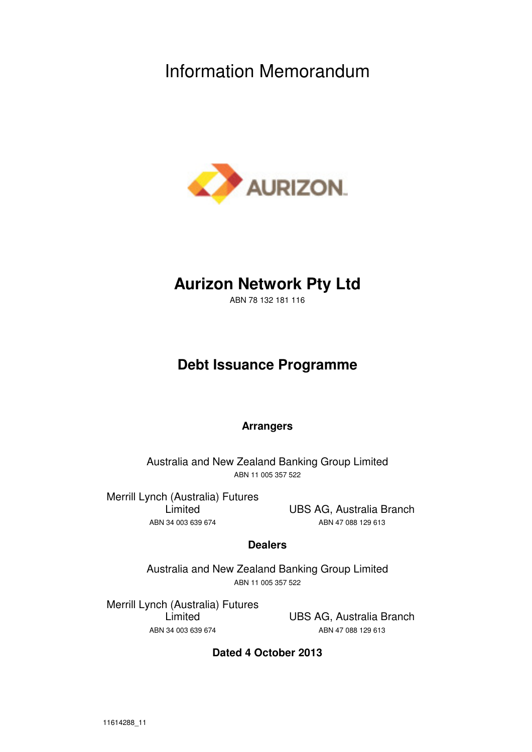# Information Memorandum



# **Aurizon Network Pty Ltd**

ABN 78 132 181 116

# **Debt Issuance Programme**

# **Arrangers**

Australia and New Zealand Banking Group Limited ABN 11 005 357 522

Merrill Lynch (Australia) Futures Limited ABN 34 003 639 674

UBS AG, Australia Branch ABN 47 088 129 613

# **Dealers**

Australia and New Zealand Banking Group Limited ABN 11 005 357 522

Merrill Lynch (Australia) Futures Limited ABN 34 003 639 674

UBS AG, Australia Branch ABN 47 088 129 613

**Dated 4 October 2013**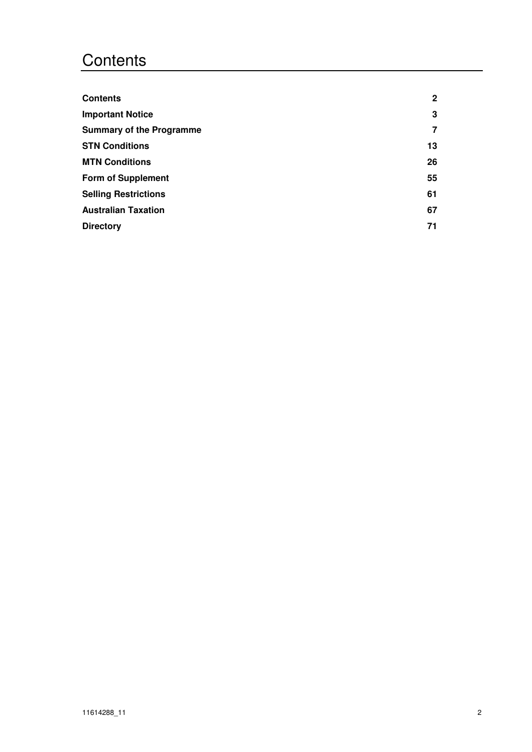# **Contents**

| <b>Contents</b>                 | $\mathbf{2}$   |
|---------------------------------|----------------|
| <b>Important Notice</b>         | 3              |
| <b>Summary of the Programme</b> | $\overline{7}$ |
| <b>STN Conditions</b>           | 13             |
| <b>MTN Conditions</b>           | 26             |
| <b>Form of Supplement</b>       | 55             |
| <b>Selling Restrictions</b>     | 61             |
| <b>Australian Taxation</b>      | 67             |
| <b>Directory</b>                | 71             |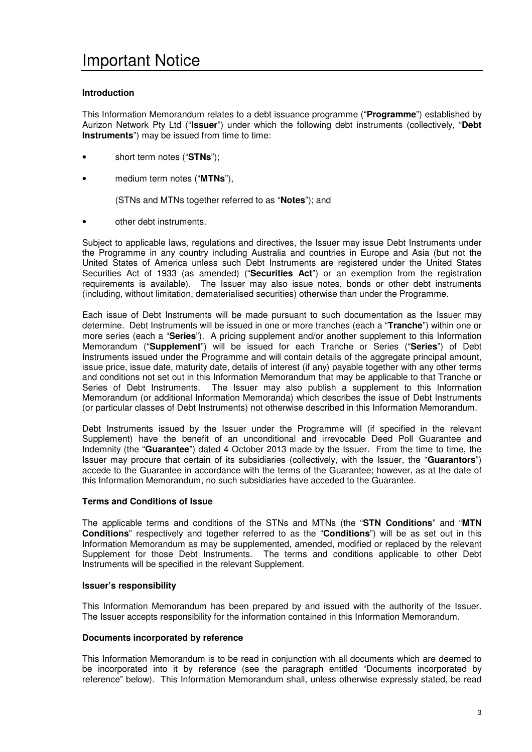## **Introduction**

This Information Memorandum relates to a debt issuance programme ("**Programme**") established by Aurizon Network Pty Ltd ("**Issuer**") under which the following debt instruments (collectively, "**Debt Instruments**") may be issued from time to time:

- short term notes ("**STNs**");
- medium term notes ("**MTNs**"),

(STNs and MTNs together referred to as "**Notes**"); and

• other debt instruments.

Subject to applicable laws, regulations and directives, the Issuer may issue Debt Instruments under the Programme in any country including Australia and countries in Europe and Asia (but not the United States of America unless such Debt Instruments are registered under the United States Securities Act of 1933 (as amended) ("**Securities Act**") or an exemption from the registration requirements is available). The Issuer may also issue notes, bonds or other debt instruments (including, without limitation, dematerialised securities) otherwise than under the Programme.

Each issue of Debt Instruments will be made pursuant to such documentation as the Issuer may determine. Debt Instruments will be issued in one or more tranches (each a "**Tranche**") within one or more series (each a "**Series**"). A pricing supplement and/or another supplement to this Information Memorandum ("**Supplement**") will be issued for each Tranche or Series ("**Series**") of Debt Instruments issued under the Programme and will contain details of the aggregate principal amount, issue price, issue date, maturity date, details of interest (if any) payable together with any other terms and conditions not set out in this Information Memorandum that may be applicable to that Tranche or Series of Debt Instruments. The Issuer may also publish a supplement to this Information Memorandum (or additional Information Memoranda) which describes the issue of Debt Instruments (or particular classes of Debt Instruments) not otherwise described in this Information Memorandum.

Debt Instruments issued by the Issuer under the Programme will (if specified in the relevant Supplement) have the benefit of an unconditional and irrevocable Deed Poll Guarantee and Indemnity (the "**Guarantee**") dated 4 October 2013 made by the Issuer. From the time to time, the Issuer may procure that certain of its subsidiaries (collectively, with the Issuer, the "**Guarantors**") accede to the Guarantee in accordance with the terms of the Guarantee; however, as at the date of this Information Memorandum, no such subsidiaries have acceded to the Guarantee.

## **Terms and Conditions of Issue**

The applicable terms and conditions of the STNs and MTNs (the "**STN Conditions**" and "**MTN Conditions**" respectively and together referred to as the "**Conditions**") will be as set out in this Information Memorandum as may be supplemented, amended, modified or replaced by the relevant Supplement for those Debt Instruments. The terms and conditions applicable to other Debt Instruments will be specified in the relevant Supplement.

## **Issuer's responsibility**

This Information Memorandum has been prepared by and issued with the authority of the Issuer. The Issuer accepts responsibility for the information contained in this Information Memorandum.

## **Documents incorporated by reference**

This Information Memorandum is to be read in conjunction with all documents which are deemed to be incorporated into it by reference (see the paragraph entitled "Documents incorporated by reference" below). This Information Memorandum shall, unless otherwise expressly stated, be read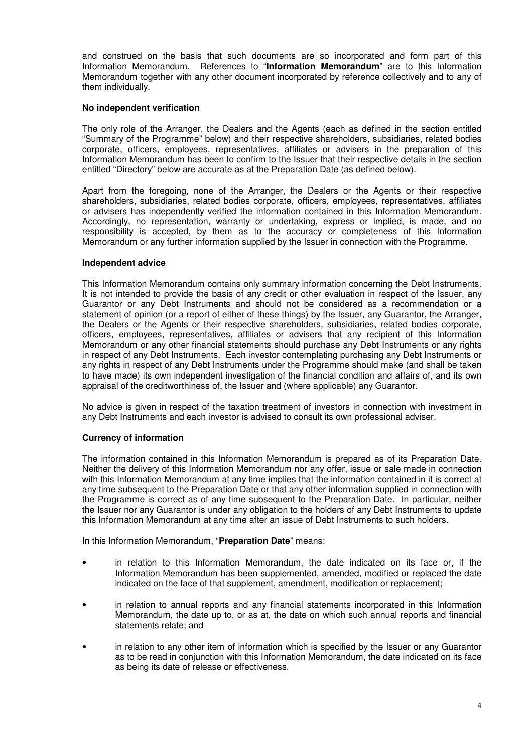and construed on the basis that such documents are so incorporated and form part of this Information Memorandum. References to "**Information Memorandum**" are to this Information Memorandum together with any other document incorporated by reference collectively and to any of them individually.

## **No independent verification**

The only role of the Arranger, the Dealers and the Agents (each as defined in the section entitled "Summary of the Programme" below) and their respective shareholders, subsidiaries, related bodies corporate, officers, employees, representatives, affiliates or advisers in the preparation of this Information Memorandum has been to confirm to the Issuer that their respective details in the section entitled "Directory" below are accurate as at the Preparation Date (as defined below).

Apart from the foregoing, none of the Arranger, the Dealers or the Agents or their respective shareholders, subsidiaries, related bodies corporate, officers, employees, representatives, affiliates or advisers has independently verified the information contained in this Information Memorandum. Accordingly, no representation, warranty or undertaking, express or implied, is made, and no responsibility is accepted, by them as to the accuracy or completeness of this Information Memorandum or any further information supplied by the Issuer in connection with the Programme.

## **Independent advice**

This Information Memorandum contains only summary information concerning the Debt Instruments. It is not intended to provide the basis of any credit or other evaluation in respect of the Issuer, any Guarantor or any Debt Instruments and should not be considered as a recommendation or a statement of opinion (or a report of either of these things) by the Issuer, any Guarantor, the Arranger, the Dealers or the Agents or their respective shareholders, subsidiaries, related bodies corporate, officers, employees, representatives, affiliates or advisers that any recipient of this Information Memorandum or any other financial statements should purchase any Debt Instruments or any rights in respect of any Debt Instruments. Each investor contemplating purchasing any Debt Instruments or any rights in respect of any Debt Instruments under the Programme should make (and shall be taken to have made) its own independent investigation of the financial condition and affairs of, and its own appraisal of the creditworthiness of, the Issuer and (where applicable) any Guarantor.

No advice is given in respect of the taxation treatment of investors in connection with investment in any Debt Instruments and each investor is advised to consult its own professional adviser.

## **Currency of information**

The information contained in this Information Memorandum is prepared as of its Preparation Date. Neither the delivery of this Information Memorandum nor any offer, issue or sale made in connection with this Information Memorandum at any time implies that the information contained in it is correct at any time subsequent to the Preparation Date or that any other information supplied in connection with the Programme is correct as of any time subsequent to the Preparation Date. In particular, neither the Issuer nor any Guarantor is under any obligation to the holders of any Debt Instruments to update this Information Memorandum at any time after an issue of Debt Instruments to such holders.

In this Information Memorandum, "**Preparation Date**" means:

- in relation to this Information Memorandum, the date indicated on its face or, if the Information Memorandum has been supplemented, amended, modified or replaced the date indicated on the face of that supplement, amendment, modification or replacement;
- in relation to annual reports and any financial statements incorporated in this Information Memorandum, the date up to, or as at, the date on which such annual reports and financial statements relate; and
- in relation to any other item of information which is specified by the Issuer or any Guarantor as to be read in conjunction with this Information Memorandum, the date indicated on its face as being its date of release or effectiveness.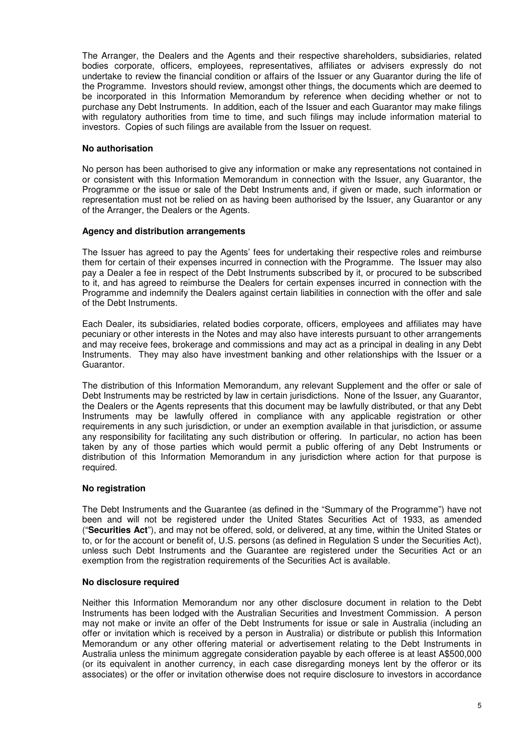The Arranger, the Dealers and the Agents and their respective shareholders, subsidiaries, related bodies corporate, officers, employees, representatives, affiliates or advisers expressly do not undertake to review the financial condition or affairs of the Issuer or any Guarantor during the life of the Programme. Investors should review, amongst other things, the documents which are deemed to be incorporated in this Information Memorandum by reference when deciding whether or not to purchase any Debt Instruments. In addition, each of the Issuer and each Guarantor may make filings with regulatory authorities from time to time, and such filings may include information material to investors. Copies of such filings are available from the Issuer on request.

## **No authorisation**

No person has been authorised to give any information or make any representations not contained in or consistent with this Information Memorandum in connection with the Issuer, any Guarantor, the Programme or the issue or sale of the Debt Instruments and, if given or made, such information or representation must not be relied on as having been authorised by the Issuer, any Guarantor or any of the Arranger, the Dealers or the Agents.

## **Agency and distribution arrangements**

The Issuer has agreed to pay the Agents' fees for undertaking their respective roles and reimburse them for certain of their expenses incurred in connection with the Programme. The Issuer may also pay a Dealer a fee in respect of the Debt Instruments subscribed by it, or procured to be subscribed to it, and has agreed to reimburse the Dealers for certain expenses incurred in connection with the Programme and indemnify the Dealers against certain liabilities in connection with the offer and sale of the Debt Instruments.

Each Dealer, its subsidiaries, related bodies corporate, officers, employees and affiliates may have pecuniary or other interests in the Notes and may also have interests pursuant to other arrangements and may receive fees, brokerage and commissions and may act as a principal in dealing in any Debt Instruments. They may also have investment banking and other relationships with the Issuer or a Guarantor.

The distribution of this Information Memorandum, any relevant Supplement and the offer or sale of Debt Instruments may be restricted by law in certain jurisdictions. None of the Issuer, any Guarantor, the Dealers or the Agents represents that this document may be lawfully distributed, or that any Debt Instruments may be lawfully offered in compliance with any applicable registration or other requirements in any such jurisdiction, or under an exemption available in that jurisdiction, or assume any responsibility for facilitating any such distribution or offering. In particular, no action has been taken by any of those parties which would permit a public offering of any Debt Instruments or distribution of this Information Memorandum in any jurisdiction where action for that purpose is required.

## **No registration**

The Debt Instruments and the Guarantee (as defined in the "Summary of the Programme") have not been and will not be registered under the United States Securities Act of 1933, as amended ("**Securities Act**"), and may not be offered, sold, or delivered, at any time, within the United States or to, or for the account or benefit of, U.S. persons (as defined in Regulation S under the Securities Act), unless such Debt Instruments and the Guarantee are registered under the Securities Act or an exemption from the registration requirements of the Securities Act is available.

## **No disclosure required**

Neither this Information Memorandum nor any other disclosure document in relation to the Debt Instruments has been lodged with the Australian Securities and Investment Commission. A person may not make or invite an offer of the Debt Instruments for issue or sale in Australia (including an offer or invitation which is received by a person in Australia) or distribute or publish this Information Memorandum or any other offering material or advertisement relating to the Debt Instruments in Australia unless the minimum aggregate consideration payable by each offeree is at least A\$500,000 (or its equivalent in another currency, in each case disregarding moneys lent by the offeror or its associates) or the offer or invitation otherwise does not require disclosure to investors in accordance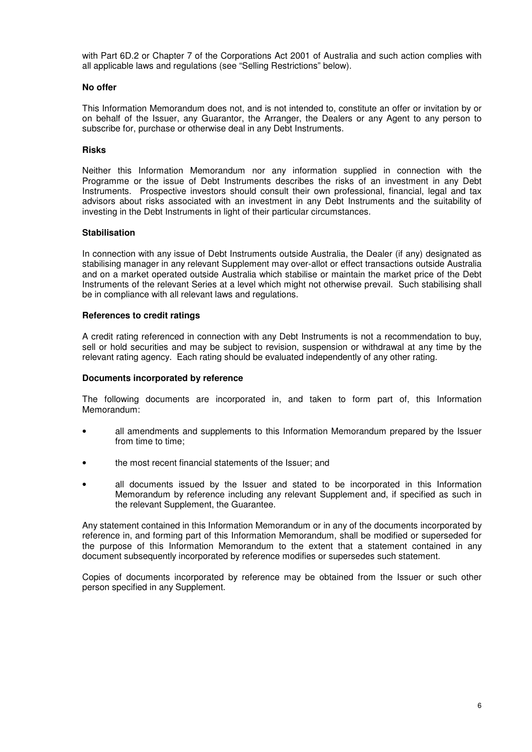with Part 6D.2 or Chapter 7 of the Corporations Act 2001 of Australia and such action complies with all applicable laws and regulations (see "Selling Restrictions" below).

## **No offer**

This Information Memorandum does not, and is not intended to, constitute an offer or invitation by or on behalf of the Issuer, any Guarantor, the Arranger, the Dealers or any Agent to any person to subscribe for, purchase or otherwise deal in any Debt Instruments.

## **Risks**

Neither this Information Memorandum nor any information supplied in connection with the Programme or the issue of Debt Instruments describes the risks of an investment in any Debt Instruments. Prospective investors should consult their own professional, financial, legal and tax advisors about risks associated with an investment in any Debt Instruments and the suitability of investing in the Debt Instruments in light of their particular circumstances.

## **Stabilisation**

In connection with any issue of Debt Instruments outside Australia, the Dealer (if any) designated as stabilising manager in any relevant Supplement may over-allot or effect transactions outside Australia and on a market operated outside Australia which stabilise or maintain the market price of the Debt Instruments of the relevant Series at a level which might not otherwise prevail. Such stabilising shall be in compliance with all relevant laws and regulations.

## **References to credit ratings**

A credit rating referenced in connection with any Debt Instruments is not a recommendation to buy, sell or hold securities and may be subject to revision, suspension or withdrawal at any time by the relevant rating agency. Each rating should be evaluated independently of any other rating.

## **Documents incorporated by reference**

The following documents are incorporated in, and taken to form part of, this Information Memorandum:

- all amendments and supplements to this Information Memorandum prepared by the Issuer from time to time;
- the most recent financial statements of the Issuer; and
- all documents issued by the Issuer and stated to be incorporated in this Information Memorandum by reference including any relevant Supplement and, if specified as such in the relevant Supplement, the Guarantee.

Any statement contained in this Information Memorandum or in any of the documents incorporated by reference in, and forming part of this Information Memorandum, shall be modified or superseded for the purpose of this Information Memorandum to the extent that a statement contained in any document subsequently incorporated by reference modifies or supersedes such statement.

Copies of documents incorporated by reference may be obtained from the Issuer or such other person specified in any Supplement.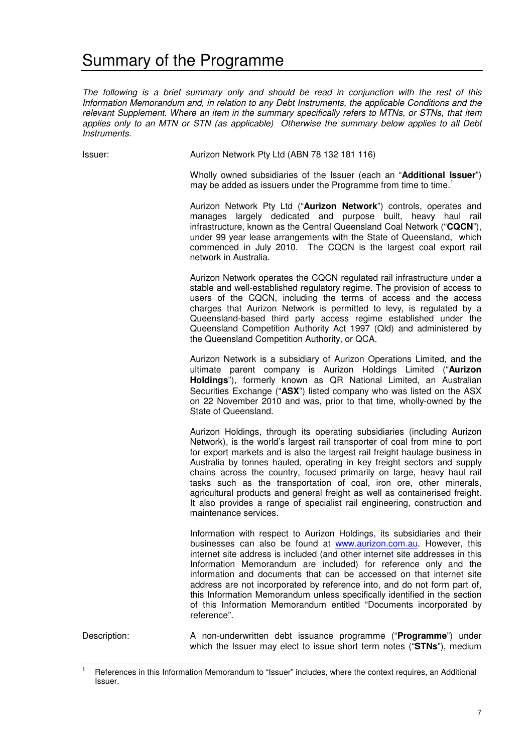# Summary of the Programme

*The following is a brief summary only and should be read in conjunction with the rest of this Information Memorandum and, in relation to any Debt Instruments, the applicable Conditions and the relevant Supplement. Where an item in the summary specifically refers to MTNs, or STNs, that item applies only to an MTN or STN (as applicable) Otherwise the summary below applies to all Debt Instruments.* 

 $\overline{a}$ 

Issuer: Aurizon Network Pty Ltd (ABN 78 132 181 116)

Wholly owned subsidiaries of the Issuer (each an "**Additional Issuer**") may be added as issuers under the Programme from time to time.<sup>1</sup>

Aurizon Network Pty Ltd ("**Aurizon Network**") controls, operates and manages largely dedicated and purpose built, heavy haul rail infrastructure, known as the Central Queensland Coal Network ("**CQCN**"), under 99 year lease arrangements with the State of Queensland, which commenced in July 2010. The CQCN is the largest coal export rail network in Australia.

Aurizon Network operates the CQCN regulated rail infrastructure under a stable and well-established regulatory regime. The provision of access to users of the CQCN, including the terms of access and the access charges that Aurizon Network is permitted to levy, is regulated by a Queensland-based third party access regime established under the Queensland Competition Authority Act 1997 (Qld) and administered by the Queensland Competition Authority, or QCA.

Aurizon Network is a subsidiary of Aurizon Operations Limited, and the ultimate parent company is Aurizon Holdings Limited ("**Aurizon Holdings**"), formerly known as QR National Limited, an Australian Securities Exchange ("**ASX**") listed company who was listed on the ASX on 22 November 2010 and was, prior to that time, wholly-owned by the State of Queensland.

Aurizon Holdings, through its operating subsidiaries (including Aurizon Network), is the world's largest rail transporter of coal from mine to port for export markets and is also the largest rail freight haulage business in Australia by tonnes hauled, operating in key freight sectors and supply chains across the country, focused primarily on large, heavy haul rail tasks such as the transportation of coal, iron ore, other minerals, agricultural products and general freight as well as containerised freight. It also provides a range of specialist rail engineering, construction and maintenance services.

Information with respect to Aurizon Holdings, its subsidiaries and their businesses can also be found at www.aurizon.com.au. However, this internet site address is included (and other internet site addresses in this Information Memorandum are included) for reference only and the information and documents that can be accessed on that internet site address are not incorporated by reference into, and do not form part of, this Information Memorandum unless specifically identified in the section of this Information Memorandum entitled "Documents incorporated by reference".

Description: A non-underwritten debt issuance programme ("**Programme**") under which the Issuer may elect to issue short term notes ("**STNs**"), medium

<sup>1</sup> References in this Information Memorandum to "Issuer" includes, where the context requires, an Additional Issuer.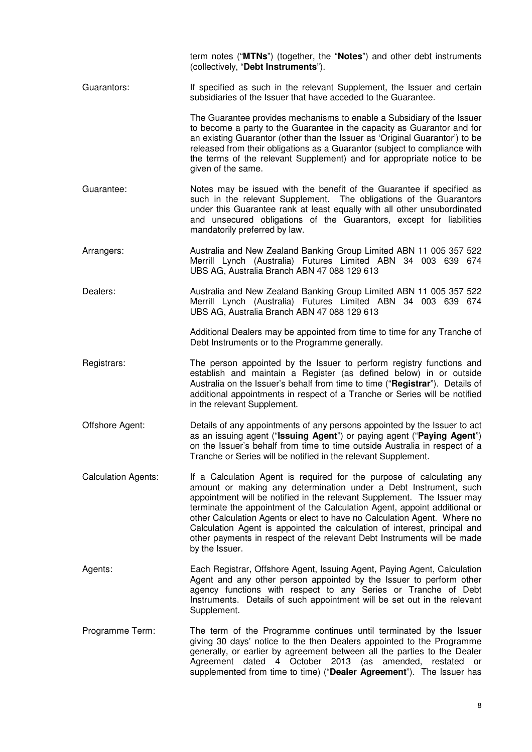|                            | term notes ("MTNs") (together, the "Notes") and other debt instruments<br>(collectively, "Debt Instruments").                                                                                                                                                                                                                                                                                                                                                                                                                                           |
|----------------------------|---------------------------------------------------------------------------------------------------------------------------------------------------------------------------------------------------------------------------------------------------------------------------------------------------------------------------------------------------------------------------------------------------------------------------------------------------------------------------------------------------------------------------------------------------------|
| Guarantors:                | If specified as such in the relevant Supplement, the Issuer and certain<br>subsidiaries of the Issuer that have acceded to the Guarantee.                                                                                                                                                                                                                                                                                                                                                                                                               |
|                            | The Guarantee provides mechanisms to enable a Subsidiary of the Issuer<br>to become a party to the Guarantee in the capacity as Guarantor and for<br>an existing Guarantor (other than the Issuer as 'Original Guarantor') to be<br>released from their obligations as a Guarantor (subject to compliance with<br>the terms of the relevant Supplement) and for appropriate notice to be<br>given of the same.                                                                                                                                          |
| Guarantee:                 | Notes may be issued with the benefit of the Guarantee if specified as<br>such in the relevant Supplement. The obligations of the Guarantors<br>under this Guarantee rank at least equally with all other unsubordinated<br>and unsecured obligations of the Guarantors, except for liabilities<br>mandatorily preferred by law.                                                                                                                                                                                                                         |
| Arrangers:                 | Australia and New Zealand Banking Group Limited ABN 11 005 357 522<br>Merrill Lynch (Australia) Futures Limited ABN 34 003 639 674<br>UBS AG, Australia Branch ABN 47 088 129 613                                                                                                                                                                                                                                                                                                                                                                       |
| Dealers:                   | Australia and New Zealand Banking Group Limited ABN 11 005 357 522<br>Merrill Lynch (Australia) Futures Limited ABN 34 003 639 674<br>UBS AG, Australia Branch ABN 47 088 129 613                                                                                                                                                                                                                                                                                                                                                                       |
|                            | Additional Dealers may be appointed from time to time for any Tranche of<br>Debt Instruments or to the Programme generally.                                                                                                                                                                                                                                                                                                                                                                                                                             |
| Registrars:                | The person appointed by the Issuer to perform registry functions and<br>establish and maintain a Register (as defined below) in or outside<br>Australia on the Issuer's behalf from time to time ("Registrar"). Details of<br>additional appointments in respect of a Tranche or Series will be notified<br>in the relevant Supplement.                                                                                                                                                                                                                 |
| Offshore Agent:            | Details of any appointments of any persons appointed by the Issuer to act<br>as an issuing agent ("Issuing Agent") or paying agent ("Paying Agent")<br>on the Issuer's behalf from time to time outside Australia in respect of a<br>Tranche or Series will be notified in the relevant Supplement.                                                                                                                                                                                                                                                     |
| <b>Calculation Agents:</b> | If a Calculation Agent is required for the purpose of calculating any<br>amount or making any determination under a Debt Instrument, such<br>appointment will be notified in the relevant Supplement. The Issuer may<br>terminate the appointment of the Calculation Agent, appoint additional or<br>other Calculation Agents or elect to have no Calculation Agent. Where no<br>Calculation Agent is appointed the calculation of interest, principal and<br>other payments in respect of the relevant Debt Instruments will be made<br>by the Issuer. |
| Agents:                    | Each Registrar, Offshore Agent, Issuing Agent, Paying Agent, Calculation<br>Agent and any other person appointed by the Issuer to perform other<br>agency functions with respect to any Series or Tranche of Debt<br>Instruments. Details of such appointment will be set out in the relevant<br>Supplement.                                                                                                                                                                                                                                            |
| Programme Term:            | The term of the Programme continues until terminated by the Issuer<br>giving 30 days' notice to the then Dealers appointed to the Programme<br>generally, or earlier by agreement between all the parties to the Dealer<br>Agreement dated 4 October 2013 (as amended, restated or<br>supplemented from time to time) ("Dealer Agreement"). The Issuer has                                                                                                                                                                                              |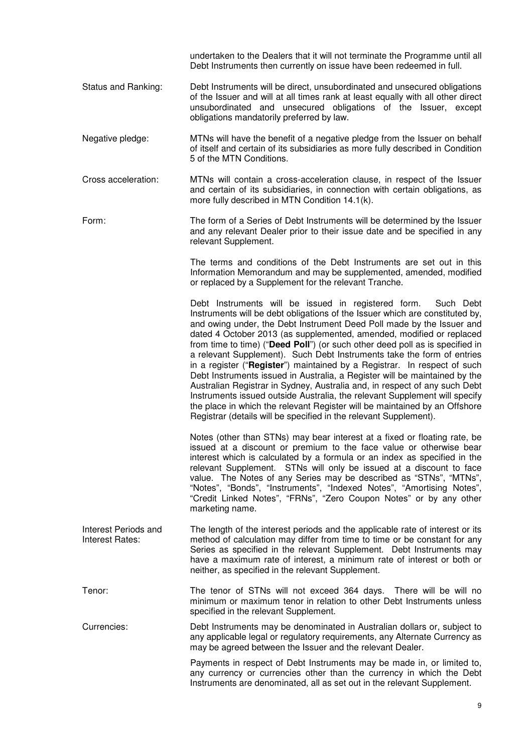undertaken to the Dealers that it will not terminate the Programme until all Debt Instruments then currently on issue have been redeemed in full.

- Status and Ranking: Debt Instruments will be direct, unsubordinated and unsecured obligations of the Issuer and will at all times rank at least equally with all other direct unsubordinated and unsecured obligations of the Issuer, except obligations mandatorily preferred by law.
- Negative pledge: MTNs will have the benefit of a negative pledge from the Issuer on behalf of itself and certain of its subsidiaries as more fully described in Condition 5 of the MTN Conditions.
- Cross acceleration: MTNs will contain a cross-acceleration clause, in respect of the Issuer and certain of its subsidiaries, in connection with certain obligations, as more fully described in MTN Condition 14.1(k).
- Form: The form of a Series of Debt Instruments will be determined by the Issuer and any relevant Dealer prior to their issue date and be specified in any relevant Supplement.

 The terms and conditions of the Debt Instruments are set out in this Information Memorandum and may be supplemented, amended, modified or replaced by a Supplement for the relevant Tranche.

Debt Instruments will be issued in registered form. Such Debt Instruments will be debt obligations of the Issuer which are constituted by, and owing under, the Debt Instrument Deed Poll made by the Issuer and dated 4 October 2013 (as supplemented, amended, modified or replaced from time to time) ("**Deed Poll**") (or such other deed poll as is specified in a relevant Supplement). Such Debt Instruments take the form of entries in a register ("**Register**") maintained by a Registrar. In respect of such Debt Instruments issued in Australia, a Register will be maintained by the Australian Registrar in Sydney, Australia and, in respect of any such Debt Instruments issued outside Australia, the relevant Supplement will specify the place in which the relevant Register will be maintained by an Offshore Registrar (details will be specified in the relevant Supplement).

 Notes (other than STNs) may bear interest at a fixed or floating rate, be issued at a discount or premium to the face value or otherwise bear interest which is calculated by a formula or an index as specified in the relevant Supplement. STNs will only be issued at a discount to face value. The Notes of any Series may be described as "STNs", "MTNs", "Notes", "Bonds", "Instruments", "Indexed Notes", "Amortising Notes", "Credit Linked Notes", "FRNs", "Zero Coupon Notes" or by any other marketing name.

- Interest Periods and Interest Rates: The length of the interest periods and the applicable rate of interest or its method of calculation may differ from time to time or be constant for any Series as specified in the relevant Supplement. Debt Instruments may have a maximum rate of interest, a minimum rate of interest or both or neither, as specified in the relevant Supplement.
- Tenor: The tenor of STNs will not exceed 364 days. There will be will no minimum or maximum tenor in relation to other Debt Instruments unless specified in the relevant Supplement.
- Currencies: Debt Instruments may be denominated in Australian dollars or, subject to any applicable legal or regulatory requirements, any Alternate Currency as may be agreed between the Issuer and the relevant Dealer.

Payments in respect of Debt Instruments may be made in, or limited to, any currency or currencies other than the currency in which the Debt Instruments are denominated, all as set out in the relevant Supplement.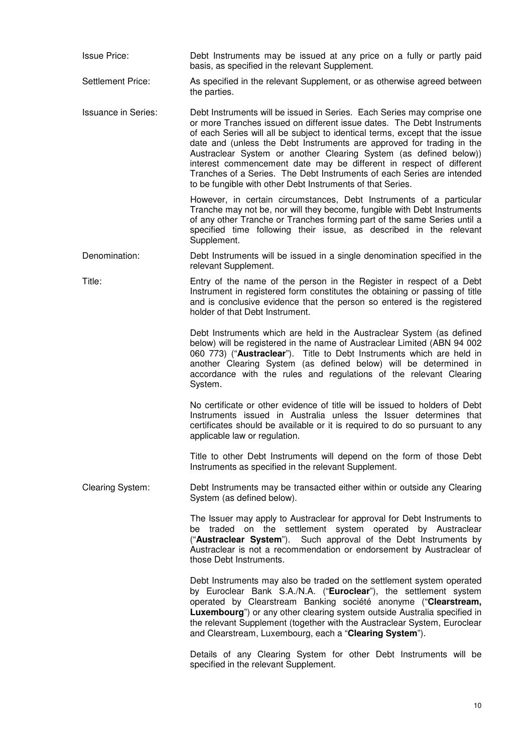| <b>Issue Price:</b>        | Debt Instruments may be issued at any price on a fully or partly paid<br>basis, as specified in the relevant Supplement.                                                                                                                                                                                                                                                                                                                                                                                                                                                                       |
|----------------------------|------------------------------------------------------------------------------------------------------------------------------------------------------------------------------------------------------------------------------------------------------------------------------------------------------------------------------------------------------------------------------------------------------------------------------------------------------------------------------------------------------------------------------------------------------------------------------------------------|
| <b>Settlement Price:</b>   | As specified in the relevant Supplement, or as otherwise agreed between<br>the parties.                                                                                                                                                                                                                                                                                                                                                                                                                                                                                                        |
| <b>Issuance in Series:</b> | Debt Instruments will be issued in Series. Each Series may comprise one<br>or more Tranches issued on different issue dates. The Debt Instruments<br>of each Series will all be subject to identical terms, except that the issue<br>date and (unless the Debt Instruments are approved for trading in the<br>Austraclear System or another Clearing System (as defined below))<br>interest commencement date may be different in respect of different<br>Tranches of a Series. The Debt Instruments of each Series are intended<br>to be fungible with other Debt Instruments of that Series. |
|                            | However, in certain circumstances, Debt Instruments of a particular<br>Tranche may not be, nor will they become, fungible with Debt Instruments<br>of any other Tranche or Tranches forming part of the same Series until a<br>specified time following their issue, as described in the relevant<br>Supplement.                                                                                                                                                                                                                                                                               |
| Denomination:              | Debt Instruments will be issued in a single denomination specified in the<br>relevant Supplement.                                                                                                                                                                                                                                                                                                                                                                                                                                                                                              |
| Title:                     | Entry of the name of the person in the Register in respect of a Debt<br>Instrument in registered form constitutes the obtaining or passing of title<br>and is conclusive evidence that the person so entered is the registered<br>holder of that Debt Instrument.                                                                                                                                                                                                                                                                                                                              |
|                            | Debt Instruments which are held in the Austraclear System (as defined<br>below) will be registered in the name of Austraclear Limited (ABN 94 002<br>060 773) ("Austraclear"). Title to Debt Instruments which are held in<br>another Clearing System (as defined below) will be determined in<br>accordance with the rules and regulations of the relevant Clearing<br>System.                                                                                                                                                                                                                |
|                            | No certificate or other evidence of title will be issued to holders of Debt<br>Instruments issued in Australia unless the Issuer determines that<br>certificates should be available or it is required to do so pursuant to any<br>applicable law or regulation.                                                                                                                                                                                                                                                                                                                               |
|                            | Title to other Debt Instruments will depend on the form of those Debt<br>Instruments as specified in the relevant Supplement.                                                                                                                                                                                                                                                                                                                                                                                                                                                                  |
| <b>Clearing System:</b>    | Debt Instruments may be transacted either within or outside any Clearing<br>System (as defined below).                                                                                                                                                                                                                                                                                                                                                                                                                                                                                         |
|                            | The Issuer may apply to Austraclear for approval for Debt Instruments to<br>be traded on the settlement system operated by Austraclear<br>("Austraclear System"). Such approval of the Debt Instruments by<br>Austraclear is not a recommendation or endorsement by Austraclear of<br>those Debt Instruments.                                                                                                                                                                                                                                                                                  |
|                            | Debt Instruments may also be traded on the settlement system operated<br>by Euroclear Bank S.A./N.A. ("Euroclear"), the settlement system<br>operated by Clearstream Banking société anonyme ("Clearstream,<br>Luxembourg") or any other clearing system outside Australia specified in<br>the relevant Supplement (together with the Austraclear System, Euroclear<br>and Clearstream, Luxembourg, each a "Clearing System").                                                                                                                                                                 |
|                            | Details of any Clearing System for other Debt Instruments will be<br>specified in the relevant Supplement.                                                                                                                                                                                                                                                                                                                                                                                                                                                                                     |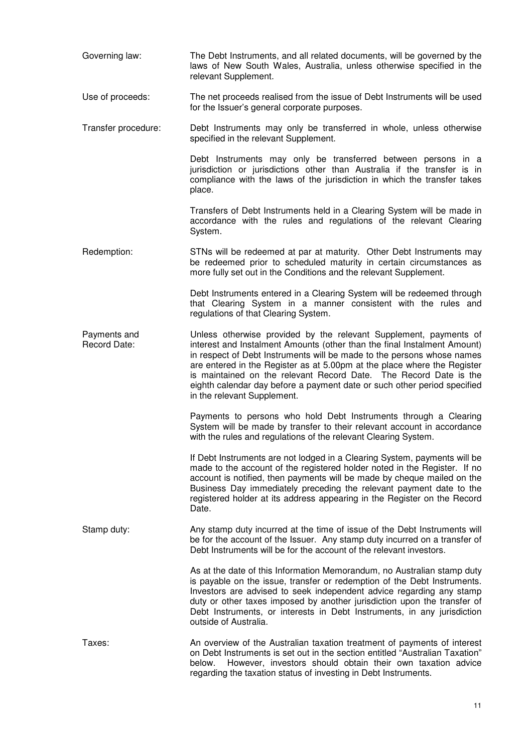| Governing law:               | The Debt Instruments, and all related documents, will be governed by the<br>laws of New South Wales, Australia, unless otherwise specified in the<br>relevant Supplement.                                                                                                                                                                                                                                                                                                           |
|------------------------------|-------------------------------------------------------------------------------------------------------------------------------------------------------------------------------------------------------------------------------------------------------------------------------------------------------------------------------------------------------------------------------------------------------------------------------------------------------------------------------------|
| Use of proceeds:             | The net proceeds realised from the issue of Debt Instruments will be used<br>for the Issuer's general corporate purposes.                                                                                                                                                                                                                                                                                                                                                           |
| Transfer procedure:          | Debt Instruments may only be transferred in whole, unless otherwise<br>specified in the relevant Supplement.                                                                                                                                                                                                                                                                                                                                                                        |
|                              | Debt Instruments may only be transferred between persons in a<br>jurisdiction or jurisdictions other than Australia if the transfer is in<br>compliance with the laws of the jurisdiction in which the transfer takes<br>place.                                                                                                                                                                                                                                                     |
|                              | Transfers of Debt Instruments held in a Clearing System will be made in<br>accordance with the rules and regulations of the relevant Clearing<br>System.                                                                                                                                                                                                                                                                                                                            |
| Redemption:                  | STNs will be redeemed at par at maturity. Other Debt Instruments may<br>be redeemed prior to scheduled maturity in certain circumstances as<br>more fully set out in the Conditions and the relevant Supplement.                                                                                                                                                                                                                                                                    |
|                              | Debt Instruments entered in a Clearing System will be redeemed through<br>that Clearing System in a manner consistent with the rules and<br>regulations of that Clearing System.                                                                                                                                                                                                                                                                                                    |
| Payments and<br>Record Date: | Unless otherwise provided by the relevant Supplement, payments of<br>interest and Instalment Amounts (other than the final Instalment Amount)<br>in respect of Debt Instruments will be made to the persons whose names<br>are entered in the Register as at 5.00pm at the place where the Register<br>is maintained on the relevant Record Date. The Record Date is the<br>eighth calendar day before a payment date or such other period specified<br>in the relevant Supplement. |
|                              | Payments to persons who hold Debt Instruments through a Clearing<br>System will be made by transfer to their relevant account in accordance<br>with the rules and regulations of the relevant Clearing System.                                                                                                                                                                                                                                                                      |
|                              | If Debt Instruments are not lodged in a Clearing System, payments will be<br>made to the account of the registered holder noted in the Register. If no<br>account is notified, then payments will be made by cheque mailed on the<br>Business Day immediately preceding the relevant payment date to the<br>registered holder at its address appearing in the Register on the Record<br>Date.                                                                                       |
| Stamp duty:                  | Any stamp duty incurred at the time of issue of the Debt Instruments will<br>be for the account of the Issuer. Any stamp duty incurred on a transfer of<br>Debt Instruments will be for the account of the relevant investors.                                                                                                                                                                                                                                                      |
|                              | As at the date of this Information Memorandum, no Australian stamp duty<br>is payable on the issue, transfer or redemption of the Debt Instruments.<br>Investors are advised to seek independent advice regarding any stamp<br>duty or other taxes imposed by another jurisdiction upon the transfer of<br>Debt Instruments, or interests in Debt Instruments, in any jurisdiction<br>outside of Australia.                                                                         |
| Taxes:                       | An overview of the Australian taxation treatment of payments of interest<br>on Debt Instruments is set out in the section entitled "Australian Taxation"<br>However, investors should obtain their own taxation advice<br>below.<br>regarding the taxation status of investing in Debt Instruments.                                                                                                                                                                                 |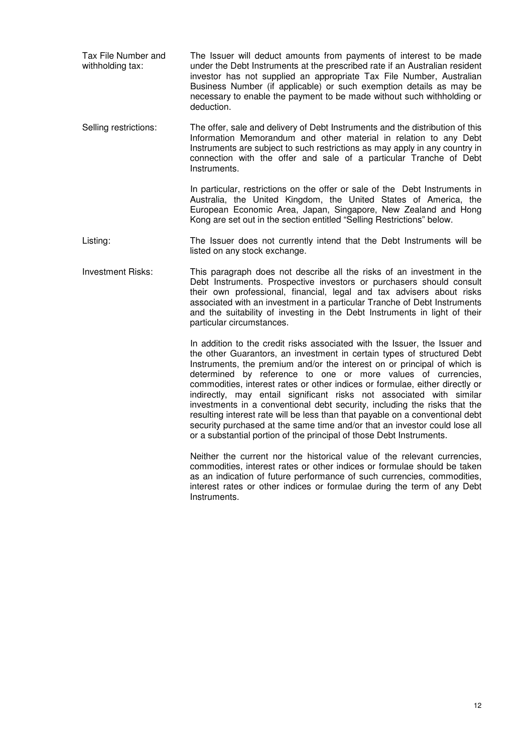Tax File Number and withholding tax: The Issuer will deduct amounts from payments of interest to be made under the Debt Instruments at the prescribed rate if an Australian resident investor has not supplied an appropriate Tax File Number, Australian Business Number (if applicable) or such exemption details as may be necessary to enable the payment to be made without such withholding or deduction.

Selling restrictions: The offer, sale and delivery of Debt Instruments and the distribution of this Information Memorandum and other material in relation to any Debt Instruments are subject to such restrictions as may apply in any country in connection with the offer and sale of a particular Tranche of Debt Instruments.

> In particular, restrictions on the offer or sale of the Debt Instruments in Australia, the United Kingdom, the United States of America, the European Economic Area, Japan, Singapore, New Zealand and Hong Kong are set out in the section entitled "Selling Restrictions" below.

Listing: The Issuer does not currently intend that the Debt Instruments will be listed on any stock exchange.

Investment Risks: This paragraph does not describe all the risks of an investment in the Debt Instruments. Prospective investors or purchasers should consult their own professional, financial, legal and tax advisers about risks associated with an investment in a particular Tranche of Debt Instruments and the suitability of investing in the Debt Instruments in light of their particular circumstances.

> In addition to the credit risks associated with the Issuer, the Issuer and the other Guarantors, an investment in certain types of structured Debt Instruments, the premium and/or the interest on or principal of which is determined by reference to one or more values of currencies, commodities, interest rates or other indices or formulae, either directly or indirectly, may entail significant risks not associated with similar investments in a conventional debt security, including the risks that the resulting interest rate will be less than that payable on a conventional debt security purchased at the same time and/or that an investor could lose all or a substantial portion of the principal of those Debt Instruments.

> Neither the current nor the historical value of the relevant currencies, commodities, interest rates or other indices or formulae should be taken as an indication of future performance of such currencies, commodities, interest rates or other indices or formulae during the term of any Debt Instruments.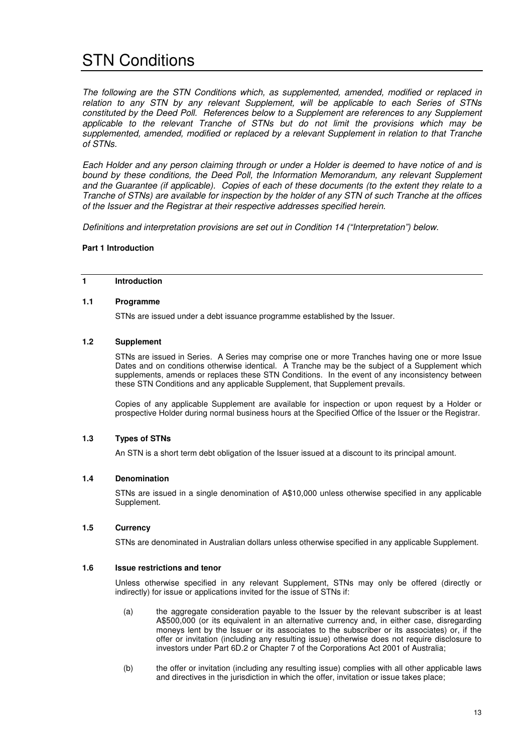# STN Conditions

*The following are the STN Conditions which, as supplemented, amended, modified or replaced in relation to any STN by any relevant Supplement, will be applicable to each Series of STNs constituted by the Deed Poll. References below to a Supplement are references to any Supplement applicable to the relevant Tranche of STNs but do not limit the provisions which may be supplemented, amended, modified or replaced by a relevant Supplement in relation to that Tranche of STNs.*

*Each Holder and any person claiming through or under a Holder is deemed to have notice of and is bound by these conditions, the Deed Poll, the Information Memorandum, any relevant Supplement and the Guarantee (if applicable). Copies of each of these documents (to the extent they relate to a Tranche of STNs) are available for inspection by the holder of any STN of such Tranche at the offices of the Issuer and the Registrar at their respective addresses specified herein.* 

*Definitions and interpretation provisions are set out in Condition 14 ("Interpretation") below.*

#### **Part 1 Introduction**

## **1 Introduction**

#### **1.1 Programme**

STNs are issued under a debt issuance programme established by the Issuer.

### **1.2 Supplement**

STNs are issued in Series. A Series may comprise one or more Tranches having one or more Issue Dates and on conditions otherwise identical. A Tranche may be the subject of a Supplement which supplements, amends or replaces these STN Conditions. In the event of any inconsistency between these STN Conditions and any applicable Supplement, that Supplement prevails.

Copies of any applicable Supplement are available for inspection or upon request by a Holder or prospective Holder during normal business hours at the Specified Office of the Issuer or the Registrar.

## **1.3 Types of STNs**

An STN is a short term debt obligation of the Issuer issued at a discount to its principal amount.

#### **1.4 Denomination**

STNs are issued in a single denomination of A\$10,000 unless otherwise specified in any applicable Supplement.

#### **1.5 Currency**

STNs are denominated in Australian dollars unless otherwise specified in any applicable Supplement.

#### **1.6 Issue restrictions and tenor**

Unless otherwise specified in any relevant Supplement, STNs may only be offered (directly or indirectly) for issue or applications invited for the issue of STNs if:

- (a) the aggregate consideration payable to the Issuer by the relevant subscriber is at least A\$500,000 (or its equivalent in an alternative currency and, in either case, disregarding moneys lent by the Issuer or its associates to the subscriber or its associates) or, if the offer or invitation (including any resulting issue) otherwise does not require disclosure to investors under Part 6D.2 or Chapter 7 of the Corporations Act 2001 of Australia;
- (b) the offer or invitation (including any resulting issue) complies with all other applicable laws and directives in the jurisdiction in which the offer, invitation or issue takes place;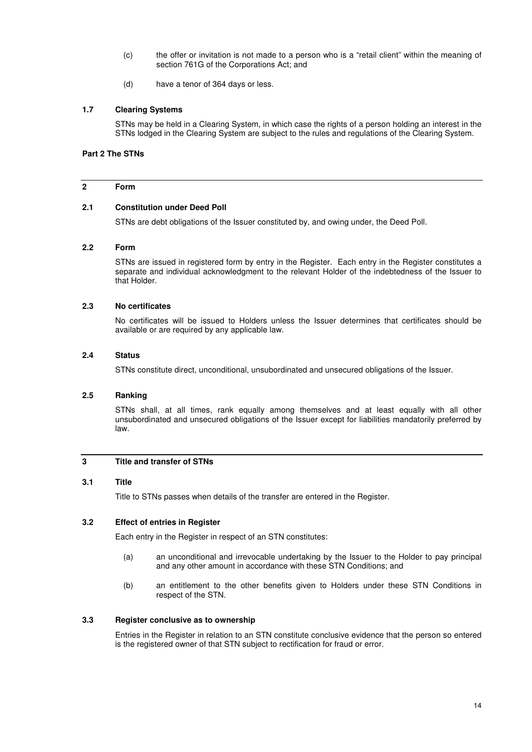- (c) the offer or invitation is not made to a person who is a "retail client" within the meaning of section 761G of the Corporations Act; and
- (d) have a tenor of 364 days or less.

#### **1.7 Clearing Systems**

STNs may be held in a Clearing System, in which case the rights of a person holding an interest in the STNs lodged in the Clearing System are subject to the rules and regulations of the Clearing System.

## **Part 2 The STNs**

#### **2 Form**

#### **2.1 Constitution under Deed Poll**

STNs are debt obligations of the Issuer constituted by, and owing under, the Deed Poll.

#### **2.2 Form**

STNs are issued in registered form by entry in the Register. Each entry in the Register constitutes a separate and individual acknowledgment to the relevant Holder of the indebtedness of the Issuer to that Holder.

#### **2.3 No certificates**

No certificates will be issued to Holders unless the Issuer determines that certificates should be available or are required by any applicable law.

#### **2.4 Status**

STNs constitute direct, unconditional, unsubordinated and unsecured obligations of the Issuer.

#### **2.5 Ranking**

STNs shall, at all times, rank equally among themselves and at least equally with all other unsubordinated and unsecured obligations of the Issuer except for liabilities mandatorily preferred by law.

## **3 Title and transfer of STNs**

#### **3.1 Title**

Title to STNs passes when details of the transfer are entered in the Register.

### **3.2 Effect of entries in Register**

Each entry in the Register in respect of an STN constitutes:

- (a) an unconditional and irrevocable undertaking by the Issuer to the Holder to pay principal and any other amount in accordance with these STN Conditions; and
- (b) an entitlement to the other benefits given to Holders under these STN Conditions in respect of the STN.

## **3.3 Register conclusive as to ownership**

Entries in the Register in relation to an STN constitute conclusive evidence that the person so entered is the registered owner of that STN subject to rectification for fraud or error.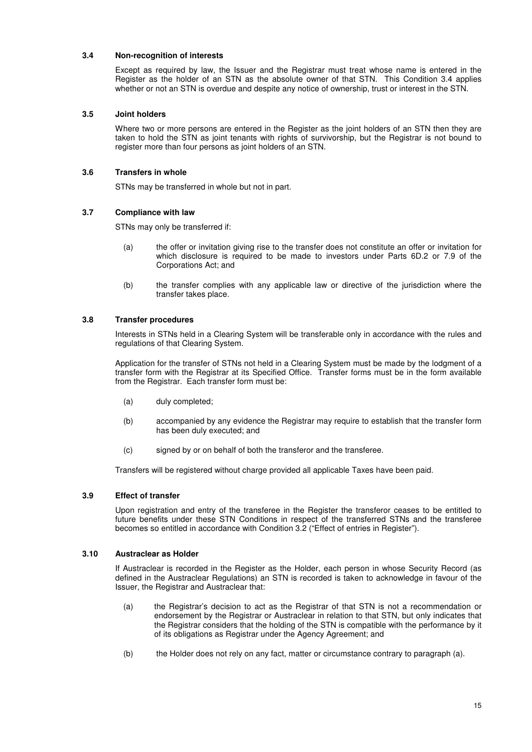### **3.4 Non-recognition of interests**

Except as required by law, the Issuer and the Registrar must treat whose name is entered in the Register as the holder of an STN as the absolute owner of that STN. This Condition 3.4 applies whether or not an STN is overdue and despite any notice of ownership, trust or interest in the STN.

#### **3.5 Joint holders**

Where two or more persons are entered in the Register as the joint holders of an STN then they are taken to hold the STN as joint tenants with rights of survivorship, but the Registrar is not bound to register more than four persons as joint holders of an STN.

## **3.6 Transfers in whole**

STNs may be transferred in whole but not in part.

#### **3.7 Compliance with law**

STNs may only be transferred if:

- (a) the offer or invitation giving rise to the transfer does not constitute an offer or invitation for which disclosure is required to be made to investors under Parts 6D.2 or 7.9 of the Corporations Act; and
- (b) the transfer complies with any applicable law or directive of the jurisdiction where the transfer takes place.

#### **3.8 Transfer procedures**

Interests in STNs held in a Clearing System will be transferable only in accordance with the rules and regulations of that Clearing System.

Application for the transfer of STNs not held in a Clearing System must be made by the lodgment of a transfer form with the Registrar at its Specified Office. Transfer forms must be in the form available from the Registrar. Each transfer form must be:

- (a) duly completed;
- (b) accompanied by any evidence the Registrar may require to establish that the transfer form has been duly executed; and
- (c) signed by or on behalf of both the transferor and the transferee.

Transfers will be registered without charge provided all applicable Taxes have been paid.

## **3.9 Effect of transfer**

Upon registration and entry of the transferee in the Register the transferor ceases to be entitled to future benefits under these STN Conditions in respect of the transferred STNs and the transferee becomes so entitled in accordance with Condition 3.2 ("Effect of entries in Register").

#### **3.10 Austraclear as Holder**

If Austraclear is recorded in the Register as the Holder, each person in whose Security Record (as defined in the Austraclear Regulations) an STN is recorded is taken to acknowledge in favour of the Issuer, the Registrar and Austraclear that:

- (a) the Registrar's decision to act as the Registrar of that STN is not a recommendation or endorsement by the Registrar or Austraclear in relation to that STN, but only indicates that the Registrar considers that the holding of the STN is compatible with the performance by it of its obligations as Registrar under the Agency Agreement; and
- (b) the Holder does not rely on any fact, matter or circumstance contrary to paragraph (a).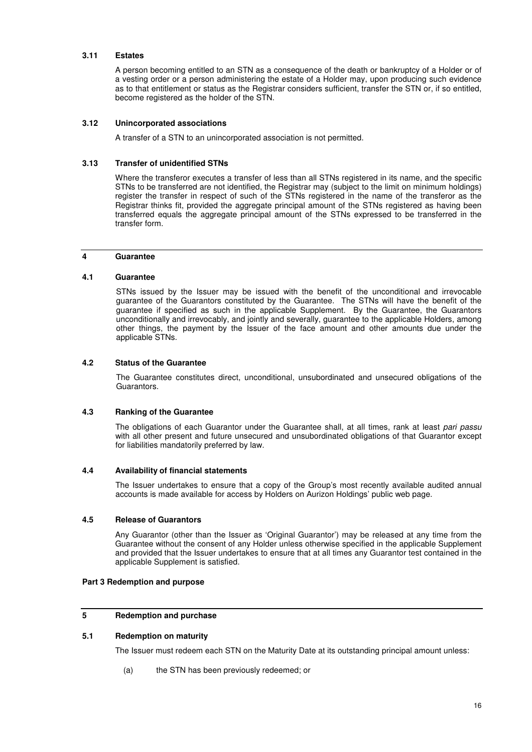#### **3.11 Estates**

A person becoming entitled to an STN as a consequence of the death or bankruptcy of a Holder or of a vesting order or a person administering the estate of a Holder may, upon producing such evidence as to that entitlement or status as the Registrar considers sufficient, transfer the STN or, if so entitled, become registered as the holder of the STN.

### **3.12 Unincorporated associations**

A transfer of a STN to an unincorporated association is not permitted.

#### **3.13 Transfer of unidentified STNs**

Where the transferor executes a transfer of less than all STNs registered in its name, and the specific STNs to be transferred are not identified, the Registrar may (subject to the limit on minimum holdings) register the transfer in respect of such of the STNs registered in the name of the transferor as the Registrar thinks fit, provided the aggregate principal amount of the STNs registered as having been transferred equals the aggregate principal amount of the STNs expressed to be transferred in the transfer form.

#### **4 Guarantee**

#### **4.1 Guarantee**

STNs issued by the Issuer may be issued with the benefit of the unconditional and irrevocable guarantee of the Guarantors constituted by the Guarantee. The STNs will have the benefit of the guarantee if specified as such in the applicable Supplement. By the Guarantee, the Guarantors unconditionally and irrevocably, and jointly and severally, guarantee to the applicable Holders, among other things, the payment by the Issuer of the face amount and other amounts due under the applicable STNs.

#### **4.2 Status of the Guarantee**

The Guarantee constitutes direct, unconditional, unsubordinated and unsecured obligations of the Guarantors.

#### **4.3 Ranking of the Guarantee**

The obligations of each Guarantor under the Guarantee shall, at all times, rank at least *pari passu* with all other present and future unsecured and unsubordinated obligations of that Guarantor except for liabilities mandatorily preferred by law.

#### **4.4 Availability of financial statements**

The Issuer undertakes to ensure that a copy of the Group's most recently available audited annual accounts is made available for access by Holders on Aurizon Holdings' public web page.

## **4.5 Release of Guarantors**

Any Guarantor (other than the Issuer as 'Original Guarantor') may be released at any time from the Guarantee without the consent of any Holder unless otherwise specified in the applicable Supplement and provided that the Issuer undertakes to ensure that at all times any Guarantor test contained in the applicable Supplement is satisfied.

## **Part 3 Redemption and purpose**

#### **5 Redemption and purchase**

#### **5.1 Redemption on maturity**

The Issuer must redeem each STN on the Maturity Date at its outstanding principal amount unless:

(a) the STN has been previously redeemed; or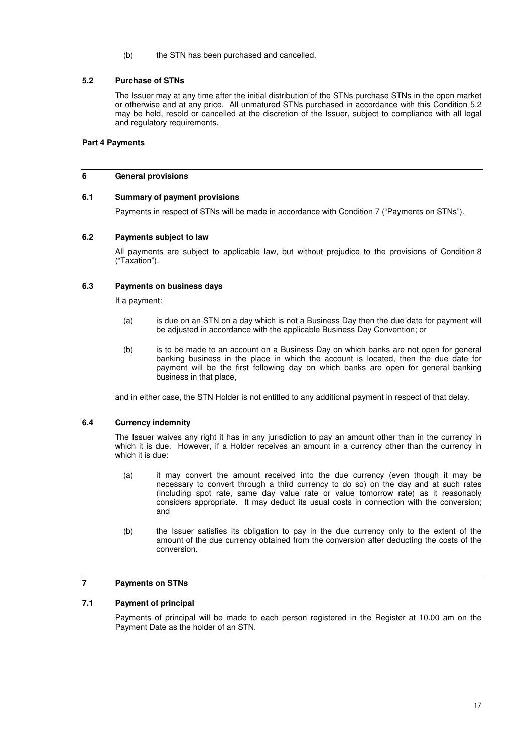(b) the STN has been purchased and cancelled.

## **5.2 Purchase of STNs**

The Issuer may at any time after the initial distribution of the STNs purchase STNs in the open market or otherwise and at any price. All unmatured STNs purchased in accordance with this Condition 5.2 may be held, resold or cancelled at the discretion of the Issuer, subject to compliance with all legal and regulatory requirements.

## **Part 4 Payments**

#### **6 General provisions**

## **6.1 Summary of payment provisions**

Payments in respect of STNs will be made in accordance with Condition 7 ("Payments on STNs").

#### **6.2 Payments subject to law**

All payments are subject to applicable law, but without prejudice to the provisions of Condition 8 ("Taxation").

#### **6.3 Payments on business days**

If a payment:

- (a) is due on an STN on a day which is not a Business Day then the due date for payment will be adjusted in accordance with the applicable Business Day Convention; or
- (b) is to be made to an account on a Business Day on which banks are not open for general banking business in the place in which the account is located, then the due date for payment will be the first following day on which banks are open for general banking business in that place,

and in either case, the STN Holder is not entitled to any additional payment in respect of that delay.

#### **6.4 Currency indemnity**

The Issuer waives any right it has in any jurisdiction to pay an amount other than in the currency in which it is due. However, if a Holder receives an amount in a currency other than the currency in which it is due:

- (a) it may convert the amount received into the due currency (even though it may be necessary to convert through a third currency to do so) on the day and at such rates (including spot rate, same day value rate or value tomorrow rate) as it reasonably considers appropriate. It may deduct its usual costs in connection with the conversion; and
- (b) the Issuer satisfies its obligation to pay in the due currency only to the extent of the amount of the due currency obtained from the conversion after deducting the costs of the conversion.

## **7 Payments on STNs**

## **7.1 Payment of principal**

Payments of principal will be made to each person registered in the Register at 10.00 am on the Payment Date as the holder of an STN.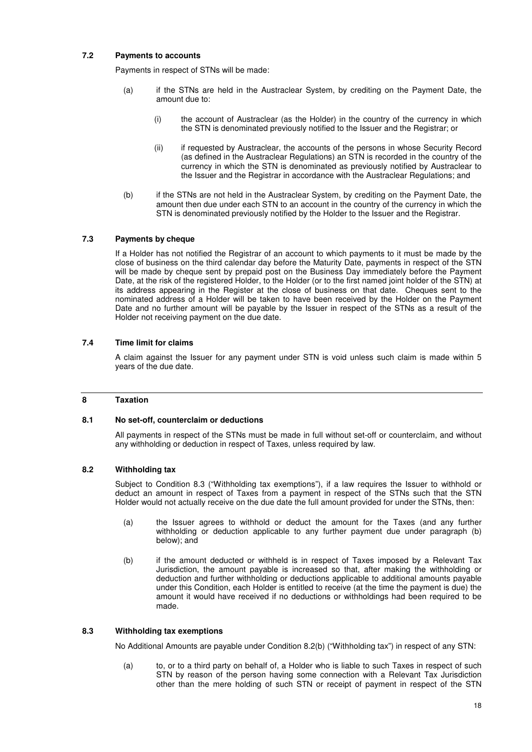## **7.2 Payments to accounts**

Payments in respect of STNs will be made:

- (a) if the STNs are held in the Austraclear System, by crediting on the Payment Date, the amount due to:
	- (i) the account of Austraclear (as the Holder) in the country of the currency in which the STN is denominated previously notified to the Issuer and the Registrar; or
	- (ii) if requested by Austraclear, the accounts of the persons in whose Security Record (as defined in the Austraclear Regulations) an STN is recorded in the country of the currency in which the STN is denominated as previously notified by Austraclear to the Issuer and the Registrar in accordance with the Austraclear Regulations; and
- (b) if the STNs are not held in the Austraclear System, by crediting on the Payment Date, the amount then due under each STN to an account in the country of the currency in which the STN is denominated previously notified by the Holder to the Issuer and the Registrar.

#### **7.3 Payments by cheque**

If a Holder has not notified the Registrar of an account to which payments to it must be made by the close of business on the third calendar day before the Maturity Date, payments in respect of the STN will be made by cheque sent by prepaid post on the Business Day immediately before the Payment Date, at the risk of the registered Holder, to the Holder (or to the first named joint holder of the STN) at its address appearing in the Register at the close of business on that date. Cheques sent to the nominated address of a Holder will be taken to have been received by the Holder on the Payment Date and no further amount will be payable by the Issuer in respect of the STNs as a result of the Holder not receiving payment on the due date.

#### **7.4 Time limit for claims**

A claim against the Issuer for any payment under STN is void unless such claim is made within 5 years of the due date.

#### **8 Taxation**

#### **8.1 No set-off, counterclaim or deductions**

All payments in respect of the STNs must be made in full without set-off or counterclaim, and without any withholding or deduction in respect of Taxes, unless required by law.

### **8.2 Withholding tax**

Subject to Condition 8.3 ("Withholding tax exemptions"), if a law requires the Issuer to withhold or deduct an amount in respect of Taxes from a payment in respect of the STNs such that the STN Holder would not actually receive on the due date the full amount provided for under the STNs, then:

- (a) the Issuer agrees to withhold or deduct the amount for the Taxes (and any further withholding or deduction applicable to any further payment due under paragraph (b) below); and
- (b) if the amount deducted or withheld is in respect of Taxes imposed by a Relevant Tax Jurisdiction, the amount payable is increased so that, after making the withholding or deduction and further withholding or deductions applicable to additional amounts payable under this Condition, each Holder is entitled to receive (at the time the payment is due) the amount it would have received if no deductions or withholdings had been required to be made.

## **8.3 Withholding tax exemptions**

No Additional Amounts are payable under Condition 8.2(b) ("Withholding tax") in respect of any STN:

(a) to, or to a third party on behalf of, a Holder who is liable to such Taxes in respect of such STN by reason of the person having some connection with a Relevant Tax Jurisdiction other than the mere holding of such STN or receipt of payment in respect of the STN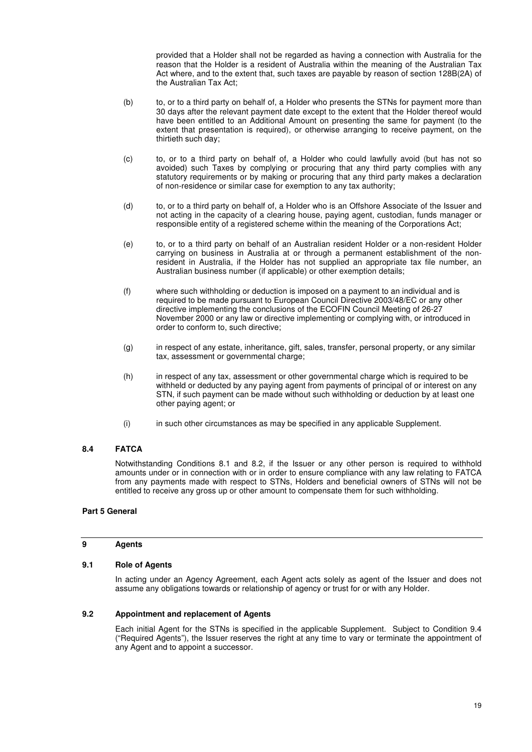provided that a Holder shall not be regarded as having a connection with Australia for the reason that the Holder is a resident of Australia within the meaning of the Australian Tax Act where, and to the extent that, such taxes are payable by reason of section 128B(2A) of the Australian Tax Act;

- (b) to, or to a third party on behalf of, a Holder who presents the STNs for payment more than 30 days after the relevant payment date except to the extent that the Holder thereof would have been entitled to an Additional Amount on presenting the same for payment (to the extent that presentation is required), or otherwise arranging to receive payment, on the thirtieth such day;
- (c) to, or to a third party on behalf of, a Holder who could lawfully avoid (but has not so avoided) such Taxes by complying or procuring that any third party complies with any statutory requirements or by making or procuring that any third party makes a declaration of non-residence or similar case for exemption to any tax authority;
- (d) to, or to a third party on behalf of, a Holder who is an Offshore Associate of the Issuer and not acting in the capacity of a clearing house, paying agent, custodian, funds manager or responsible entity of a registered scheme within the meaning of the Corporations Act;
- (e) to, or to a third party on behalf of an Australian resident Holder or a non-resident Holder carrying on business in Australia at or through a permanent establishment of the nonresident in Australia, if the Holder has not supplied an appropriate tax file number, an Australian business number (if applicable) or other exemption details;
- (f) where such withholding or deduction is imposed on a payment to an individual and is required to be made pursuant to European Council Directive 2003/48/EC or any other directive implementing the conclusions of the ECOFIN Council Meeting of 26-27 November 2000 or any law or directive implementing or complying with, or introduced in order to conform to, such directive;
- (g) in respect of any estate, inheritance, gift, sales, transfer, personal property, or any similar tax, assessment or governmental charge;
- (h) in respect of any tax, assessment or other governmental charge which is required to be withheld or deducted by any paying agent from payments of principal of or interest on any STN, if such payment can be made without such withholding or deduction by at least one other paying agent; or
- (i) in such other circumstances as may be specified in any applicable Supplement.

## **8.4 FATCA**

Notwithstanding Conditions 8.1 and 8.2, if the Issuer or any other person is required to withhold amounts under or in connection with or in order to ensure compliance with any law relating to FATCA from any payments made with respect to STNs, Holders and beneficial owners of STNs will not be entitled to receive any gross up or other amount to compensate them for such withholding.

#### **Part 5 General**

#### **9 Agents**

#### **9.1 Role of Agents**

In acting under an Agency Agreement, each Agent acts solely as agent of the Issuer and does not assume any obligations towards or relationship of agency or trust for or with any Holder.

#### **9.2 Appointment and replacement of Agents**

Each initial Agent for the STNs is specified in the applicable Supplement. Subject to Condition 9.4 ("Required Agents"), the Issuer reserves the right at any time to vary or terminate the appointment of any Agent and to appoint a successor.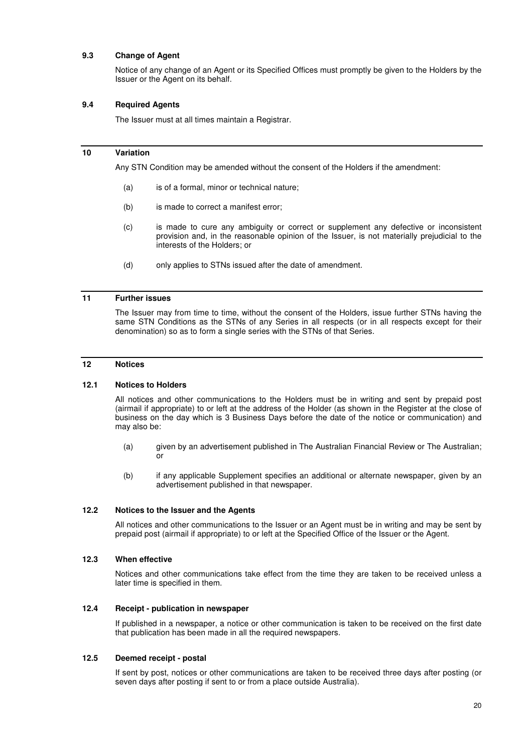## **9.3 Change of Agent**

Notice of any change of an Agent or its Specified Offices must promptly be given to the Holders by the Issuer or the Agent on its behalf.

#### **9.4 Required Agents**

The Issuer must at all times maintain a Registrar.

## **10 Variation**

Any STN Condition may be amended without the consent of the Holders if the amendment:

- (a) is of a formal, minor or technical nature;
- (b) is made to correct a manifest error;
- (c) is made to cure any ambiguity or correct or supplement any defective or inconsistent provision and, in the reasonable opinion of the Issuer, is not materially prejudicial to the interests of the Holders; or
- (d) only applies to STNs issued after the date of amendment.

## **11 Further issues**

The Issuer may from time to time, without the consent of the Holders, issue further STNs having the same STN Conditions as the STNs of any Series in all respects (or in all respects except for their denomination) so as to form a single series with the STNs of that Series.

## **12 Notices**

#### **12.1 Notices to Holders**

All notices and other communications to the Holders must be in writing and sent by prepaid post (airmail if appropriate) to or left at the address of the Holder (as shown in the Register at the close of business on the day which is 3 Business Days before the date of the notice or communication) and may also be:

- (a) given by an advertisement published in The Australian Financial Review or The Australian; or
- (b) if any applicable Supplement specifies an additional or alternate newspaper, given by an advertisement published in that newspaper.

## **12.2 Notices to the Issuer and the Agents**

All notices and other communications to the Issuer or an Agent must be in writing and may be sent by prepaid post (airmail if appropriate) to or left at the Specified Office of the Issuer or the Agent.

#### **12.3 When effective**

Notices and other communications take effect from the time they are taken to be received unless a later time is specified in them.

#### **12.4 Receipt - publication in newspaper**

If published in a newspaper, a notice or other communication is taken to be received on the first date that publication has been made in all the required newspapers.

#### **12.5 Deemed receipt - postal**

If sent by post, notices or other communications are taken to be received three days after posting (or seven days after posting if sent to or from a place outside Australia).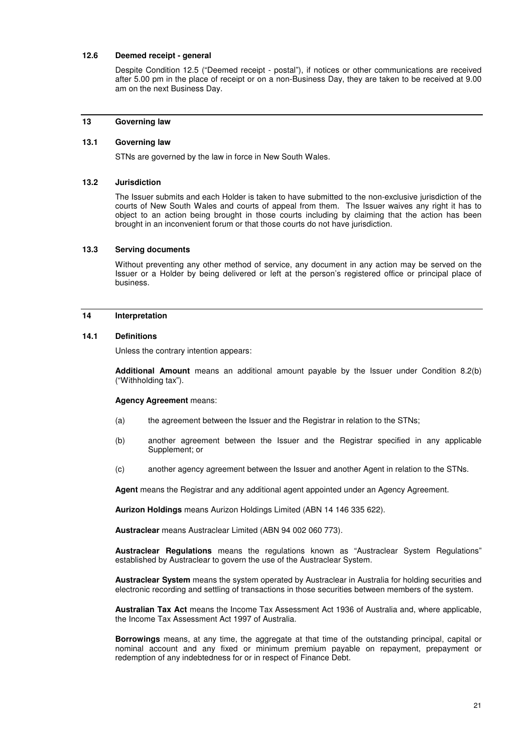## **12.6 Deemed receipt - general**

Despite Condition 12.5 ("Deemed receipt - postal"), if notices or other communications are received after 5.00 pm in the place of receipt or on a non-Business Day, they are taken to be received at 9.00 am on the next Business Day.

#### **13 Governing law**

#### **13.1 Governing law**

STNs are governed by the law in force in New South Wales.

#### **13.2 Jurisdiction**

The Issuer submits and each Holder is taken to have submitted to the non-exclusive jurisdiction of the courts of New South Wales and courts of appeal from them. The Issuer waives any right it has to object to an action being brought in those courts including by claiming that the action has been brought in an inconvenient forum or that those courts do not have jurisdiction.

## **13.3 Serving documents**

Without preventing any other method of service, any document in any action may be served on the Issuer or a Holder by being delivered or left at the person's registered office or principal place of business.

#### **14 Interpretation**

#### **14.1 Definitions**

Unless the contrary intention appears:

**Additional Amount** means an additional amount payable by the Issuer under Condition 8.2(b) ("Withholding tax").

#### **Agency Agreement** means:

- (a) the agreement between the Issuer and the Registrar in relation to the STNs;
- (b) another agreement between the Issuer and the Registrar specified in any applicable Supplement; or
- (c) another agency agreement between the Issuer and another Agent in relation to the STNs.

**Agent** means the Registrar and any additional agent appointed under an Agency Agreement.

**Aurizon Holdings** means Aurizon Holdings Limited (ABN 14 146 335 622).

**Austraclear** means Austraclear Limited (ABN 94 002 060 773).

**Austraclear Regulations** means the regulations known as "Austraclear System Regulations" established by Austraclear to govern the use of the Austraclear System.

**Austraclear System** means the system operated by Austraclear in Australia for holding securities and electronic recording and settling of transactions in those securities between members of the system.

**Australian Tax Act** means the Income Tax Assessment Act 1936 of Australia and, where applicable, the Income Tax Assessment Act 1997 of Australia.

**Borrowings** means, at any time, the aggregate at that time of the outstanding principal, capital or nominal account and any fixed or minimum premium payable on repayment, prepayment or redemption of any indebtedness for or in respect of Finance Debt.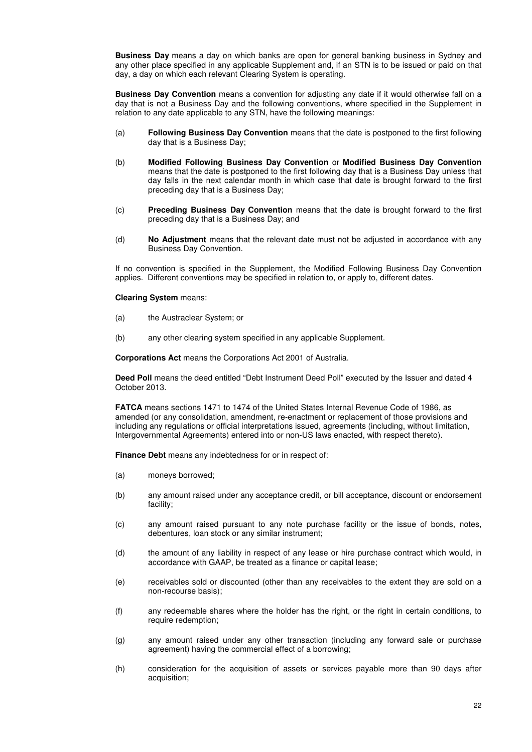**Business Day** means a day on which banks are open for general banking business in Sydney and any other place specified in any applicable Supplement and, if an STN is to be issued or paid on that day, a day on which each relevant Clearing System is operating.

**Business Day Convention** means a convention for adjusting any date if it would otherwise fall on a day that is not a Business Day and the following conventions, where specified in the Supplement in relation to any date applicable to any STN, have the following meanings:

- (a) **Following Business Day Convention** means that the date is postponed to the first following day that is a Business Day;
- (b) **Modified Following Business Day Convention** or **Modified Business Day Convention** means that the date is postponed to the first following day that is a Business Day unless that day falls in the next calendar month in which case that date is brought forward to the first preceding day that is a Business Day;
- (c) **Preceding Business Day Convention** means that the date is brought forward to the first preceding day that is a Business Day; and
- (d) **No Adjustment** means that the relevant date must not be adjusted in accordance with any Business Day Convention.

If no convention is specified in the Supplement, the Modified Following Business Day Convention applies. Different conventions may be specified in relation to, or apply to, different dates.

#### **Clearing System** means:

- (a) the Austraclear System; or
- (b) any other clearing system specified in any applicable Supplement.

**Corporations Act** means the Corporations Act 2001 of Australia.

**Deed Poll** means the deed entitled "Debt Instrument Deed Poll" executed by the Issuer and dated 4 October 2013.

**FATCA** means sections 1471 to 1474 of the United States Internal Revenue Code of 1986, as amended (or any consolidation, amendment, re-enactment or replacement of those provisions and including any regulations or official interpretations issued, agreements (including, without limitation, Intergovernmental Agreements) entered into or non-US laws enacted, with respect thereto).

**Finance Debt** means any indebtedness for or in respect of:

- (a) moneys borrowed;
- (b) any amount raised under any acceptance credit, or bill acceptance, discount or endorsement facility;
- (c) any amount raised pursuant to any note purchase facility or the issue of bonds, notes, debentures, loan stock or any similar instrument;
- (d) the amount of any liability in respect of any lease or hire purchase contract which would, in accordance with GAAP, be treated as a finance or capital lease;
- (e) receivables sold or discounted (other than any receivables to the extent they are sold on a non-recourse basis);
- (f) any redeemable shares where the holder has the right, or the right in certain conditions, to require redemption;
- (g) any amount raised under any other transaction (including any forward sale or purchase agreement) having the commercial effect of a borrowing;
- (h) consideration for the acquisition of assets or services payable more than 90 days after acquisition;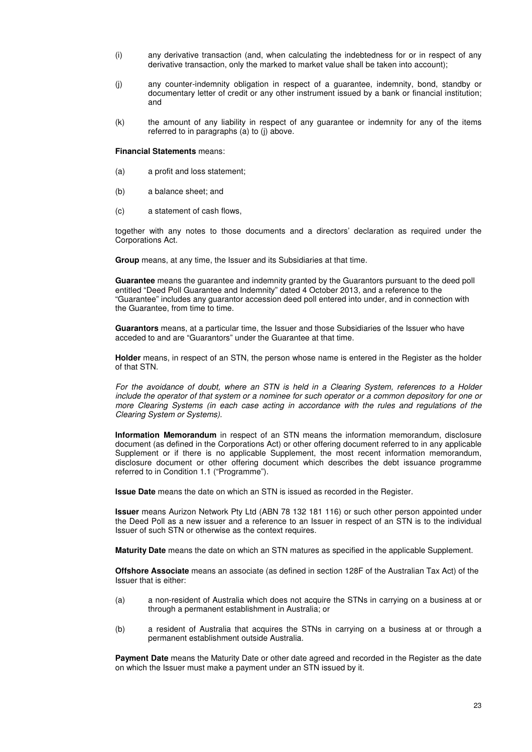- (i) any derivative transaction (and, when calculating the indebtedness for or in respect of any derivative transaction, only the marked to market value shall be taken into account);
- (j) any counter-indemnity obligation in respect of a guarantee, indemnity, bond, standby or documentary letter of credit or any other instrument issued by a bank or financial institution; and
- (k) the amount of any liability in respect of any guarantee or indemnity for any of the items referred to in paragraphs  $(a)$  to  $(i)$  above.

**Financial Statements** means:

- (a) a profit and loss statement;
- (b) a balance sheet; and
- (c) a statement of cash flows,

together with any notes to those documents and a directors' declaration as required under the Corporations Act.

**Group** means, at any time, the Issuer and its Subsidiaries at that time.

**Guarantee** means the guarantee and indemnity granted by the Guarantors pursuant to the deed poll entitled "Deed Poll Guarantee and Indemnity" dated 4 October 2013, and a reference to the "Guarantee" includes any guarantor accession deed poll entered into under, and in connection with the Guarantee, from time to time.

**Guarantors** means, at a particular time, the Issuer and those Subsidiaries of the Issuer who have acceded to and are "Guarantors" under the Guarantee at that time.

**Holder** means, in respect of an STN, the person whose name is entered in the Register as the holder of that STN.

*For the avoidance of doubt, where an STN is held in a Clearing System, references to a Holder include the operator of that system or a nominee for such operator or a common depository for one or more Clearing Systems (in each case acting in accordance with the rules and regulations of the Clearing System or Systems).* 

**Information Memorandum** in respect of an STN means the information memorandum, disclosure document (as defined in the Corporations Act) or other offering document referred to in any applicable Supplement or if there is no applicable Supplement, the most recent information memorandum, disclosure document or other offering document which describes the debt issuance programme referred to in Condition 1.1 ("Programme").

**Issue Date** means the date on which an STN is issued as recorded in the Register.

**Issuer** means Aurizon Network Pty Ltd (ABN 78 132 181 116) or such other person appointed under the Deed Poll as a new issuer and a reference to an Issuer in respect of an STN is to the individual Issuer of such STN or otherwise as the context requires.

**Maturity Date** means the date on which an STN matures as specified in the applicable Supplement.

**Offshore Associate** means an associate (as defined in section 128F of the Australian Tax Act) of the Issuer that is either:

- (a) a non-resident of Australia which does not acquire the STNs in carrying on a business at or through a permanent establishment in Australia; or
- (b) a resident of Australia that acquires the STNs in carrying on a business at or through a permanent establishment outside Australia.

**Payment Date** means the Maturity Date or other date agreed and recorded in the Register as the date on which the Issuer must make a payment under an STN issued by it.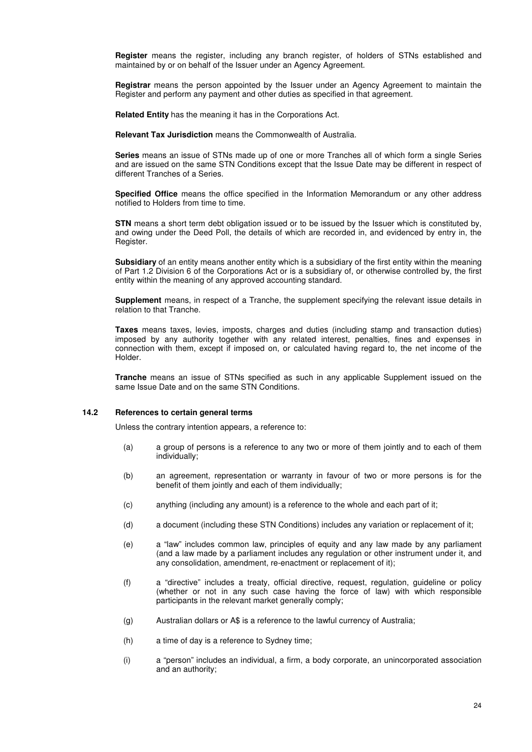**Register** means the register, including any branch register, of holders of STNs established and maintained by or on behalf of the Issuer under an Agency Agreement.

**Registrar** means the person appointed by the Issuer under an Agency Agreement to maintain the Register and perform any payment and other duties as specified in that agreement.

**Related Entity** has the meaning it has in the Corporations Act.

**Relevant Tax Jurisdiction** means the Commonwealth of Australia.

**Series** means an issue of STNs made up of one or more Tranches all of which form a single Series and are issued on the same STN Conditions except that the Issue Date may be different in respect of different Tranches of a Series.

**Specified Office** means the office specified in the Information Memorandum or any other address notified to Holders from time to time.

**STN** means a short term debt obligation issued or to be issued by the Issuer which is constituted by, and owing under the Deed Poll, the details of which are recorded in, and evidenced by entry in, the Register.

**Subsidiary** of an entity means another entity which is a subsidiary of the first entity within the meaning of Part 1.2 Division 6 of the Corporations Act or is a subsidiary of, or otherwise controlled by, the first entity within the meaning of any approved accounting standard.

**Supplement** means, in respect of a Tranche, the supplement specifying the relevant issue details in relation to that Tranche.

**Taxes** means taxes, levies, imposts, charges and duties (including stamp and transaction duties) imposed by any authority together with any related interest, penalties, fines and expenses in connection with them, except if imposed on, or calculated having regard to, the net income of the Holder.

**Tranche** means an issue of STNs specified as such in any applicable Supplement issued on the same Issue Date and on the same STN Conditions.

#### **14.2 References to certain general terms**

Unless the contrary intention appears, a reference to:

- (a) a group of persons is a reference to any two or more of them jointly and to each of them individually;
- (b) an agreement, representation or warranty in favour of two or more persons is for the benefit of them jointly and each of them individually;
- (c) anything (including any amount) is a reference to the whole and each part of it;
- (d) a document (including these STN Conditions) includes any variation or replacement of it;
- (e) a "law" includes common law, principles of equity and any law made by any parliament (and a law made by a parliament includes any regulation or other instrument under it, and any consolidation, amendment, re-enactment or replacement of it);
- (f) a "directive" includes a treaty, official directive, request, regulation, guideline or policy (whether or not in any such case having the force of law) with which responsible participants in the relevant market generally comply;
- (g) Australian dollars or A\$ is a reference to the lawful currency of Australia;
- (h) a time of day is a reference to Sydney time;
- (i) a "person" includes an individual, a firm, a body corporate, an unincorporated association and an authority;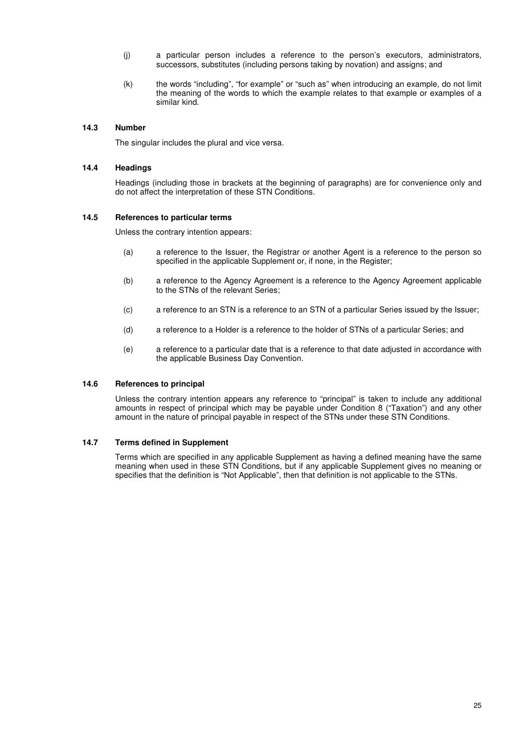- (j) a particular person includes a reference to the person's executors, administrators, successors, substitutes (including persons taking by novation) and assigns; and
- (k) the words "including", "for example" or "such as" when introducing an example, do not limit the meaning of the words to which the example relates to that example or examples of a similar kind.

## **14.3 Number**

The singular includes the plural and vice versa.

#### **14.4 Headings**

Headings (including those in brackets at the beginning of paragraphs) are for convenience only and do not affect the interpretation of these STN Conditions.

#### **14.5 References to particular terms**

Unless the contrary intention appears:

- (a) a reference to the Issuer, the Registrar or another Agent is a reference to the person so specified in the applicable Supplement or, if none, in the Register;
- (b) a reference to the Agency Agreement is a reference to the Agency Agreement applicable to the STNs of the relevant Series;
- (c) a reference to an STN is a reference to an STN of a particular Series issued by the Issuer;
- (d) a reference to a Holder is a reference to the holder of STNs of a particular Series; and
- (e) a reference to a particular date that is a reference to that date adjusted in accordance with the applicable Business Day Convention.

#### **14.6 References to principal**

Unless the contrary intention appears any reference to "principal" is taken to include any additional amounts in respect of principal which may be payable under Condition 8 ("Taxation") and any other amount in the nature of principal payable in respect of the STNs under these STN Conditions.

#### **14.7 Terms defined in Supplement**

Terms which are specified in any applicable Supplement as having a defined meaning have the same meaning when used in these STN Conditions, but if any applicable Supplement gives no meaning or specifies that the definition is "Not Applicable", then that definition is not applicable to the STNs.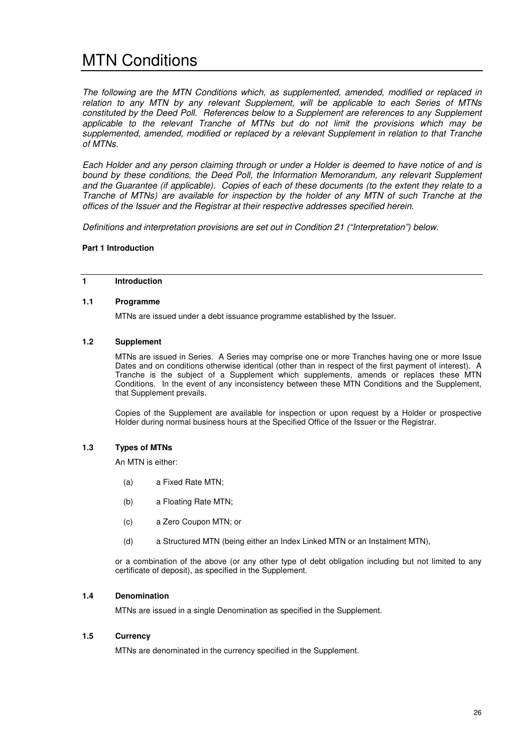# MTN Conditions

*The following are the MTN Conditions which, as supplemented, amended, modified or replaced in relation to any MTN by any relevant Supplement, will be applicable to each Series of MTNs constituted by the Deed Poll. References below to a Supplement are references to any Supplement applicable to the relevant Tranche of MTNs but do not limit the provisions which may be supplemented, amended, modified or replaced by a relevant Supplement in relation to that Tranche of MTNs.*

*Each Holder and any person claiming through or under a Holder is deemed to have notice of and is bound by these conditions, the Deed Poll, the Information Memorandum, any relevant Supplement and the Guarantee (if applicable). Copies of each of these documents (to the extent they relate to a Tranche of MTNs) are available for inspection by the holder of any MTN of such Tranche at the offices of the Issuer and the Registrar at their respective addresses specified herein.* 

*Definitions and interpretation provisions are set out in Condition 21 ("Interpretation") below.*

#### **Part 1 Introduction**

## **1 Introduction**

#### **1.1 Programme**

MTNs are issued under a debt issuance programme established by the Issuer.

### **1.2 Supplement**

MTNs are issued in Series. A Series may comprise one or more Tranches having one or more Issue Dates and on conditions otherwise identical (other than in respect of the first payment of interest). A Tranche is the subject of a Supplement which supplements, amends or replaces these MTN Conditions. In the event of any inconsistency between these MTN Conditions and the Supplement, that Supplement prevails.

Copies of the Supplement are available for inspection or upon request by a Holder or prospective Holder during normal business hours at the Specified Office of the Issuer or the Registrar.

## **1.3 Types of MTNs**

An MTN is either:

- (a) a Fixed Rate MTN;
- (b) a Floating Rate MTN;
- (c) a Zero Coupon MTN; or
- (d) a Structured MTN (being either an Index Linked MTN or an Instalment MTN),

or a combination of the above (or any other type of debt obligation including but not limited to any certificate of deposit), as specified in the Supplement.

#### **1.4 Denomination**

MTNs are issued in a single Denomination as specified in the Supplement.

#### **1.5 Currency**

MTNs are denominated in the currency specified in the Supplement.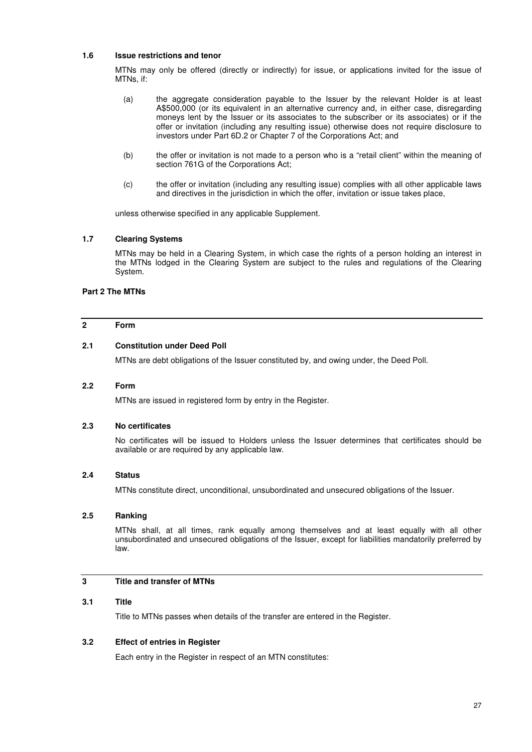## **1.6 Issue restrictions and tenor**

MTNs may only be offered (directly or indirectly) for issue, or applications invited for the issue of MTNs, if:

- (a) the aggregate consideration payable to the Issuer by the relevant Holder is at least A\$500,000 (or its equivalent in an alternative currency and, in either case, disregarding moneys lent by the Issuer or its associates to the subscriber or its associates) or if the offer or invitation (including any resulting issue) otherwise does not require disclosure to investors under Part 6D.2 or Chapter 7 of the Corporations Act; and
- (b) the offer or invitation is not made to a person who is a "retail client" within the meaning of section 761G of the Corporations Act;
- (c) the offer or invitation (including any resulting issue) complies with all other applicable laws and directives in the jurisdiction in which the offer, invitation or issue takes place,

unless otherwise specified in any applicable Supplement.

### **1.7 Clearing Systems**

MTNs may be held in a Clearing System, in which case the rights of a person holding an interest in the MTNs lodged in the Clearing System are subject to the rules and regulations of the Clearing System.

## **Part 2 The MTNs**

## **2 Form**

#### **2.1 Constitution under Deed Poll**

MTNs are debt obligations of the Issuer constituted by, and owing under, the Deed Poll.

#### **2.2 Form**

MTNs are issued in registered form by entry in the Register.

#### **2.3 No certificates**

No certificates will be issued to Holders unless the Issuer determines that certificates should be available or are required by any applicable law.

## **2.4 Status**

MTNs constitute direct, unconditional, unsubordinated and unsecured obligations of the Issuer.

## **2.5 Ranking**

MTNs shall, at all times, rank equally among themselves and at least equally with all other unsubordinated and unsecured obligations of the Issuer, except for liabilities mandatorily preferred by law.

## **3 Title and transfer of MTNs**

#### **3.1 Title**

Title to MTNs passes when details of the transfer are entered in the Register.

## **3.2 Effect of entries in Register**

Each entry in the Register in respect of an MTN constitutes: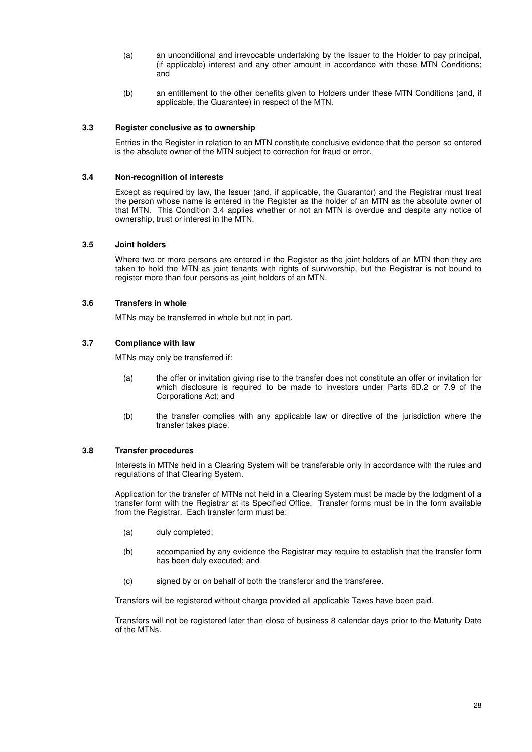- (a) an unconditional and irrevocable undertaking by the Issuer to the Holder to pay principal, (if applicable) interest and any other amount in accordance with these MTN Conditions; and
- (b) an entitlement to the other benefits given to Holders under these MTN Conditions (and, if applicable, the Guarantee) in respect of the MTN.

## **3.3 Register conclusive as to ownership**

Entries in the Register in relation to an MTN constitute conclusive evidence that the person so entered is the absolute owner of the MTN subject to correction for fraud or error.

#### **3.4 Non-recognition of interests**

Except as required by law, the Issuer (and, if applicable, the Guarantor) and the Registrar must treat the person whose name is entered in the Register as the holder of an MTN as the absolute owner of that MTN. This Condition 3.4 applies whether or not an MTN is overdue and despite any notice of ownership, trust or interest in the MTN.

## **3.5 Joint holders**

Where two or more persons are entered in the Register as the joint holders of an MTN then they are taken to hold the MTN as joint tenants with rights of survivorship, but the Registrar is not bound to register more than four persons as joint holders of an MTN.

## **3.6 Transfers in whole**

MTNs may be transferred in whole but not in part.

## **3.7 Compliance with law**

MTNs may only be transferred if:

- (a) the offer or invitation giving rise to the transfer does not constitute an offer or invitation for which disclosure is required to be made to investors under Parts 6D.2 or 7.9 of the Corporations Act; and
- (b) the transfer complies with any applicable law or directive of the jurisdiction where the transfer takes place.

## **3.8 Transfer procedures**

Interests in MTNs held in a Clearing System will be transferable only in accordance with the rules and regulations of that Clearing System.

Application for the transfer of MTNs not held in a Clearing System must be made by the lodgment of a transfer form with the Registrar at its Specified Office. Transfer forms must be in the form available from the Registrar. Each transfer form must be:

- (a) duly completed;
- (b) accompanied by any evidence the Registrar may require to establish that the transfer form has been duly executed; and
- (c) signed by or on behalf of both the transferor and the transferee.

Transfers will be registered without charge provided all applicable Taxes have been paid.

Transfers will not be registered later than close of business 8 calendar days prior to the Maturity Date of the MTNs.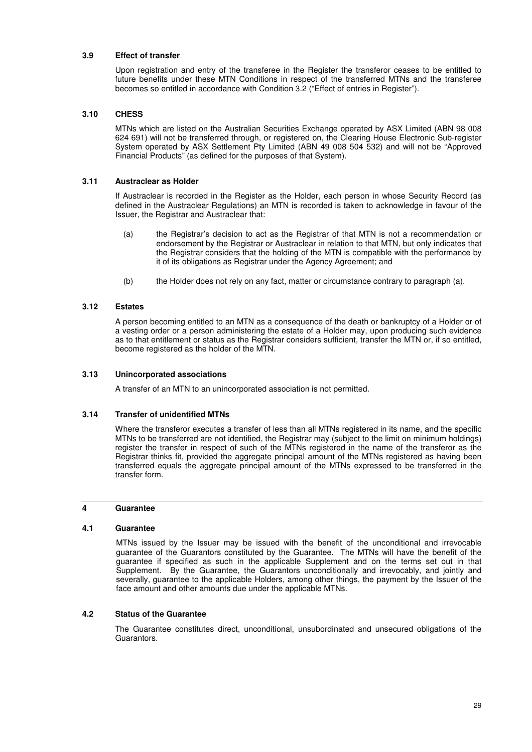## **3.9 Effect of transfer**

Upon registration and entry of the transferee in the Register the transferor ceases to be entitled to future benefits under these MTN Conditions in respect of the transferred MTNs and the transferee becomes so entitled in accordance with Condition 3.2 ("Effect of entries in Register").

#### **3.10 CHESS**

MTNs which are listed on the Australian Securities Exchange operated by ASX Limited (ABN 98 008 624 691) will not be transferred through, or registered on, the Clearing House Electronic Sub-register System operated by ASX Settlement Pty Limited (ABN 49 008 504 532) and will not be "Approved Financial Products" (as defined for the purposes of that System).

#### **3.11 Austraclear as Holder**

If Austraclear is recorded in the Register as the Holder, each person in whose Security Record (as defined in the Austraclear Regulations) an MTN is recorded is taken to acknowledge in favour of the Issuer, the Registrar and Austraclear that:

- (a) the Registrar's decision to act as the Registrar of that MTN is not a recommendation or endorsement by the Registrar or Austraclear in relation to that MTN, but only indicates that the Registrar considers that the holding of the MTN is compatible with the performance by it of its obligations as Registrar under the Agency Agreement; and
- (b) the Holder does not rely on any fact, matter or circumstance contrary to paragraph (a).

## **3.12 Estates**

A person becoming entitled to an MTN as a consequence of the death or bankruptcy of a Holder or of a vesting order or a person administering the estate of a Holder may, upon producing such evidence as to that entitlement or status as the Registrar considers sufficient, transfer the MTN or, if so entitled, become registered as the holder of the MTN.

#### **3.13 Unincorporated associations**

A transfer of an MTN to an unincorporated association is not permitted.

#### **3.14 Transfer of unidentified MTNs**

Where the transferor executes a transfer of less than all MTNs registered in its name, and the specific MTNs to be transferred are not identified, the Registrar may (subject to the limit on minimum holdings) register the transfer in respect of such of the MTNs registered in the name of the transferor as the Registrar thinks fit, provided the aggregate principal amount of the MTNs registered as having been transferred equals the aggregate principal amount of the MTNs expressed to be transferred in the transfer form.

#### **4 Guarantee**

#### **4.1 Guarantee**

MTNs issued by the Issuer may be issued with the benefit of the unconditional and irrevocable guarantee of the Guarantors constituted by the Guarantee. The MTNs will have the benefit of the guarantee if specified as such in the applicable Supplement and on the terms set out in that Supplement. By the Guarantee, the Guarantors unconditionally and irrevocably, and jointly and severally, guarantee to the applicable Holders, among other things, the payment by the Issuer of the face amount and other amounts due under the applicable MTNs.

#### **4.2 Status of the Guarantee**

The Guarantee constitutes direct, unconditional, unsubordinated and unsecured obligations of the Guarantors.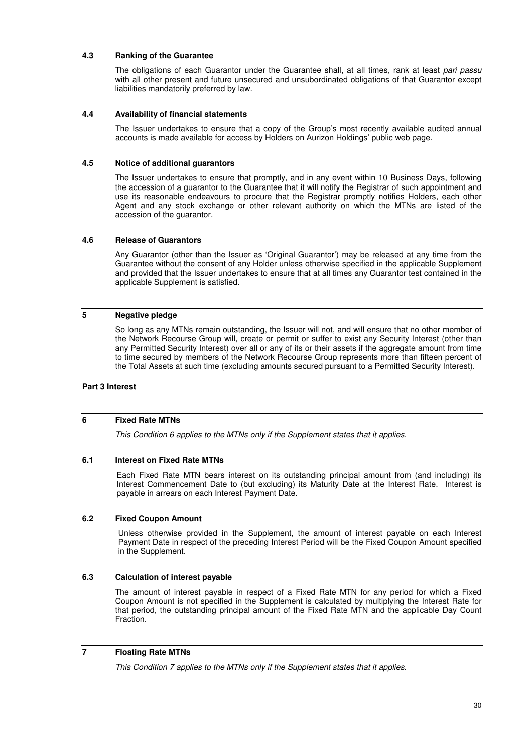## **4.3 Ranking of the Guarantee**

The obligations of each Guarantor under the Guarantee shall, at all times, rank at least *pari passu* with all other present and future unsecured and unsubordinated obligations of that Guarantor except liabilities mandatorily preferred by law.

#### **4.4 Availability of financial statements**

The Issuer undertakes to ensure that a copy of the Group's most recently available audited annual accounts is made available for access by Holders on Aurizon Holdings' public web page.

#### **4.5 Notice of additional guarantors**

The Issuer undertakes to ensure that promptly, and in any event within 10 Business Days, following the accession of a guarantor to the Guarantee that it will notify the Registrar of such appointment and use its reasonable endeavours to procure that the Registrar promptly notifies Holders, each other Agent and any stock exchange or other relevant authority on which the MTNs are listed of the accession of the guarantor.

#### **4.6 Release of Guarantors**

Any Guarantor (other than the Issuer as 'Original Guarantor') may be released at any time from the Guarantee without the consent of any Holder unless otherwise specified in the applicable Supplement and provided that the Issuer undertakes to ensure that at all times any Guarantor test contained in the applicable Supplement is satisfied.

### **5 Negative pledge**

So long as any MTNs remain outstanding, the Issuer will not, and will ensure that no other member of the Network Recourse Group will, create or permit or suffer to exist any Security Interest (other than any Permitted Security Interest) over all or any of its or their assets if the aggregate amount from time to time secured by members of the Network Recourse Group represents more than fifteen percent of the Total Assets at such time (excluding amounts secured pursuant to a Permitted Security Interest).

#### **Part 3 Interest**

## **6 Fixed Rate MTNs**

*This Condition 6 applies to the MTNs only if the Supplement states that it applies.* 

#### **6.1 Interest on Fixed Rate MTNs**

Each Fixed Rate MTN bears interest on its outstanding principal amount from (and including) its Interest Commencement Date to (but excluding) its Maturity Date at the Interest Rate. Interest is payable in arrears on each Interest Payment Date.

#### **6.2 Fixed Coupon Amount**

 Unless otherwise provided in the Supplement, the amount of interest payable on each Interest Payment Date in respect of the preceding Interest Period will be the Fixed Coupon Amount specified in the Supplement.

## **6.3 Calculation of interest payable**

The amount of interest payable in respect of a Fixed Rate MTN for any period for which a Fixed Coupon Amount is not specified in the Supplement is calculated by multiplying the Interest Rate for that period, the outstanding principal amount of the Fixed Rate MTN and the applicable Day Count **Fraction** 

#### **7 Floating Rate MTNs**

*This Condition 7 applies to the MTNs only if the Supplement states that it applies.*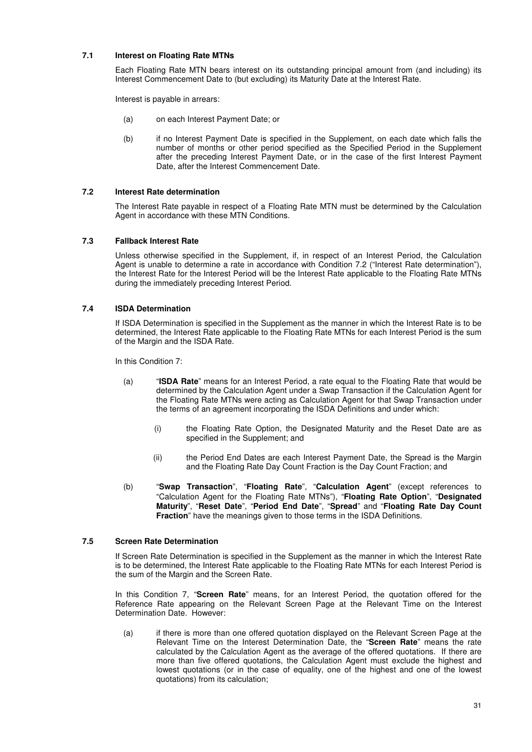## **7.1 Interest on Floating Rate MTNs**

Each Floating Rate MTN bears interest on its outstanding principal amount from (and including) its Interest Commencement Date to (but excluding) its Maturity Date at the Interest Rate.

Interest is payable in arrears:

- (a) on each Interest Payment Date; or
- (b) if no Interest Payment Date is specified in the Supplement, on each date which falls the number of months or other period specified as the Specified Period in the Supplement after the preceding Interest Payment Date, or in the case of the first Interest Payment Date, after the Interest Commencement Date.

## **7.2 Interest Rate determination**

The Interest Rate payable in respect of a Floating Rate MTN must be determined by the Calculation Agent in accordance with these MTN Conditions.

#### **7.3 Fallback Interest Rate**

Unless otherwise specified in the Supplement, if, in respect of an Interest Period, the Calculation Agent is unable to determine a rate in accordance with Condition 7.2 ("Interest Rate determination"), the Interest Rate for the Interest Period will be the Interest Rate applicable to the Floating Rate MTNs during the immediately preceding Interest Period.

#### **7.4 ISDA Determination**

If ISDA Determination is specified in the Supplement as the manner in which the Interest Rate is to be determined, the Interest Rate applicable to the Floating Rate MTNs for each Interest Period is the sum of the Margin and the ISDA Rate.

In this Condition 7:

- (a) "**ISDA Rate**" means for an Interest Period, a rate equal to the Floating Rate that would be determined by the Calculation Agent under a Swap Transaction if the Calculation Agent for the Floating Rate MTNs were acting as Calculation Agent for that Swap Transaction under the terms of an agreement incorporating the ISDA Definitions and under which:
	- (i) the Floating Rate Option, the Designated Maturity and the Reset Date are as specified in the Supplement; and
	- (ii) the Period End Dates are each Interest Payment Date, the Spread is the Margin and the Floating Rate Day Count Fraction is the Day Count Fraction; and
- (b) "**Swap Transaction**", "**Floating Rate**", "**Calculation Agent**" (except references to "Calculation Agent for the Floating Rate MTNs"), "**Floating Rate Option**", "**Designated Maturity**", "**Reset Date**", "**Period End Date**", "**Spread**" and "**Floating Rate Day Count Fraction**" have the meanings given to those terms in the ISDA Definitions.

## **7.5 Screen Rate Determination**

If Screen Rate Determination is specified in the Supplement as the manner in which the Interest Rate is to be determined, the Interest Rate applicable to the Floating Rate MTNs for each Interest Period is the sum of the Margin and the Screen Rate.

In this Condition 7, "**Screen Rate**" means, for an Interest Period, the quotation offered for the Reference Rate appearing on the Relevant Screen Page at the Relevant Time on the Interest Determination Date. However:

(a) if there is more than one offered quotation displayed on the Relevant Screen Page at the Relevant Time on the Interest Determination Date, the "**Screen Rate**" means the rate calculated by the Calculation Agent as the average of the offered quotations. If there are more than five offered quotations, the Calculation Agent must exclude the highest and lowest quotations (or in the case of equality, one of the highest and one of the lowest quotations) from its calculation;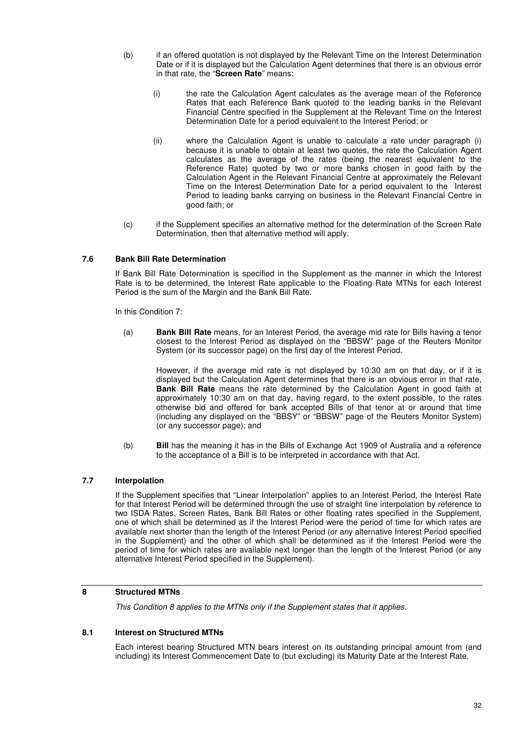- (b) if an offered quotation is not displayed by the Relevant Time on the Interest Determination Date or if it is displayed but the Calculation Agent determines that there is an obvious error in that rate, the "**Screen Rate**" means:
	- (i) the rate the Calculation Agent calculates as the average mean of the Reference Rates that each Reference Bank quoted to the leading banks in the Relevant Financial Centre specified in the Supplement at the Relevant Time on the Interest Determination Date for a period equivalent to the Interest Period; or
	- (ii) where the Calculation Agent is unable to calculate a rate under paragraph (i) because it is unable to obtain at least two quotes, the rate the Calculation Agent calculates as the average of the rates (being the nearest equivalent to the Reference Rate) quoted by two or more banks chosen in good faith by the Calculation Agent in the Relevant Financial Centre at approximately the Relevant Time on the Interest Determination Date for a period equivalent to the Interest Period to leading banks carrying on business in the Relevant Financial Centre in good faith; or
- (c) if the Supplement specifies an alternative method for the determination of the Screen Rate Determination, then that alternative method will apply.

## **7.6 Bank Bill Rate Determination**

If Bank Bill Rate Determination is specified in the Supplement as the manner in which the Interest Rate is to be determined, the Interest Rate applicable to the Floating Rate MTNs for each Interest Period is the sum of the Margin and the Bank Bill Rate.

In this Condition 7:

(a) **Bank Bill Rate** means, for an Interest Period, the average mid rate for Bills having a tenor closest to the Interest Period as displayed on the "BBSW" page of the Reuters Monitor System (or its successor page) on the first day of the Interest Period.

However, if the average mid rate is not displayed by 10:30 am on that day, or if it is displayed but the Calculation Agent determines that there is an obvious error in that rate, **Bank Bill Rate** means the rate determined by the Calculation Agent in good faith at approximately 10:30 am on that day, having regard, to the extent possible, to the rates otherwise bid and offered for bank accepted Bills of that tenor at or around that time (including any displayed on the "BBSY" or "BBSW" page of the Reuters Monitor System) (or any successor page); and

(b) **Bill** has the meaning it has in the Bills of Exchange Act 1909 of Australia and a reference to the acceptance of a Bill is to be interpreted in accordance with that Act.

## **7.7 Interpolation**

If the Supplement specifies that "Linear Interpolation" applies to an Interest Period, the Interest Rate for that Interest Period will be determined through the use of straight line interpolation by reference to two ISDA Rates, Screen Rates, Bank Bill Rates or other floating rates specified in the Supplement, one of which shall be determined as if the Interest Period were the period of time for which rates are available next shorter than the length of the Interest Period (or any alternative Interest Period specified in the Supplement) and the other of which shall be determined as if the Interest Period were the period of time for which rates are available next longer than the length of the Interest Period (or any alternative Interest Period specified in the Supplement).

## **8 Structured MTNs**

*This Condition 8 applies to the MTNs only if the Supplement states that it applies.* 

## **8.1 Interest on Structured MTNs**

Each interest bearing Structured MTN bears interest on its outstanding principal amount from (and including) its Interest Commencement Date to (but excluding) its Maturity Date at the Interest Rate.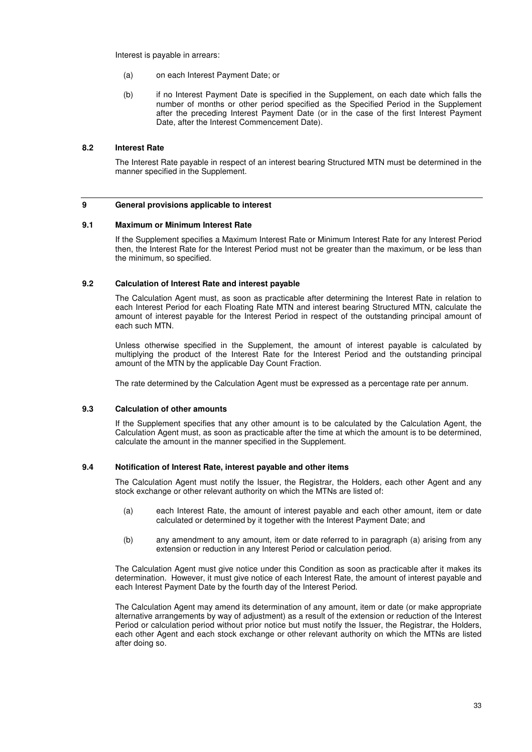Interest is payable in arrears:

- (a) on each Interest Payment Date; or
- (b) if no Interest Payment Date is specified in the Supplement, on each date which falls the number of months or other period specified as the Specified Period in the Supplement after the preceding Interest Payment Date (or in the case of the first Interest Payment Date, after the Interest Commencement Date).

#### **8.2 Interest Rate**

The Interest Rate payable in respect of an interest bearing Structured MTN must be determined in the manner specified in the Supplement.

#### **9 General provisions applicable to interest**

#### **9.1 Maximum or Minimum Interest Rate**

If the Supplement specifies a Maximum Interest Rate or Minimum Interest Rate for any Interest Period then, the Interest Rate for the Interest Period must not be greater than the maximum, or be less than the minimum, so specified.

#### **9.2 Calculation of Interest Rate and interest payable**

The Calculation Agent must, as soon as practicable after determining the Interest Rate in relation to each Interest Period for each Floating Rate MTN and interest bearing Structured MTN, calculate the amount of interest payable for the Interest Period in respect of the outstanding principal amount of each such MTN.

Unless otherwise specified in the Supplement, the amount of interest payable is calculated by multiplying the product of the Interest Rate for the Interest Period and the outstanding principal amount of the MTN by the applicable Day Count Fraction.

The rate determined by the Calculation Agent must be expressed as a percentage rate per annum.

#### **9.3 Calculation of other amounts**

If the Supplement specifies that any other amount is to be calculated by the Calculation Agent, the Calculation Agent must, as soon as practicable after the time at which the amount is to be determined, calculate the amount in the manner specified in the Supplement.

## **9.4 Notification of Interest Rate, interest payable and other items**

The Calculation Agent must notify the Issuer, the Registrar, the Holders, each other Agent and any stock exchange or other relevant authority on which the MTNs are listed of:

- (a) each Interest Rate, the amount of interest payable and each other amount, item or date calculated or determined by it together with the Interest Payment Date; and
- (b) any amendment to any amount, item or date referred to in paragraph (a) arising from any extension or reduction in any Interest Period or calculation period.

The Calculation Agent must give notice under this Condition as soon as practicable after it makes its determination. However, it must give notice of each Interest Rate, the amount of interest payable and each Interest Payment Date by the fourth day of the Interest Period.

The Calculation Agent may amend its determination of any amount, item or date (or make appropriate alternative arrangements by way of adjustment) as a result of the extension or reduction of the Interest Period or calculation period without prior notice but must notify the Issuer, the Registrar, the Holders, each other Agent and each stock exchange or other relevant authority on which the MTNs are listed after doing so.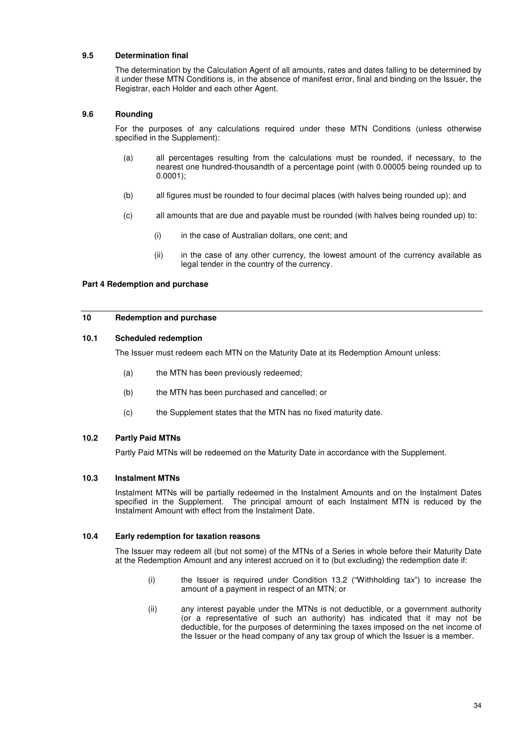### **9.5 Determination final**

The determination by the Calculation Agent of all amounts, rates and dates falling to be determined by it under these MTN Conditions is, in the absence of manifest error, final and binding on the Issuer, the Registrar, each Holder and each other Agent.

#### **9.6 Rounding**

For the purposes of any calculations required under these MTN Conditions (unless otherwise specified in the Supplement):

- (a) all percentages resulting from the calculations must be rounded, if necessary, to the nearest one hundred-thousandth of a percentage point (with 0.00005 being rounded up to 0.0001);
- (b) all figures must be rounded to four decimal places (with halves being rounded up); and
- (c) all amounts that are due and payable must be rounded (with halves being rounded up) to:
	- (i) in the case of Australian dollars, one cent; and
	- (ii) in the case of any other currency, the lowest amount of the currency available as legal tender in the country of the currency.

#### **Part 4 Redemption and purchase**

#### **10 Redemption and purchase**

#### **10.1 Scheduled redemption**

The Issuer must redeem each MTN on the Maturity Date at its Redemption Amount unless:

- (a) the MTN has been previously redeemed;
- (b) the MTN has been purchased and cancelled; or
- (c) the Supplement states that the MTN has no fixed maturity date.

#### **10.2 Partly Paid MTNs**

Partly Paid MTNs will be redeemed on the Maturity Date in accordance with the Supplement.

#### **10.3 Instalment MTNs**

Instalment MTNs will be partially redeemed in the Instalment Amounts and on the Instalment Dates specified in the Supplement. The principal amount of each Instalment MTN is reduced by the Instalment Amount with effect from the Instalment Date.

#### **10.4 Early redemption for taxation reasons**

The Issuer may redeem all (but not some) of the MTNs of a Series in whole before their Maturity Date at the Redemption Amount and any interest accrued on it to (but excluding) the redemption date if:

- (i) the Issuer is required under Condition 13.2 ("Withholding tax") to increase the amount of a payment in respect of an MTN; or
- (ii) any interest payable under the MTNs is not deductible, or a government authority (or a representative of such an authority) has indicated that it may not be deductible, for the purposes of determining the taxes imposed on the net income of the Issuer or the head company of any tax group of which the Issuer is a member.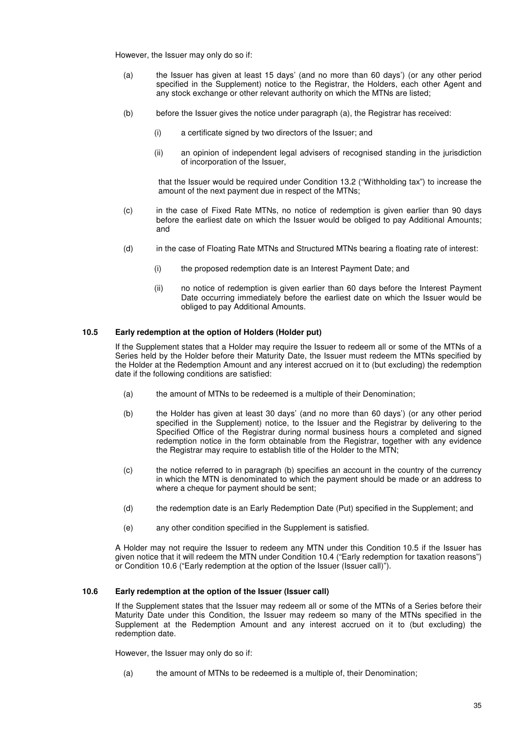However, the Issuer may only do so if:

- (a) the Issuer has given at least 15 days' (and no more than 60 days') (or any other period specified in the Supplement) notice to the Registrar, the Holders, each other Agent and any stock exchange or other relevant authority on which the MTNs are listed;
- (b) before the Issuer gives the notice under paragraph (a), the Registrar has received:
	- (i) a certificate signed by two directors of the Issuer; and
	- (ii) an opinion of independent legal advisers of recognised standing in the jurisdiction of incorporation of the Issuer,

that the Issuer would be required under Condition 13.2 ("Withholding tax") to increase the amount of the next payment due in respect of the MTNs;

- (c) in the case of Fixed Rate MTNs, no notice of redemption is given earlier than 90 days before the earliest date on which the Issuer would be obliged to pay Additional Amounts; and
- (d) in the case of Floating Rate MTNs and Structured MTNs bearing a floating rate of interest:
	- (i) the proposed redemption date is an Interest Payment Date; and
	- (ii) no notice of redemption is given earlier than 60 days before the Interest Payment Date occurring immediately before the earliest date on which the Issuer would be obliged to pay Additional Amounts.

## **10.5 Early redemption at the option of Holders (Holder put)**

If the Supplement states that a Holder may require the Issuer to redeem all or some of the MTNs of a Series held by the Holder before their Maturity Date, the Issuer must redeem the MTNs specified by the Holder at the Redemption Amount and any interest accrued on it to (but excluding) the redemption date if the following conditions are satisfied:

- (a) the amount of MTNs to be redeemed is a multiple of their Denomination;
- (b) the Holder has given at least 30 days' (and no more than 60 days') (or any other period specified in the Supplement) notice, to the Issuer and the Registrar by delivering to the Specified Office of the Registrar during normal business hours a completed and signed redemption notice in the form obtainable from the Registrar, together with any evidence the Registrar may require to establish title of the Holder to the MTN;
- (c) the notice referred to in paragraph (b) specifies an account in the country of the currency in which the MTN is denominated to which the payment should be made or an address to where a cheque for payment should be sent;
- (d) the redemption date is an Early Redemption Date (Put) specified in the Supplement; and
- (e) any other condition specified in the Supplement is satisfied.

A Holder may not require the Issuer to redeem any MTN under this Condition 10.5 if the Issuer has given notice that it will redeem the MTN under Condition 10.4 ("Early redemption for taxation reasons") or Condition 10.6 ("Early redemption at the option of the Issuer (Issuer call)").

## **10.6 Early redemption at the option of the Issuer (Issuer call)**

If the Supplement states that the Issuer may redeem all or some of the MTNs of a Series before their Maturity Date under this Condition, the Issuer may redeem so many of the MTNs specified in the Supplement at the Redemption Amount and any interest accrued on it to (but excluding) the redemption date.

However, the Issuer may only do so if:

(a) the amount of MTNs to be redeemed is a multiple of, their Denomination;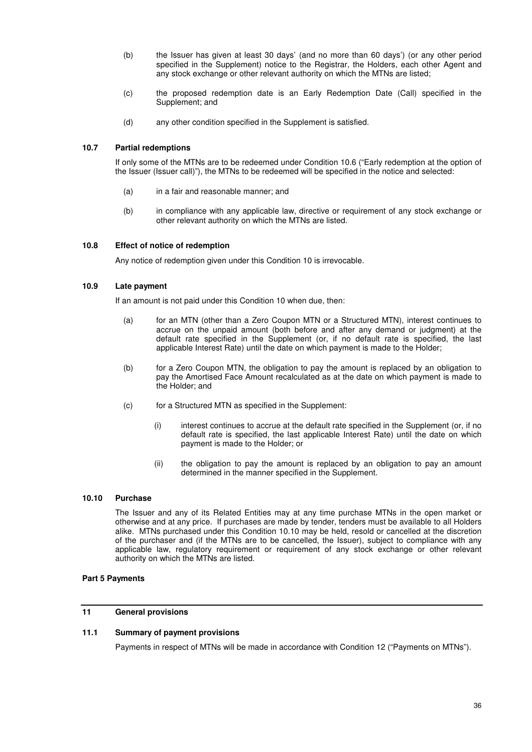- (b) the Issuer has given at least 30 days' (and no more than 60 days') (or any other period specified in the Supplement) notice to the Registrar, the Holders, each other Agent and any stock exchange or other relevant authority on which the MTNs are listed;
- (c) the proposed redemption date is an Early Redemption Date (Call) specified in the Supplement; and
- (d) any other condition specified in the Supplement is satisfied.

## **10.7 Partial redemptions**

If only some of the MTNs are to be redeemed under Condition 10.6 ("Early redemption at the option of the Issuer (Issuer call)"), the MTNs to be redeemed will be specified in the notice and selected:

- (a) in a fair and reasonable manner; and
- (b) in compliance with any applicable law, directive or requirement of any stock exchange or other relevant authority on which the MTNs are listed.

#### **10.8 Effect of notice of redemption**

Any notice of redemption given under this Condition 10 is irrevocable.

#### **10.9 Late payment**

If an amount is not paid under this Condition 10 when due, then:

- (a) for an MTN (other than a Zero Coupon MTN or a Structured MTN), interest continues to accrue on the unpaid amount (both before and after any demand or judgment) at the default rate specified in the Supplement (or, if no default rate is specified, the last applicable Interest Rate) until the date on which payment is made to the Holder;
- (b) for a Zero Coupon MTN, the obligation to pay the amount is replaced by an obligation to pay the Amortised Face Amount recalculated as at the date on which payment is made to the Holder; and
- (c) for a Structured MTN as specified in the Supplement:
	- (i) interest continues to accrue at the default rate specified in the Supplement (or, if no default rate is specified, the last applicable Interest Rate) until the date on which payment is made to the Holder; or
	- (ii) the obligation to pay the amount is replaced by an obligation to pay an amount determined in the manner specified in the Supplement.

## **10.10 Purchase**

The Issuer and any of its Related Entities may at any time purchase MTNs in the open market or otherwise and at any price. If purchases are made by tender, tenders must be available to all Holders alike. MTNs purchased under this Condition 10.10 may be held, resold or cancelled at the discretion of the purchaser and (if the MTNs are to be cancelled, the Issuer), subject to compliance with any applicable law, regulatory requirement or requirement of any stock exchange or other relevant authority on which the MTNs are listed.

#### **Part 5 Payments**

## **11 General provisions**

### **11.1 Summary of payment provisions**

Payments in respect of MTNs will be made in accordance with Condition 12 ("Payments on MTNs").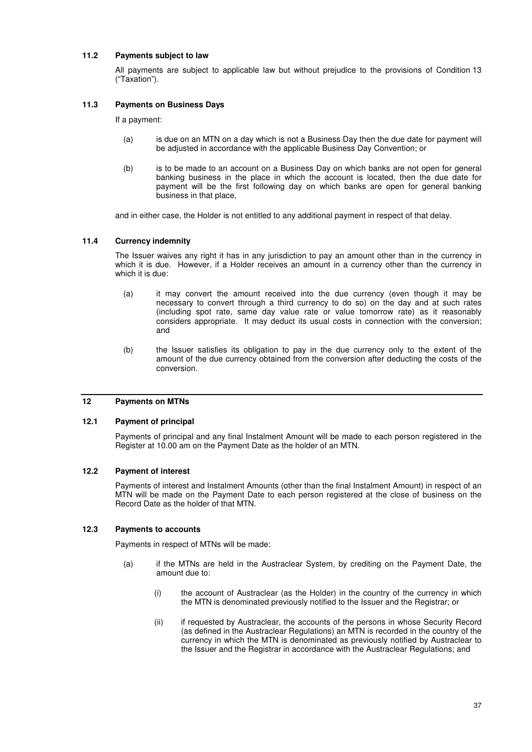## **11.2 Payments subject to law**

All payments are subject to applicable law but without prejudice to the provisions of Condition 13 ("Taxation").

## **11.3 Payments on Business Days**

If a payment:

- (a) is due on an MTN on a day which is not a Business Day then the due date for payment will be adjusted in accordance with the applicable Business Day Convention; or
- (b) is to be made to an account on a Business Day on which banks are not open for general banking business in the place in which the account is located, then the due date for payment will be the first following day on which banks are open for general banking business in that place,

and in either case, the Holder is not entitled to any additional payment in respect of that delay.

#### **11.4 Currency indemnity**

The Issuer waives any right it has in any jurisdiction to pay an amount other than in the currency in which it is due. However, if a Holder receives an amount in a currency other than the currency in which it is due:

- (a) it may convert the amount received into the due currency (even though it may be necessary to convert through a third currency to do so) on the day and at such rates (including spot rate, same day value rate or value tomorrow rate) as it reasonably considers appropriate. It may deduct its usual costs in connection with the conversion; and
- (b) the Issuer satisfies its obligation to pay in the due currency only to the extent of the amount of the due currency obtained from the conversion after deducting the costs of the conversion.

## **12 Payments on MTNs**

#### **12.1 Payment of principal**

Payments of principal and any final Instalment Amount will be made to each person registered in the Register at 10.00 am on the Payment Date as the holder of an MTN.

#### **12.2 Payment of interest**

Payments of interest and Instalment Amounts (other than the final Instalment Amount) in respect of an MTN will be made on the Payment Date to each person registered at the close of business on the Record Date as the holder of that MTN.

#### **12.3 Payments to accounts**

Payments in respect of MTNs will be made:

- (a) if the MTNs are held in the Austraclear System, by crediting on the Payment Date, the amount due to:
	- (i) the account of Austraclear (as the Holder) in the country of the currency in which the MTN is denominated previously notified to the Issuer and the Registrar; or
	- (ii) if requested by Austraclear, the accounts of the persons in whose Security Record (as defined in the Austraclear Regulations) an MTN is recorded in the country of the currency in which the MTN is denominated as previously notified by Austraclear to the Issuer and the Registrar in accordance with the Austraclear Regulations; and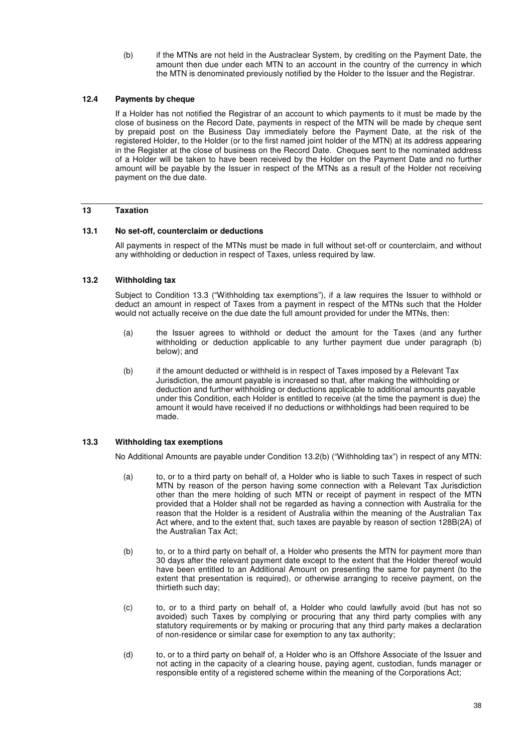(b) if the MTNs are not held in the Austraclear System, by crediting on the Payment Date, the amount then due under each MTN to an account in the country of the currency in which the MTN is denominated previously notified by the Holder to the Issuer and the Registrar.

## **12.4 Payments by cheque**

If a Holder has not notified the Registrar of an account to which payments to it must be made by the close of business on the Record Date, payments in respect of the MTN will be made by cheque sent by prepaid post on the Business Day immediately before the Payment Date, at the risk of the registered Holder, to the Holder (or to the first named joint holder of the MTN) at its address appearing in the Register at the close of business on the Record Date. Cheques sent to the nominated address of a Holder will be taken to have been received by the Holder on the Payment Date and no further amount will be payable by the Issuer in respect of the MTNs as a result of the Holder not receiving payment on the due date.

## **13 Taxation**

#### **13.1 No set-off, counterclaim or deductions**

All payments in respect of the MTNs must be made in full without set-off or counterclaim, and without any withholding or deduction in respect of Taxes, unless required by law.

#### **13.2 Withholding tax**

Subject to Condition 13.3 ("Withholding tax exemptions"), if a law requires the Issuer to withhold or deduct an amount in respect of Taxes from a payment in respect of the MTNs such that the Holder would not actually receive on the due date the full amount provided for under the MTNs, then:

- (a) the Issuer agrees to withhold or deduct the amount for the Taxes (and any further withholding or deduction applicable to any further payment due under paragraph (b) below); and
- (b) if the amount deducted or withheld is in respect of Taxes imposed by a Relevant Tax Jurisdiction, the amount payable is increased so that, after making the withholding or deduction and further withholding or deductions applicable to additional amounts payable under this Condition, each Holder is entitled to receive (at the time the payment is due) the amount it would have received if no deductions or withholdings had been required to be made.

#### **13.3 Withholding tax exemptions**

No Additional Amounts are payable under Condition 13.2(b) ("Withholding tax") in respect of any MTN:

- (a) to, or to a third party on behalf of, a Holder who is liable to such Taxes in respect of such MTN by reason of the person having some connection with a Relevant Tax Jurisdiction other than the mere holding of such MTN or receipt of payment in respect of the MTN provided that a Holder shall not be regarded as having a connection with Australia for the reason that the Holder is a resident of Australia within the meaning of the Australian Tax Act where, and to the extent that, such taxes are payable by reason of section 128B(2A) of the Australian Tax Act;
- (b) to, or to a third party on behalf of, a Holder who presents the MTN for payment more than 30 days after the relevant payment date except to the extent that the Holder thereof would have been entitled to an Additional Amount on presenting the same for payment (to the extent that presentation is required), or otherwise arranging to receive payment, on the thirtieth such day;
- (c) to, or to a third party on behalf of, a Holder who could lawfully avoid (but has not so avoided) such Taxes by complying or procuring that any third party complies with any statutory requirements or by making or procuring that any third party makes a declaration of non-residence or similar case for exemption to any tax authority;
- (d) to, or to a third party on behalf of, a Holder who is an Offshore Associate of the Issuer and not acting in the capacity of a clearing house, paying agent, custodian, funds manager or responsible entity of a registered scheme within the meaning of the Corporations Act;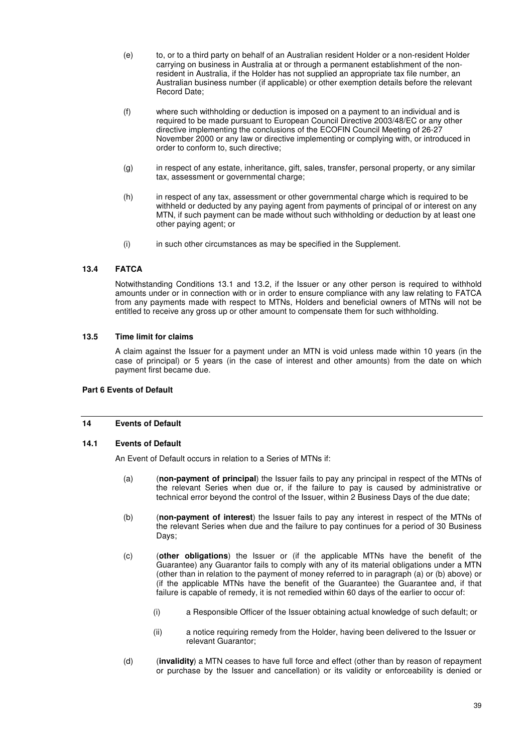- (e) to, or to a third party on behalf of an Australian resident Holder or a non-resident Holder carrying on business in Australia at or through a permanent establishment of the nonresident in Australia, if the Holder has not supplied an appropriate tax file number, an Australian business number (if applicable) or other exemption details before the relevant Record Date;
- (f) where such withholding or deduction is imposed on a payment to an individual and is required to be made pursuant to European Council Directive 2003/48/EC or any other directive implementing the conclusions of the ECOFIN Council Meeting of 26-27 November 2000 or any law or directive implementing or complying with, or introduced in order to conform to, such directive;
- (g) in respect of any estate, inheritance, gift, sales, transfer, personal property, or any similar tax, assessment or governmental charge;
- (h) in respect of any tax, assessment or other governmental charge which is required to be withheld or deducted by any paying agent from payments of principal of or interest on any MTN, if such payment can be made without such withholding or deduction by at least one other paying agent; or
- (i) in such other circumstances as may be specified in the Supplement.

## **13.4 FATCA**

Notwithstanding Conditions 13.1 and 13.2, if the Issuer or any other person is required to withhold amounts under or in connection with or in order to ensure compliance with any law relating to FATCA from any payments made with respect to MTNs, Holders and beneficial owners of MTNs will not be entitled to receive any gross up or other amount to compensate them for such withholding.

#### **13.5 Time limit for claims**

A claim against the Issuer for a payment under an MTN is void unless made within 10 years (in the case of principal) or 5 years (in the case of interest and other amounts) from the date on which payment first became due.

## **Part 6 Events of Default**

#### **14 Events of Default**

## **14.1 Events of Default**

An Event of Default occurs in relation to a Series of MTNs if:

- (a) (**non-payment of principal**) the Issuer fails to pay any principal in respect of the MTNs of the relevant Series when due or, if the failure to pay is caused by administrative or technical error beyond the control of the Issuer, within 2 Business Days of the due date;
- (b) (**non-payment of interest**) the Issuer fails to pay any interest in respect of the MTNs of the relevant Series when due and the failure to pay continues for a period of 30 Business Days;
- (c) (**other obligations**) the Issuer or (if the applicable MTNs have the benefit of the Guarantee) any Guarantor fails to comply with any of its material obligations under a MTN (other than in relation to the payment of money referred to in paragraph (a) or (b) above) or (if the applicable MTNs have the benefit of the Guarantee) the Guarantee and, if that failure is capable of remedy, it is not remedied within 60 days of the earlier to occur of:
	- (i) a Responsible Officer of the Issuer obtaining actual knowledge of such default; or
	- (ii) a notice requiring remedy from the Holder, having been delivered to the Issuer or relevant Guarantor;
- (d) (**invalidity**) a MTN ceases to have full force and effect (other than by reason of repayment or purchase by the Issuer and cancellation) or its validity or enforceability is denied or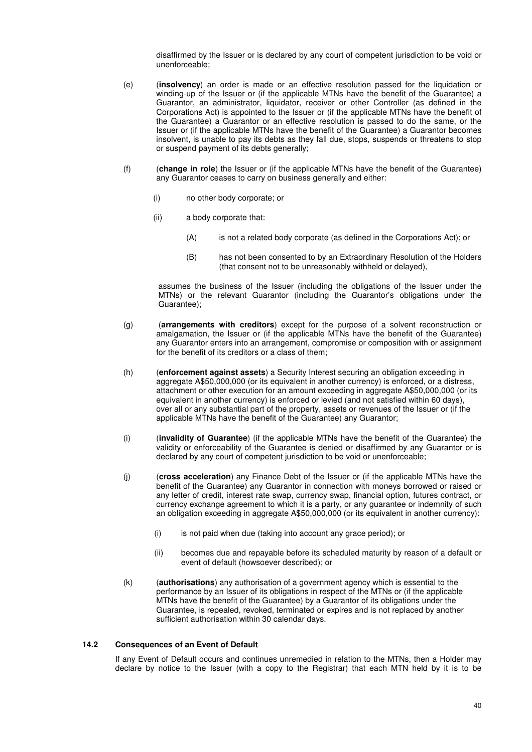disaffirmed by the Issuer or is declared by any court of competent jurisdiction to be void or unenforceable;

- (e) (**insolvency**) an order is made or an effective resolution passed for the liquidation or winding-up of the Issuer or (if the applicable MTNs have the benefit of the Guarantee) a Guarantor, an administrator, liquidator, receiver or other Controller (as defined in the Corporations Act) is appointed to the Issuer or (if the applicable MTNs have the benefit of the Guarantee) a Guarantor or an effective resolution is passed to do the same, or the Issuer or (if the applicable MTNs have the benefit of the Guarantee) a Guarantor becomes insolvent, is unable to pay its debts as they fall due, stops, suspends or threatens to stop or suspend payment of its debts generally;
- (f) (**change in role**) the Issuer or (if the applicable MTNs have the benefit of the Guarantee) any Guarantor ceases to carry on business generally and either:
	- (i) no other body corporate; or
	- (ii) a body corporate that:
		- (A) is not a related body corporate (as defined in the Corporations Act); or
		- (B) has not been consented to by an Extraordinary Resolution of the Holders (that consent not to be unreasonably withheld or delayed),

assumes the business of the Issuer (including the obligations of the Issuer under the MTNs) or the relevant Guarantor (including the Guarantor's obligations under the Guarantee);

- (g) (**arrangements with creditors**) except for the purpose of a solvent reconstruction or amalgamation, the Issuer or (if the applicable MTNs have the benefit of the Guarantee) any Guarantor enters into an arrangement, compromise or composition with or assignment for the benefit of its creditors or a class of them;
- (h) (**enforcement against assets**) a Security Interest securing an obligation exceeding in aggregate A\$50,000,000 (or its equivalent in another currency) is enforced, or a distress, attachment or other execution for an amount exceeding in aggregate A\$50,000,000 (or its equivalent in another currency) is enforced or levied (and not satisfied within 60 days), over all or any substantial part of the property, assets or revenues of the Issuer or (if the applicable MTNs have the benefit of the Guarantee) any Guarantor;
- (i) (**invalidity of Guarantee**) (if the applicable MTNs have the benefit of the Guarantee) the validity or enforceability of the Guarantee is denied or disaffirmed by any Guarantor or is declared by any court of competent jurisdiction to be void or unenforceable;
- (j) (**cross acceleration**) any Finance Debt of the Issuer or (if the applicable MTNs have the benefit of the Guarantee) any Guarantor in connection with moneys borrowed or raised or any letter of credit, interest rate swap, currency swap, financial option, futures contract, or currency exchange agreement to which it is a party, or any guarantee or indemnity of such an obligation exceeding in aggregate A\$50,000,000 (or its equivalent in another currency):
	- (i) is not paid when due (taking into account any grace period); or
	- (ii) becomes due and repayable before its scheduled maturity by reason of a default or event of default (howsoever described); or
- (k) (**authorisations**) any authorisation of a government agency which is essential to the performance by an Issuer of its obligations in respect of the MTNs or (if the applicable MTNs have the benefit of the Guarantee) by a Guarantor of its obligations under the Guarantee, is repealed, revoked, terminated or expires and is not replaced by another sufficient authorisation within 30 calendar days.

## **14.2 Consequences of an Event of Default**

If any Event of Default occurs and continues unremedied in relation to the MTNs, then a Holder may declare by notice to the Issuer (with a copy to the Registrar) that each MTN held by it is to be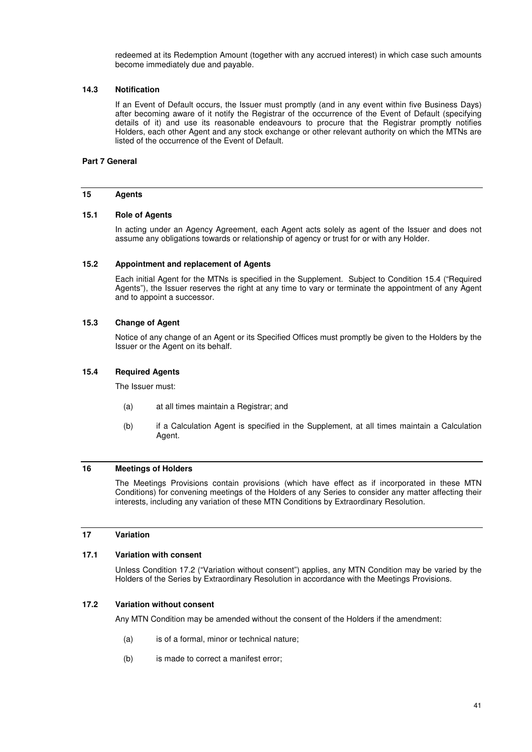redeemed at its Redemption Amount (together with any accrued interest) in which case such amounts become immediately due and payable.

#### **14.3 Notification**

If an Event of Default occurs, the Issuer must promptly (and in any event within five Business Days) after becoming aware of it notify the Registrar of the occurrence of the Event of Default (specifying details of it) and use its reasonable endeavours to procure that the Registrar promptly notifies Holders, each other Agent and any stock exchange or other relevant authority on which the MTNs are listed of the occurrence of the Event of Default.

### **Part 7 General**

#### **15 Agents**

#### **15.1 Role of Agents**

In acting under an Agency Agreement, each Agent acts solely as agent of the Issuer and does not assume any obligations towards or relationship of agency or trust for or with any Holder.

#### **15.2 Appointment and replacement of Agents**

Each initial Agent for the MTNs is specified in the Supplement. Subject to Condition 15.4 ("Required Agents"), the Issuer reserves the right at any time to vary or terminate the appointment of any Agent and to appoint a successor.

#### **15.3 Change of Agent**

Notice of any change of an Agent or its Specified Offices must promptly be given to the Holders by the Issuer or the Agent on its behalf.

#### **15.4 Required Agents**

The Issuer must:

- (a) at all times maintain a Registrar; and
- (b) if a Calculation Agent is specified in the Supplement, at all times maintain a Calculation Agent.

#### **16 Meetings of Holders**

The Meetings Provisions contain provisions (which have effect as if incorporated in these MTN Conditions) for convening meetings of the Holders of any Series to consider any matter affecting their interests, including any variation of these MTN Conditions by Extraordinary Resolution.

#### **17 Variation**

## **17.1 Variation with consent**

Unless Condition 17.2 ("Variation without consent") applies, any MTN Condition may be varied by the Holders of the Series by Extraordinary Resolution in accordance with the Meetings Provisions.

## **17.2 Variation without consent**

Any MTN Condition may be amended without the consent of the Holders if the amendment:

- (a) is of a formal, minor or technical nature;
- (b) is made to correct a manifest error;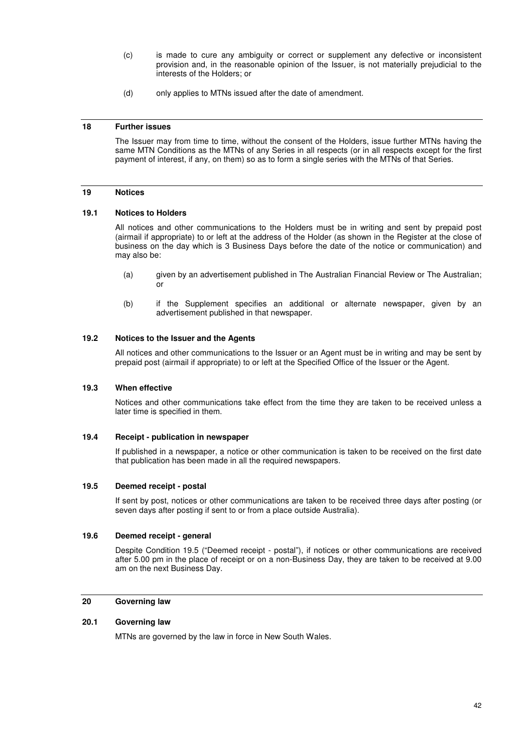- (c) is made to cure any ambiguity or correct or supplement any defective or inconsistent provision and, in the reasonable opinion of the Issuer, is not materially prejudicial to the interests of the Holders; or
- (d) only applies to MTNs issued after the date of amendment.

#### **18 Further issues**

The Issuer may from time to time, without the consent of the Holders, issue further MTNs having the same MTN Conditions as the MTNs of any Series in all respects (or in all respects except for the first payment of interest, if any, on them) so as to form a single series with the MTNs of that Series.

#### **19 Notices**

#### **19.1 Notices to Holders**

All notices and other communications to the Holders must be in writing and sent by prepaid post (airmail if appropriate) to or left at the address of the Holder (as shown in the Register at the close of business on the day which is 3 Business Days before the date of the notice or communication) and may also be:

- (a) given by an advertisement published in The Australian Financial Review or The Australian; or
- (b) if the Supplement specifies an additional or alternate newspaper, given by an advertisement published in that newspaper.

## **19.2 Notices to the Issuer and the Agents**

All notices and other communications to the Issuer or an Agent must be in writing and may be sent by prepaid post (airmail if appropriate) to or left at the Specified Office of the Issuer or the Agent.

#### **19.3 When effective**

Notices and other communications take effect from the time they are taken to be received unless a later time is specified in them.

#### **19.4 Receipt - publication in newspaper**

If published in a newspaper, a notice or other communication is taken to be received on the first date that publication has been made in all the required newspapers.

#### **19.5 Deemed receipt - postal**

If sent by post, notices or other communications are taken to be received three days after posting (or seven days after posting if sent to or from a place outside Australia).

## **19.6 Deemed receipt - general**

Despite Condition 19.5 ("Deemed receipt - postal"), if notices or other communications are received after 5.00 pm in the place of receipt or on a non-Business Day, they are taken to be received at 9.00 am on the next Business Day.

## **20 Governing law**

## **20.1 Governing law**

MTNs are governed by the law in force in New South Wales.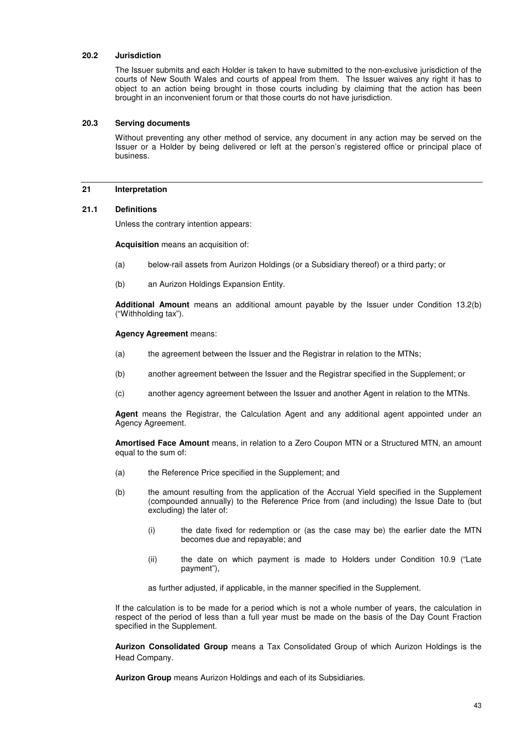#### **20.2 Jurisdiction**

The Issuer submits and each Holder is taken to have submitted to the non-exclusive jurisdiction of the courts of New South Wales and courts of appeal from them. The Issuer waives any right it has to object to an action being brought in those courts including by claiming that the action has been brought in an inconvenient forum or that those courts do not have jurisdiction.

#### **20.3 Serving documents**

Without preventing any other method of service, any document in any action may be served on the Issuer or a Holder by being delivered or left at the person's registered office or principal place of business.

#### **21 Interpretation**

#### **21.1 Definitions**

Unless the contrary intention appears:

**Acquisition** means an acquisition of:

- (a) below-rail assets from Aurizon Holdings (or a Subsidiary thereof) or a third party; or
- (b) an Aurizon Holdings Expansion Entity.

**Additional Amount** means an additional amount payable by the Issuer under Condition 13.2(b) ("Withholding tax").

#### **Agency Agreement** means:

- (a) the agreement between the Issuer and the Registrar in relation to the MTNs;
- (b) another agreement between the Issuer and the Registrar specified in the Supplement; or
- (c) another agency agreement between the Issuer and another Agent in relation to the MTNs.

**Agent** means the Registrar, the Calculation Agent and any additional agent appointed under an Agency Agreement.

**Amortised Face Amount** means, in relation to a Zero Coupon MTN or a Structured MTN, an amount equal to the sum of:

- (a) the Reference Price specified in the Supplement; and
- (b) the amount resulting from the application of the Accrual Yield specified in the Supplement (compounded annually) to the Reference Price from (and including) the Issue Date to (but excluding) the later of:
	- (i) the date fixed for redemption or (as the case may be) the earlier date the MTN becomes due and repayable; and
	- (ii) the date on which payment is made to Holders under Condition 10.9 ("Late payment"),

as further adjusted, if applicable, in the manner specified in the Supplement.

If the calculation is to be made for a period which is not a whole number of years, the calculation in respect of the period of less than a full year must be made on the basis of the Day Count Fraction specified in the Supplement.

**Aurizon Consolidated Group** means a Tax Consolidated Group of which Aurizon Holdings is the Head Company.

**Aurizon Group** means Aurizon Holdings and each of its Subsidiaries.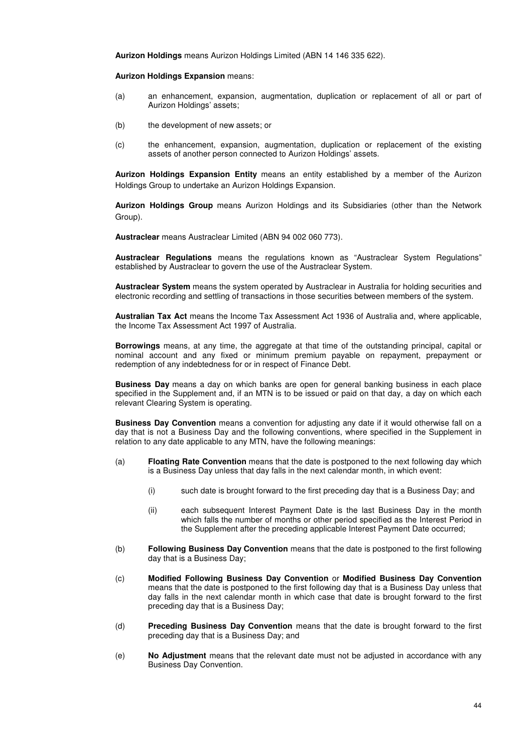**Aurizon Holdings** means Aurizon Holdings Limited (ABN 14 146 335 622).

**Aurizon Holdings Expansion** means:

- (a) an enhancement, expansion, augmentation, duplication or replacement of all or part of Aurizon Holdings' assets;
- (b) the development of new assets; or
- (c) the enhancement, expansion, augmentation, duplication or replacement of the existing assets of another person connected to Aurizon Holdings' assets.

**Aurizon Holdings Expansion Entity** means an entity established by a member of the Aurizon Holdings Group to undertake an Aurizon Holdings Expansion.

**Aurizon Holdings Group** means Aurizon Holdings and its Subsidiaries (other than the Network Group).

**Austraclear** means Austraclear Limited (ABN 94 002 060 773).

**Austraclear Regulations** means the regulations known as "Austraclear System Regulations" established by Austraclear to govern the use of the Austraclear System.

**Austraclear System** means the system operated by Austraclear in Australia for holding securities and electronic recording and settling of transactions in those securities between members of the system.

**Australian Tax Act** means the Income Tax Assessment Act 1936 of Australia and, where applicable, the Income Tax Assessment Act 1997 of Australia.

**Borrowings** means, at any time, the aggregate at that time of the outstanding principal, capital or nominal account and any fixed or minimum premium payable on repayment, prepayment or redemption of any indebtedness for or in respect of Finance Debt.

**Business Day** means a day on which banks are open for general banking business in each place specified in the Supplement and, if an MTN is to be issued or paid on that day, a day on which each relevant Clearing System is operating.

**Business Day Convention** means a convention for adjusting any date if it would otherwise fall on a day that is not a Business Day and the following conventions, where specified in the Supplement in relation to any date applicable to any MTN, have the following meanings:

- (a) **Floating Rate Convention** means that the date is postponed to the next following day which is a Business Day unless that day falls in the next calendar month, in which event:
	- (i) such date is brought forward to the first preceding day that is a Business Day; and
	- (ii) each subsequent Interest Payment Date is the last Business Day in the month which falls the number of months or other period specified as the Interest Period in the Supplement after the preceding applicable Interest Payment Date occurred;
- (b) **Following Business Day Convention** means that the date is postponed to the first following day that is a Business Day;
- (c) **Modified Following Business Day Convention** or **Modified Business Day Convention** means that the date is postponed to the first following day that is a Business Day unless that day falls in the next calendar month in which case that date is brought forward to the first preceding day that is a Business Day;
- (d) **Preceding Business Day Convention** means that the date is brought forward to the first preceding day that is a Business Day; and
- (e) **No Adjustment** means that the relevant date must not be adjusted in accordance with any Business Day Convention.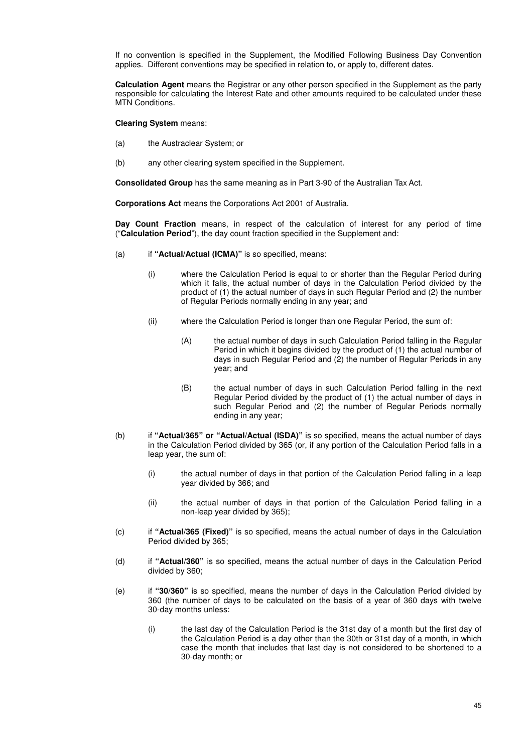If no convention is specified in the Supplement, the Modified Following Business Day Convention applies. Different conventions may be specified in relation to, or apply to, different dates.

**Calculation Agent** means the Registrar or any other person specified in the Supplement as the party responsible for calculating the Interest Rate and other amounts required to be calculated under these MTN Conditions.

**Clearing System** means:

- (a) the Austraclear System; or
- (b) any other clearing system specified in the Supplement.

**Consolidated Group** has the same meaning as in Part 3-90 of the Australian Tax Act.

**Corporations Act** means the Corporations Act 2001 of Australia.

**Day Count Fraction** means, in respect of the calculation of interest for any period of time ("**Calculation Period**"), the day count fraction specified in the Supplement and:

- (a) if **"Actual/Actual (ICMA)"** is so specified, means:
	- (i) where the Calculation Period is equal to or shorter than the Regular Period during which it falls, the actual number of days in the Calculation Period divided by the product of (1) the actual number of days in such Regular Period and (2) the number of Regular Periods normally ending in any year; and
	- (ii) where the Calculation Period is longer than one Regular Period, the sum of:
		- (A) the actual number of days in such Calculation Period falling in the Regular Period in which it begins divided by the product of (1) the actual number of days in such Regular Period and (2) the number of Regular Periods in any year; and
		- (B) the actual number of days in such Calculation Period falling in the next Regular Period divided by the product of (1) the actual number of days in such Regular Period and (2) the number of Regular Periods normally ending in any year;
- (b) if **"Actual/365" or "Actual/Actual (ISDA)"** is so specified, means the actual number of days in the Calculation Period divided by 365 (or, if any portion of the Calculation Period falls in a leap year, the sum of:
	- (i) the actual number of days in that portion of the Calculation Period falling in a leap year divided by 366; and
	- (ii) the actual number of days in that portion of the Calculation Period falling in a non-leap year divided by 365);
- (c) if **"Actual/365 (Fixed)"** is so specified, means the actual number of days in the Calculation Period divided by 365;
- (d) if **"Actual/360"** is so specified, means the actual number of days in the Calculation Period divided by 360;
- (e) if **"30/360"** is so specified, means the number of days in the Calculation Period divided by 360 (the number of days to be calculated on the basis of a year of 360 days with twelve 30-day months unless:
	- (i) the last day of the Calculation Period is the 31st day of a month but the first day of the Calculation Period is a day other than the 30th or 31st day of a month, in which case the month that includes that last day is not considered to be shortened to a 30-day month; or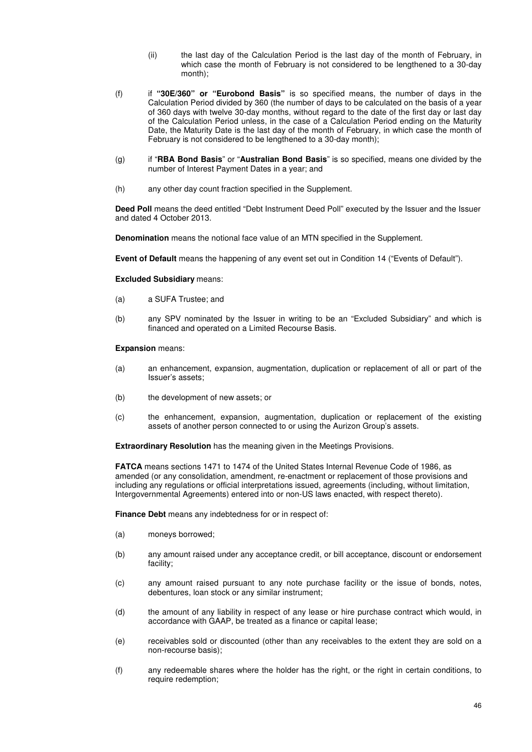- (ii) the last day of the Calculation Period is the last day of the month of February, in which case the month of February is not considered to be lengthened to a 30-day month);
- (f) if **"30E/360" or "Eurobond Basis"** is so specified means, the number of days in the Calculation Period divided by 360 (the number of days to be calculated on the basis of a year of 360 days with twelve 30-day months, without regard to the date of the first day or last day of the Calculation Period unless, in the case of a Calculation Period ending on the Maturity Date, the Maturity Date is the last day of the month of February, in which case the month of February is not considered to be lengthened to a 30-day month);
- (g) if "**RBA Bond Basis**" or "**Australian Bond Basis**" is so specified, means one divided by the number of Interest Payment Dates in a year; and
- (h) any other day count fraction specified in the Supplement.

**Deed Poll** means the deed entitled "Debt Instrument Deed Poll" executed by the Issuer and the Issuer and dated 4 October 2013.

**Denomination** means the notional face value of an MTN specified in the Supplement.

**Event of Default** means the happening of any event set out in Condition 14 ("Events of Default").

#### **Excluded Subsidiary** means:

- (a) a SUFA Trustee; and
- (b) any SPV nominated by the Issuer in writing to be an "Excluded Subsidiary" and which is financed and operated on a Limited Recourse Basis.

#### **Expansion** means:

- (a) an enhancement, expansion, augmentation, duplication or replacement of all or part of the Issuer's assets;
- (b) the development of new assets; or
- (c) the enhancement, expansion, augmentation, duplication or replacement of the existing assets of another person connected to or using the Aurizon Group's assets.

**Extraordinary Resolution** has the meaning given in the Meetings Provisions.

**FATCA** means sections 1471 to 1474 of the United States Internal Revenue Code of 1986, as amended (or any consolidation, amendment, re-enactment or replacement of those provisions and including any regulations or official interpretations issued, agreements (including, without limitation, Intergovernmental Agreements) entered into or non-US laws enacted, with respect thereto).

**Finance Debt** means any indebtedness for or in respect of:

- (a) moneys borrowed;
- (b) any amount raised under any acceptance credit, or bill acceptance, discount or endorsement facility;
- (c) any amount raised pursuant to any note purchase facility or the issue of bonds, notes, debentures, loan stock or any similar instrument;
- (d) the amount of any liability in respect of any lease or hire purchase contract which would, in accordance with GAAP, be treated as a finance or capital lease;
- (e) receivables sold or discounted (other than any receivables to the extent they are sold on a non-recourse basis);
- (f) any redeemable shares where the holder has the right, or the right in certain conditions, to require redemption;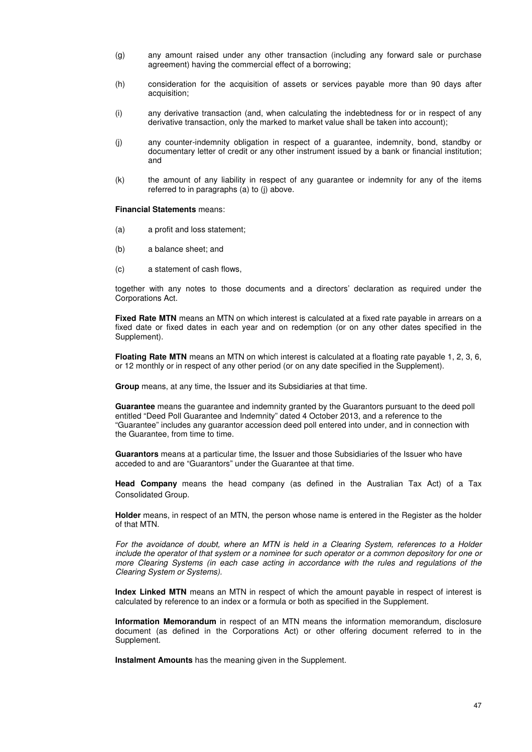- (g) any amount raised under any other transaction (including any forward sale or purchase agreement) having the commercial effect of a borrowing;
- (h) consideration for the acquisition of assets or services payable more than 90 days after acquisition;
- (i) any derivative transaction (and, when calculating the indebtedness for or in respect of any derivative transaction, only the marked to market value shall be taken into account);
- (j) any counter-indemnity obligation in respect of a guarantee, indemnity, bond, standby or documentary letter of credit or any other instrument issued by a bank or financial institution; and
- (k) the amount of any liability in respect of any guarantee or indemnity for any of the items referred to in paragraphs (a) to (j) above.

**Financial Statements** means:

- (a) a profit and loss statement;
- (b) a balance sheet; and
- (c) a statement of cash flows,

together with any notes to those documents and a directors' declaration as required under the Corporations Act.

**Fixed Rate MTN** means an MTN on which interest is calculated at a fixed rate payable in arrears on a fixed date or fixed dates in each year and on redemption (or on any other dates specified in the Supplement).

**Floating Rate MTN** means an MTN on which interest is calculated at a floating rate payable 1, 2, 3, 6, or 12 monthly or in respect of any other period (or on any date specified in the Supplement).

**Group** means, at any time, the Issuer and its Subsidiaries at that time.

**Guarantee** means the guarantee and indemnity granted by the Guarantors pursuant to the deed poll entitled "Deed Poll Guarantee and Indemnity" dated 4 October 2013, and a reference to the "Guarantee" includes any guarantor accession deed poll entered into under, and in connection with the Guarantee, from time to time.

**Guarantors** means at a particular time, the Issuer and those Subsidiaries of the Issuer who have acceded to and are "Guarantors" under the Guarantee at that time.

**Head Company** means the head company (as defined in the Australian Tax Act) of a Tax Consolidated Group.

**Holder** means, in respect of an MTN, the person whose name is entered in the Register as the holder of that MTN.

*For the avoidance of doubt, where an MTN is held in a Clearing System, references to a Holder include the operator of that system or a nominee for such operator or a common depository for one or more Clearing Systems (in each case acting in accordance with the rules and regulations of the Clearing System or Systems).* 

**Index Linked MTN** means an MTN in respect of which the amount payable in respect of interest is calculated by reference to an index or a formula or both as specified in the Supplement.

**Information Memorandum** in respect of an MTN means the information memorandum, disclosure document (as defined in the Corporations Act) or other offering document referred to in the Supplement.

**Instalment Amounts** has the meaning given in the Supplement.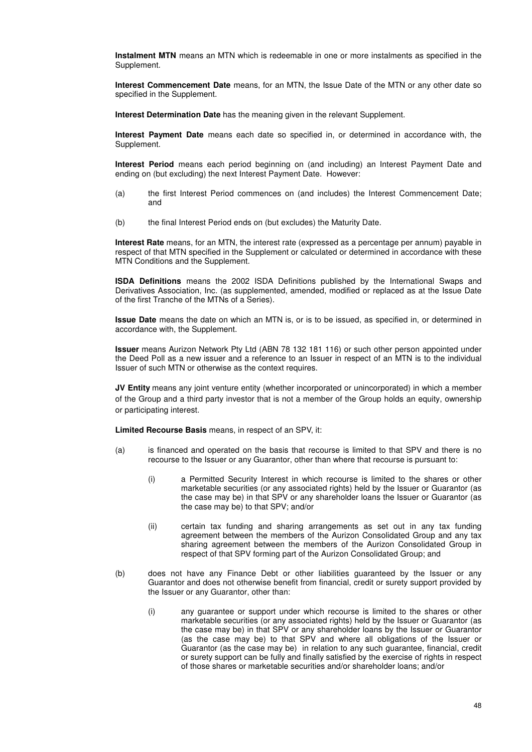**Instalment MTN** means an MTN which is redeemable in one or more instalments as specified in the Supplement.

**Interest Commencement Date** means, for an MTN, the Issue Date of the MTN or any other date so specified in the Supplement.

**Interest Determination Date** has the meaning given in the relevant Supplement.

**Interest Payment Date** means each date so specified in, or determined in accordance with, the Supplement.

**Interest Period** means each period beginning on (and including) an Interest Payment Date and ending on (but excluding) the next Interest Payment Date. However:

- (a) the first Interest Period commences on (and includes) the Interest Commencement Date; and
- (b) the final Interest Period ends on (but excludes) the Maturity Date.

**Interest Rate** means, for an MTN, the interest rate (expressed as a percentage per annum) payable in respect of that MTN specified in the Supplement or calculated or determined in accordance with these MTN Conditions and the Supplement.

**ISDA Definitions** means the 2002 ISDA Definitions published by the International Swaps and Derivatives Association, Inc. (as supplemented, amended, modified or replaced as at the Issue Date of the first Tranche of the MTNs of a Series).

**Issue Date** means the date on which an MTN is, or is to be issued, as specified in, or determined in accordance with, the Supplement.

**Issuer** means Aurizon Network Pty Ltd (ABN 78 132 181 116) or such other person appointed under the Deed Poll as a new issuer and a reference to an Issuer in respect of an MTN is to the individual Issuer of such MTN or otherwise as the context requires.

**JV Entity** means any joint venture entity (whether incorporated or unincorporated) in which a member of the Group and a third party investor that is not a member of the Group holds an equity, ownership or participating interest.

**Limited Recourse Basis** means, in respect of an SPV, it:

- (a) is financed and operated on the basis that recourse is limited to that SPV and there is no recourse to the Issuer or any Guarantor, other than where that recourse is pursuant to:
	- (i) a Permitted Security Interest in which recourse is limited to the shares or other marketable securities (or any associated rights) held by the Issuer or Guarantor (as the case may be) in that SPV or any shareholder loans the Issuer or Guarantor (as the case may be) to that SPV; and/or
	- (ii) certain tax funding and sharing arrangements as set out in any tax funding agreement between the members of the Aurizon Consolidated Group and any tax sharing agreement between the members of the Aurizon Consolidated Group in respect of that SPV forming part of the Aurizon Consolidated Group; and
- (b) does not have any Finance Debt or other liabilities guaranteed by the Issuer or any Guarantor and does not otherwise benefit from financial, credit or surety support provided by the Issuer or any Guarantor, other than:
	- (i) any guarantee or support under which recourse is limited to the shares or other marketable securities (or any associated rights) held by the Issuer or Guarantor (as the case may be) in that SPV or any shareholder loans by the Issuer or Guarantor (as the case may be) to that SPV and where all obligations of the Issuer or Guarantor (as the case may be) in relation to any such guarantee, financial, credit or surety support can be fully and finally satisfied by the exercise of rights in respect of those shares or marketable securities and/or shareholder loans; and/or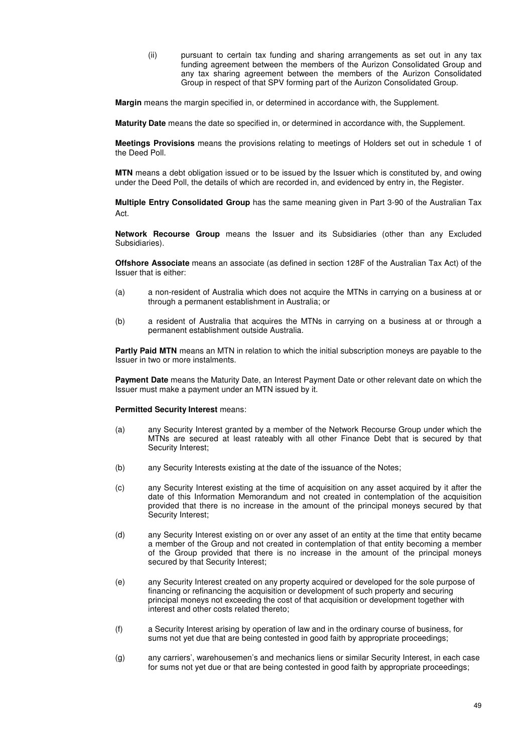(ii) pursuant to certain tax funding and sharing arrangements as set out in any tax funding agreement between the members of the Aurizon Consolidated Group and any tax sharing agreement between the members of the Aurizon Consolidated Group in respect of that SPV forming part of the Aurizon Consolidated Group.

**Margin** means the margin specified in, or determined in accordance with, the Supplement.

**Maturity Date** means the date so specified in, or determined in accordance with, the Supplement.

**Meetings Provisions** means the provisions relating to meetings of Holders set out in schedule 1 of the Deed Poll.

**MTN** means a debt obligation issued or to be issued by the Issuer which is constituted by, and owing under the Deed Poll, the details of which are recorded in, and evidenced by entry in, the Register.

**Multiple Entry Consolidated Group** has the same meaning given in Part 3-90 of the Australian Tax Act.

**Network Recourse Group** means the Issuer and its Subsidiaries (other than any Excluded Subsidiaries).

**Offshore Associate** means an associate (as defined in section 128F of the Australian Tax Act) of the Issuer that is either:

- (a) a non-resident of Australia which does not acquire the MTNs in carrying on a business at or through a permanent establishment in Australia; or
- (b) a resident of Australia that acquires the MTNs in carrying on a business at or through a permanent establishment outside Australia.

**Partly Paid MTN** means an MTN in relation to which the initial subscription moneys are payable to the Issuer in two or more instalments.

**Payment Date** means the Maturity Date, an Interest Payment Date or other relevant date on which the Issuer must make a payment under an MTN issued by it.

#### **Permitted Security Interest means:**

- (a) any Security Interest granted by a member of the Network Recourse Group under which the MTNs are secured at least rateably with all other Finance Debt that is secured by that Security Interest;
- (b) any Security Interests existing at the date of the issuance of the Notes;
- (c) any Security Interest existing at the time of acquisition on any asset acquired by it after the date of this Information Memorandum and not created in contemplation of the acquisition provided that there is no increase in the amount of the principal moneys secured by that Security Interest;
- (d) any Security Interest existing on or over any asset of an entity at the time that entity became a member of the Group and not created in contemplation of that entity becoming a member of the Group provided that there is no increase in the amount of the principal moneys secured by that Security Interest;
- (e) any Security Interest created on any property acquired or developed for the sole purpose of financing or refinancing the acquisition or development of such property and securing principal moneys not exceeding the cost of that acquisition or development together with interest and other costs related thereto;
- (f) a Security Interest arising by operation of law and in the ordinary course of business, for sums not yet due that are being contested in good faith by appropriate proceedings;
- (g) any carriers', warehousemen's and mechanics liens or similar Security Interest, in each case for sums not yet due or that are being contested in good faith by appropriate proceedings;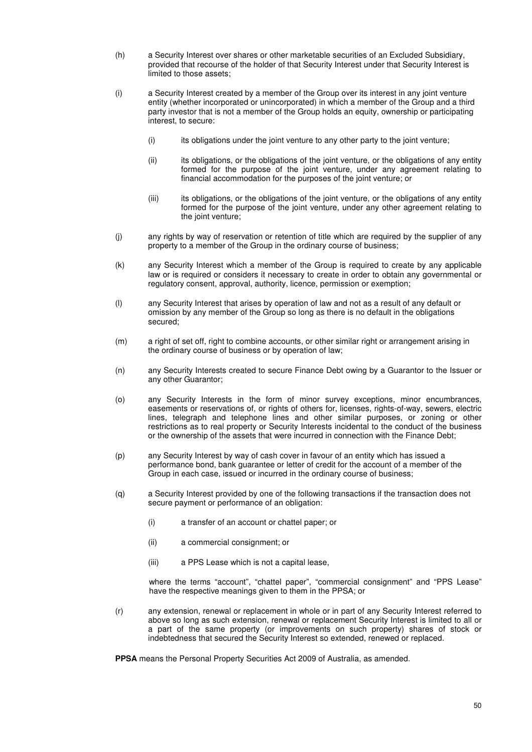- (h) a Security Interest over shares or other marketable securities of an Excluded Subsidiary, provided that recourse of the holder of that Security Interest under that Security Interest is limited to those assets;
- (i) a Security Interest created by a member of the Group over its interest in any joint venture entity (whether incorporated or unincorporated) in which a member of the Group and a third party investor that is not a member of the Group holds an equity, ownership or participating interest, to secure:
	- (i) its obligations under the joint venture to any other party to the joint venture;
	- (ii) its obligations, or the obligations of the joint venture, or the obligations of any entity formed for the purpose of the joint venture, under any agreement relating to financial accommodation for the purposes of the joint venture; or
	- (iii) its obligations, or the obligations of the joint venture, or the obligations of any entity formed for the purpose of the joint venture, under any other agreement relating to the joint venture;
- (j) any rights by way of reservation or retention of title which are required by the supplier of any property to a member of the Group in the ordinary course of business;
- (k) any Security Interest which a member of the Group is required to create by any applicable law or is required or considers it necessary to create in order to obtain any governmental or regulatory consent, approval, authority, licence, permission or exemption;
- (l) any Security Interest that arises by operation of law and not as a result of any default or omission by any member of the Group so long as there is no default in the obligations secured;
- (m) a right of set off, right to combine accounts, or other similar right or arrangement arising in the ordinary course of business or by operation of law;
- (n) any Security Interests created to secure Finance Debt owing by a Guarantor to the Issuer or any other Guarantor;
- (o) any Security Interests in the form of minor survey exceptions, minor encumbrances, easements or reservations of, or rights of others for, licenses, rights-of-way, sewers, electric lines, telegraph and telephone lines and other similar purposes, or zoning or other restrictions as to real property or Security Interests incidental to the conduct of the business or the ownership of the assets that were incurred in connection with the Finance Debt;
- (p) any Security Interest by way of cash cover in favour of an entity which has issued a performance bond, bank guarantee or letter of credit for the account of a member of the Group in each case, issued or incurred in the ordinary course of business;
- (q) a Security Interest provided by one of the following transactions if the transaction does not secure payment or performance of an obligation:
	- (i) a transfer of an account or chattel paper; or
	- (ii) a commercial consignment; or
	- (iii) a PPS Lease which is not a capital lease,

where the terms "account", "chattel paper", "commercial consignment" and "PPS Lease" have the respective meanings given to them in the PPSA; or

(r) any extension, renewal or replacement in whole or in part of any Security Interest referred to above so long as such extension, renewal or replacement Security Interest is limited to all or a part of the same property (or improvements on such property) shares of stock or indebtedness that secured the Security Interest so extended, renewed or replaced.

**PPSA** means the Personal Property Securities Act 2009 of Australia, as amended.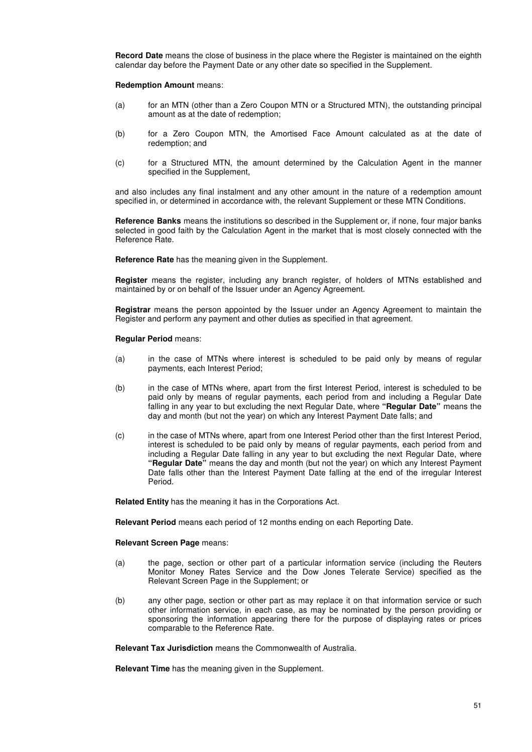**Record Date** means the close of business in the place where the Register is maintained on the eighth calendar day before the Payment Date or any other date so specified in the Supplement.

**Redemption Amount** means:

- (a) for an MTN (other than a Zero Coupon MTN or a Structured MTN), the outstanding principal amount as at the date of redemption;
- (b) for a Zero Coupon MTN, the Amortised Face Amount calculated as at the date of redemption; and
- (c) for a Structured MTN, the amount determined by the Calculation Agent in the manner specified in the Supplement,

and also includes any final instalment and any other amount in the nature of a redemption amount specified in, or determined in accordance with, the relevant Supplement or these MTN Conditions.

**Reference Banks** means the institutions so described in the Supplement or, if none, four major banks selected in good faith by the Calculation Agent in the market that is most closely connected with the Reference Rate.

**Reference Rate** has the meaning given in the Supplement.

**Register** means the register, including any branch register, of holders of MTNs established and maintained by or on behalf of the Issuer under an Agency Agreement.

**Registrar** means the person appointed by the Issuer under an Agency Agreement to maintain the Register and perform any payment and other duties as specified in that agreement.

**Regular Period** means:

- (a) in the case of MTNs where interest is scheduled to be paid only by means of regular payments, each Interest Period;
- (b) in the case of MTNs where, apart from the first Interest Period, interest is scheduled to be paid only by means of regular payments, each period from and including a Regular Date falling in any year to but excluding the next Regular Date, where **"Regular Date"** means the day and month (but not the year) on which any Interest Payment Date falls; and
- (c) in the case of MTNs where, apart from one Interest Period other than the first Interest Period, interest is scheduled to be paid only by means of regular payments, each period from and including a Regular Date falling in any year to but excluding the next Regular Date, where **"Regular Date"** means the day and month (but not the year) on which any Interest Payment Date falls other than the Interest Payment Date falling at the end of the irregular Interest Period.

**Related Entity** has the meaning it has in the Corporations Act.

**Relevant Period** means each period of 12 months ending on each Reporting Date.

**Relevant Screen Page** means:

- (a) the page, section or other part of a particular information service (including the Reuters Monitor Money Rates Service and the Dow Jones Telerate Service) specified as the Relevant Screen Page in the Supplement; or
- (b) any other page, section or other part as may replace it on that information service or such other information service, in each case, as may be nominated by the person providing or sponsoring the information appearing there for the purpose of displaying rates or prices comparable to the Reference Rate.

**Relevant Tax Jurisdiction** means the Commonwealth of Australia.

**Relevant Time** has the meaning given in the Supplement.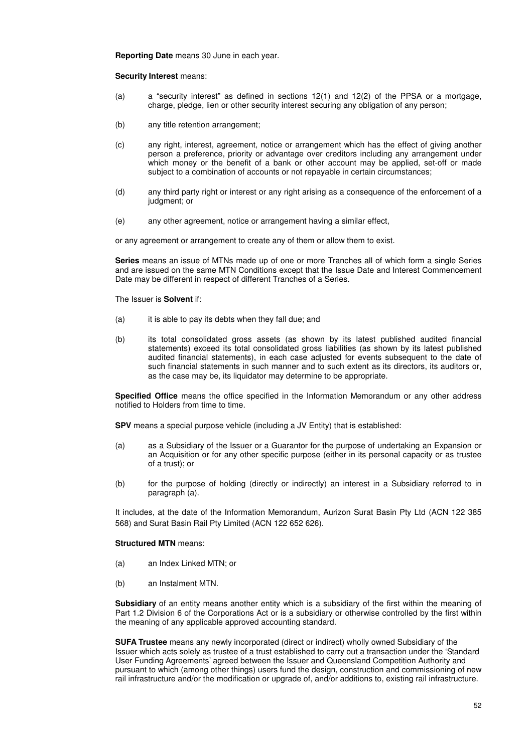**Reporting Date** means 30 June in each year.

#### **Security Interest** means:

- (a) a "security interest" as defined in sections 12(1) and 12(2) of the PPSA or a mortgage, charge, pledge, lien or other security interest securing any obligation of any person;
- (b) any title retention arrangement;
- (c) any right, interest, agreement, notice or arrangement which has the effect of giving another person a preference, priority or advantage over creditors including any arrangement under which money or the benefit of a bank or other account may be applied, set-off or made subject to a combination of accounts or not repayable in certain circumstances;
- (d) any third party right or interest or any right arising as a consequence of the enforcement of a judgment; or
- (e) any other agreement, notice or arrangement having a similar effect,

or any agreement or arrangement to create any of them or allow them to exist.

**Series** means an issue of MTNs made up of one or more Tranches all of which form a single Series and are issued on the same MTN Conditions except that the Issue Date and Interest Commencement Date may be different in respect of different Tranches of a Series.

The Issuer is **Solvent** if:

- (a) it is able to pay its debts when they fall due; and
- (b) its total consolidated gross assets (as shown by its latest published audited financial statements) exceed its total consolidated gross liabilities (as shown by its latest published audited financial statements), in each case adjusted for events subsequent to the date of such financial statements in such manner and to such extent as its directors, its auditors or, as the case may be, its liquidator may determine to be appropriate.

**Specified Office** means the office specified in the Information Memorandum or any other address notified to Holders from time to time.

**SPV** means a special purpose vehicle (including a JV Entity) that is established:

- (a) as a Subsidiary of the Issuer or a Guarantor for the purpose of undertaking an Expansion or an Acquisition or for any other specific purpose (either in its personal capacity or as trustee of a trust); or
- (b) for the purpose of holding (directly or indirectly) an interest in a Subsidiary referred to in paragraph (a).

It includes, at the date of the Information Memorandum, Aurizon Surat Basin Pty Ltd (ACN 122 385 568) and Surat Basin Rail Pty Limited (ACN 122 652 626).

#### **Structured MTN** means:

- (a) an Index Linked MTN; or
- (b) an Instalment MTN.

**Subsidiary** of an entity means another entity which is a subsidiary of the first within the meaning of Part 1.2 Division 6 of the Corporations Act or is a subsidiary or otherwise controlled by the first within the meaning of any applicable approved accounting standard.

**SUFA Trustee** means any newly incorporated (direct or indirect) wholly owned Subsidiary of the Issuer which acts solely as trustee of a trust established to carry out a transaction under the 'Standard User Funding Agreements' agreed between the Issuer and Queensland Competition Authority and pursuant to which (among other things) users fund the design, construction and commissioning of new rail infrastructure and/or the modification or upgrade of, and/or additions to, existing rail infrastructure.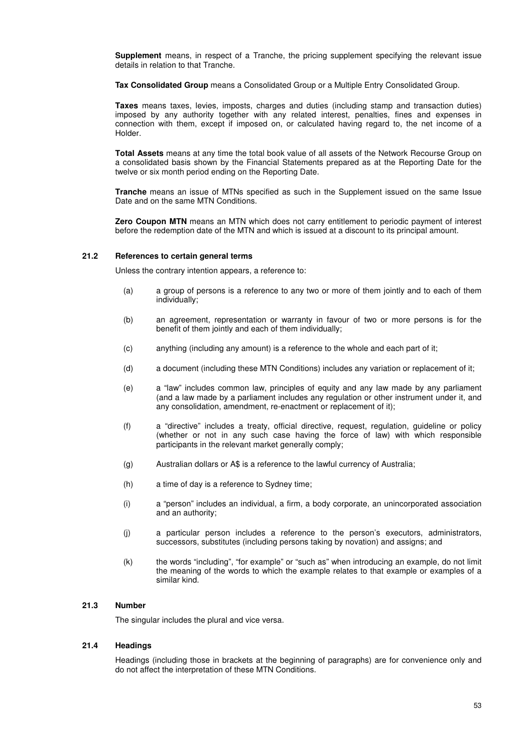**Supplement** means, in respect of a Tranche, the pricing supplement specifying the relevant issue details in relation to that Tranche.

**Tax Consolidated Group** means a Consolidated Group or a Multiple Entry Consolidated Group.

**Taxes** means taxes, levies, imposts, charges and duties (including stamp and transaction duties) imposed by any authority together with any related interest, penalties, fines and expenses in connection with them, except if imposed on, or calculated having regard to, the net income of a Holder.

**Total Assets** means at any time the total book value of all assets of the Network Recourse Group on a consolidated basis shown by the Financial Statements prepared as at the Reporting Date for the twelve or six month period ending on the Reporting Date.

**Tranche** means an issue of MTNs specified as such in the Supplement issued on the same Issue Date and on the same MTN Conditions.

**Zero Coupon MTN** means an MTN which does not carry entitlement to periodic payment of interest before the redemption date of the MTN and which is issued at a discount to its principal amount.

#### **21.2 References to certain general terms**

Unless the contrary intention appears, a reference to:

- (a) a group of persons is a reference to any two or more of them jointly and to each of them individually;
- (b) an agreement, representation or warranty in favour of two or more persons is for the benefit of them jointly and each of them individually;
- (c) anything (including any amount) is a reference to the whole and each part of it;
- (d) a document (including these MTN Conditions) includes any variation or replacement of it;
- (e) a "law" includes common law, principles of equity and any law made by any parliament (and a law made by a parliament includes any regulation or other instrument under it, and any consolidation, amendment, re-enactment or replacement of it);
- (f) a "directive" includes a treaty, official directive, request, regulation, guideline or policy (whether or not in any such case having the force of law) with which responsible participants in the relevant market generally comply;
- (g) Australian dollars or A\$ is a reference to the lawful currency of Australia;
- (h) a time of day is a reference to Sydney time;
- (i) a "person" includes an individual, a firm, a body corporate, an unincorporated association and an authority;
- (j) a particular person includes a reference to the person's executors, administrators, successors, substitutes (including persons taking by novation) and assigns; and
- (k) the words "including", "for example" or "such as" when introducing an example, do not limit the meaning of the words to which the example relates to that example or examples of a similar kind.

#### **21.3 Number**

The singular includes the plural and vice versa.

## **21.4 Headings**

Headings (including those in brackets at the beginning of paragraphs) are for convenience only and do not affect the interpretation of these MTN Conditions.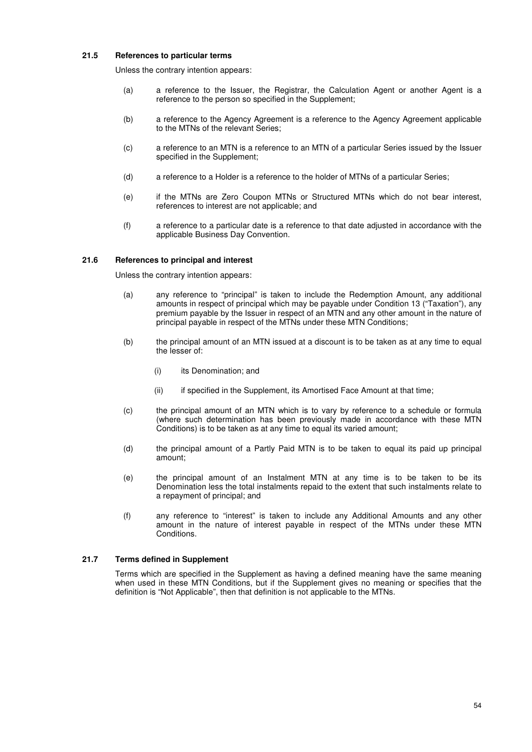### **21.5 References to particular terms**

Unless the contrary intention appears:

- (a) a reference to the Issuer, the Registrar, the Calculation Agent or another Agent is a reference to the person so specified in the Supplement;
- (b) a reference to the Agency Agreement is a reference to the Agency Agreement applicable to the MTNs of the relevant Series;
- (c) a reference to an MTN is a reference to an MTN of a particular Series issued by the Issuer specified in the Supplement;
- (d) a reference to a Holder is a reference to the holder of MTNs of a particular Series;
- (e) if the MTNs are Zero Coupon MTNs or Structured MTNs which do not bear interest, references to interest are not applicable; and
- (f) a reference to a particular date is a reference to that date adjusted in accordance with the applicable Business Day Convention.

#### **21.6 References to principal and interest**

Unless the contrary intention appears:

- (a) any reference to "principal" is taken to include the Redemption Amount, any additional amounts in respect of principal which may be payable under Condition 13 ("Taxation"), any premium payable by the Issuer in respect of an MTN and any other amount in the nature of principal payable in respect of the MTNs under these MTN Conditions;
- (b) the principal amount of an MTN issued at a discount is to be taken as at any time to equal the lesser of:
	- (i) its Denomination; and
	- (ii) if specified in the Supplement, its Amortised Face Amount at that time;
- (c) the principal amount of an MTN which is to vary by reference to a schedule or formula (where such determination has been previously made in accordance with these MTN Conditions) is to be taken as at any time to equal its varied amount;
- (d) the principal amount of a Partly Paid MTN is to be taken to equal its paid up principal amount;
- (e) the principal amount of an Instalment MTN at any time is to be taken to be its Denomination less the total instalments repaid to the extent that such instalments relate to a repayment of principal; and
- (f) any reference to "interest" is taken to include any Additional Amounts and any other amount in the nature of interest payable in respect of the MTNs under these MTN Conditions.

#### **21.7 Terms defined in Supplement**

Terms which are specified in the Supplement as having a defined meaning have the same meaning when used in these MTN Conditions, but if the Supplement gives no meaning or specifies that the definition is "Not Applicable", then that definition is not applicable to the MTNs.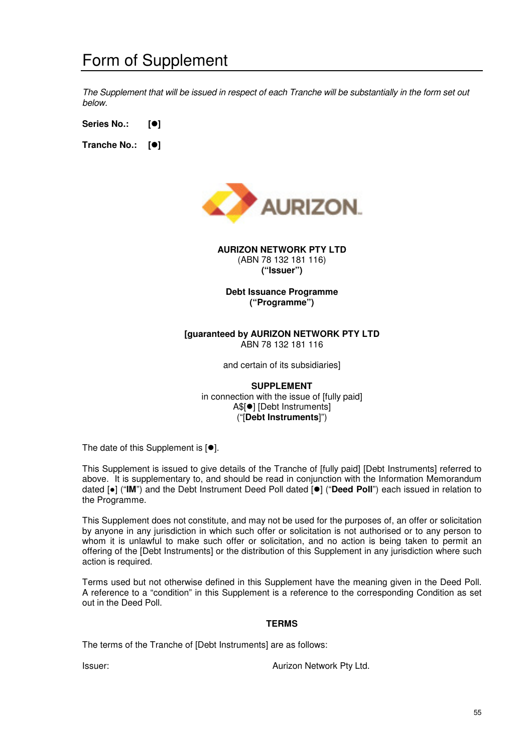*The Supplement that will be issued in respect of each Tranche will be substantially in the form set out below.* 

**Series No.: []** 

**Tranche No.: []** 



**AURIZON NETWORK PTY LTD**  (ABN 78 132 181 116) **("Issuer")** 

**Debt Issuance Programme ("Programme")** 

## **[guaranteed by AURIZON NETWORK PTY LTD**  ABN 78 132 181 116

and certain of its subsidiaries]

**SUPPLEMENT**  in connection with the issue of [fully paid] A\$[<sup>o</sup>] [Debt Instruments] ("[**Debt Instruments**]")

The date of this Supplement is  $[•]$ .

This Supplement is issued to give details of the Tranche of [fully paid] [Debt Instruments] referred to above. It is supplementary to, and should be read in conjunction with the Information Memorandum dated [●] ("IM") and the Debt Instrument Deed Poll dated [<sup>●</sup>] ("Deed Poll") each issued in relation to the Programme.

This Supplement does not constitute, and may not be used for the purposes of, an offer or solicitation by anyone in any jurisdiction in which such offer or solicitation is not authorised or to any person to whom it is unlawful to make such offer or solicitation, and no action is being taken to permit an offering of the [Debt Instruments] or the distribution of this Supplement in any jurisdiction where such action is required.

Terms used but not otherwise defined in this Supplement have the meaning given in the Deed Poll. A reference to a "condition" in this Supplement is a reference to the corresponding Condition as set out in the Deed Poll.

## **TERMS**

The terms of the Tranche of [Debt Instruments] are as follows:

**Issuer:** Aurizon Network Pty Ltd.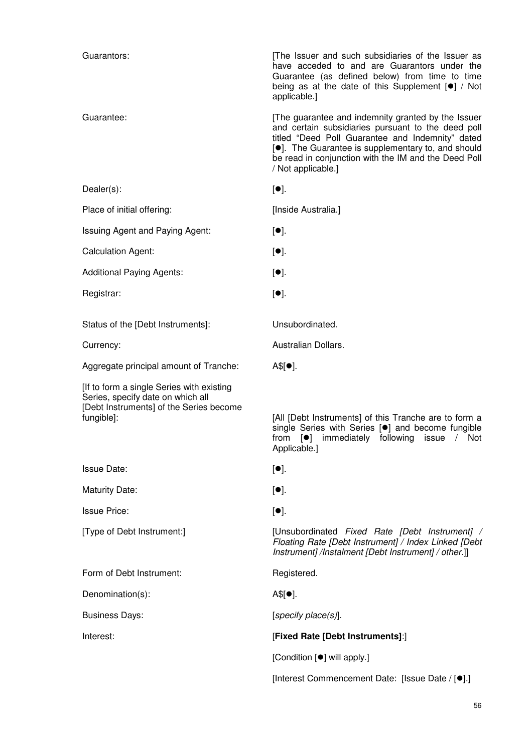| Guarantors:                                                                                                                              | The Issuer and such subsidiaries of the Issuer as<br>have acceded to and are Guarantors under the<br>Guarantee (as defined below) from time to time<br>being as at the date of this Supplement [.] / Not<br>applicable.]                                                                                      |
|------------------------------------------------------------------------------------------------------------------------------------------|---------------------------------------------------------------------------------------------------------------------------------------------------------------------------------------------------------------------------------------------------------------------------------------------------------------|
| Guarantee:                                                                                                                               | [The guarantee and indemnity granted by the Issuer<br>and certain subsidiaries pursuant to the deed poll<br>titled "Deed Poll Guarantee and Indemnity" dated<br>[ <sup>o</sup> ]. The Guarantee is supplementary to, and should<br>be read in conjunction with the IM and the Deed Poll<br>/ Not applicable.] |
| $Dealer(s)$ :                                                                                                                            | $[•]$ .                                                                                                                                                                                                                                                                                                       |
| Place of initial offering:                                                                                                               | [Inside Australia.]                                                                                                                                                                                                                                                                                           |
| Issuing Agent and Paying Agent:                                                                                                          | $[•]$ .                                                                                                                                                                                                                                                                                                       |
| <b>Calculation Agent:</b>                                                                                                                | $[•]$ .                                                                                                                                                                                                                                                                                                       |
| <b>Additional Paying Agents:</b>                                                                                                         | $[•]$ .                                                                                                                                                                                                                                                                                                       |
| Registrar:                                                                                                                               | $[•]$ .                                                                                                                                                                                                                                                                                                       |
| Status of the [Debt Instruments]:                                                                                                        | Unsubordinated.                                                                                                                                                                                                                                                                                               |
| Currency:                                                                                                                                | Australian Dollars.                                                                                                                                                                                                                                                                                           |
| Aggregate principal amount of Tranche:                                                                                                   | $A$[•]$ .                                                                                                                                                                                                                                                                                                     |
| [If to form a single Series with existing]<br>Series, specify date on which all<br>[Debt Instruments] of the Series become<br>fungible]: | [All [Debt Instruments] of this Tranche are to form a<br>single Series with Series [ <sup>•</sup> ] and become fungible<br>from [ <sup>o</sup> ] immediately following issue / Not<br>Applicable.]                                                                                                            |
| <b>Issue Date:</b>                                                                                                                       | $[\bullet]$ .                                                                                                                                                                                                                                                                                                 |
| <b>Maturity Date:</b>                                                                                                                    | $[•]$ .                                                                                                                                                                                                                                                                                                       |
| <b>Issue Price:</b>                                                                                                                      | $[•]$ .                                                                                                                                                                                                                                                                                                       |
| [Type of Debt Instrument:]                                                                                                               | [Unsubordinated Fixed Rate [Debt Instrument] /<br>Floating Rate [Debt Instrument] / Index Linked [Debt<br>Instrument] /Instalment [Debt Instrument] / other.]]                                                                                                                                                |
| Form of Debt Instrument:                                                                                                                 | Registered.                                                                                                                                                                                                                                                                                                   |
| Denomination(s):                                                                                                                         | $A$[•]$ .                                                                                                                                                                                                                                                                                                     |
| <b>Business Days:</b>                                                                                                                    | [specificity place(s)].                                                                                                                                                                                                                                                                                       |
| Interest:                                                                                                                                | [Fixed Rate [Debt Instruments]:]                                                                                                                                                                                                                                                                              |
|                                                                                                                                          | [Condition [ <sup>•</sup> ] will apply.]                                                                                                                                                                                                                                                                      |
|                                                                                                                                          | [Interest Commencement Date: [Issue Date / [ <sup>●</sup> ].]                                                                                                                                                                                                                                                 |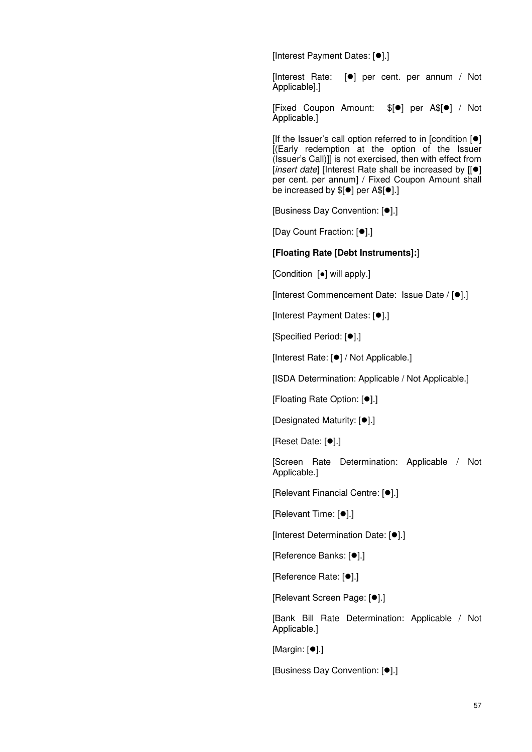[Interest Payment Dates: [ $\bullet$ ].]

[Interest Rate:  $[•]$  per cent. per annum / Not Applicable].]

[Fixed Coupon Amount: \$[<sup>o]</sup> per A\$[<sup>o</sup>] / Not Applicable.]

[If the Issuer's call option referred to in [condition  $[•]$ ] [(Early redemption at the option of the Issuer (Issuer's Call)]] is not exercised, then with effect from [*insert date*] [Interest Rate shall be increased by [[ $\bullet$ ] per cent. per annum] / Fixed Coupon Amount shall be increased by  $$[•]$  per A\$ $[•]$ .]

**[Business Day Convention: [** $\bullet$ **].]** 

[Day Count Fraction: [<sup>0</sup>].]

## **[Floating Rate [Debt Instruments]:**]

[Condition [●] will apply.]

[Interest Commencement Date: Issue Date / [ $\bullet$ ].]

[Interest Payment Dates: [ $\bullet$ ].]

[Specified Period: [<sup>0</sup>].]

[Interest Rate: [ $\bullet$ ] / Not Applicable.]

[ISDA Determination: Applicable / Not Applicable.]

[Floating Rate Option: [ $\bullet$ ].]

[Designated Maturity: [ $\bullet$ ].]

[Reset Date: [ $\bullet$ ].]

[Screen Rate Determination: Applicable / Not Applicable.]

[Relevant Financial Centre: [ $\bullet$ ].]

[Relevant Time: [ $\bullet$ ].]

**Interest Determination Date: [0].]** 

[Reference Banks: [ $\bullet$ ].]

[Reference Rate: [<sup>0</sup>].]

[Relevant Screen Page: [ $\bullet$ ].]

[Bank Bill Rate Determination: Applicable / Not Applicable.]

 $[Margin: [①].]$ 

[Business Day Convention: [ $\bullet$ ].]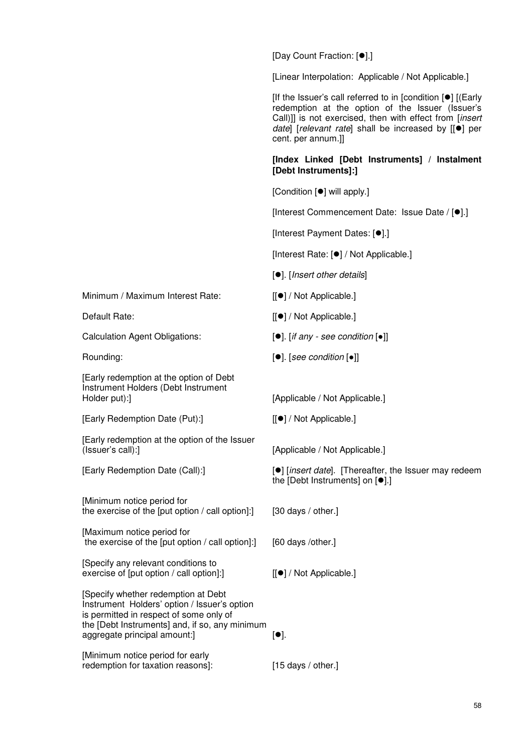[Day Count Fraction: [ $\bullet$ ].]

[Linear Interpolation: Applicable / Not Applicable.]

 $I$ If the Issuer's call referred to in  $I$ condition  $[•]$   $I$  (Early redemption at the option of the Issuer (Issuer's Call)]] is not exercised, then with effect from [*insert date*] [*relevant rate*] shall be increased by [[ $\bullet$ ] per cent. per annum.]]

## **[Index Linked [Debt Instruments] / Instalment [Debt Instruments]:]**

[Condition [ $\bullet$ ] will apply.]

[Interest Commencement Date: Issue Date /  $[•]$ .]

[Interest Payment Dates: [ $\bullet$ ].]

[Interest Rate: [<sup>•</sup>] / Not Applicable.]

[]. [*Insert other details*]

- Default Rate:  $[[\bullet]/\text{ Not Applicable.}]$
- Calculation Agent Obligations:  $[•]$ . [*if any see condition*  $[•]$ ]
- Rounding:  $[•]$ . [*see condition* [•]]

[Early Redemption Date (Call):] [9] [*insert date*]. [Thereafter, the Issuer may redeem the [Debt Instruments] on  $[•]$ .]

Instrument Holders' option / Issuer's option the [Debt Instruments] and, if so, any minimum aggregate principal amount: $]$  [ $\bullet$ ].

[Minimum notice period for early redemption for taxation reasons]: [15 days / other.]

Minimum / Maximum Interest Rate: [ $\bullet$ ] / Not Applicable.]

[Early redemption at the option of Debt Instrument Holders (Debt Instrument Holder put): [Applicable / Not Applicable.]

[Early Redemption Date (Put):] [[●] / Not Applicable.]

[Early redemption at the option of the Issuer (Issuer's call):] [Applicable / Not Applicable.]

[Minimum notice period for the exercise of the [put option / call option]:] [30 days / other.]

[Maximum notice period for the exercise of the [put option / call option]:] [60 days /other.]

[Specify any relevant conditions to exercise of [put option / call option]: [[ $\bullet$ ] / Not Applicable.]

[Specify whether redemption at Debt is permitted in respect of some only of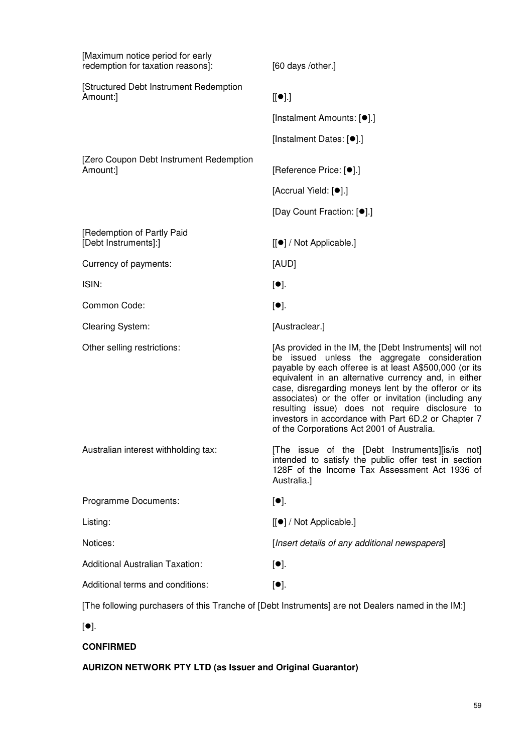| [Maximum notice period for early<br>redemption for taxation reasons]: | [60 days /other.]                                                                                                                                                                                                                                                                                                                                                                                                                                                                                  |
|-----------------------------------------------------------------------|----------------------------------------------------------------------------------------------------------------------------------------------------------------------------------------------------------------------------------------------------------------------------------------------------------------------------------------------------------------------------------------------------------------------------------------------------------------------------------------------------|
| [Structured Debt Instrument Redemption<br>Amount:]                    | $[[\bullet]$ .]                                                                                                                                                                                                                                                                                                                                                                                                                                                                                    |
|                                                                       | [Instalment Amounts: [ <sup>●</sup> ].]                                                                                                                                                                                                                                                                                                                                                                                                                                                            |
|                                                                       | [Instalment Dates: [ <sup>●</sup> ].]                                                                                                                                                                                                                                                                                                                                                                                                                                                              |
| [Zero Coupon Debt Instrument Redemption<br>Amount:]                   | [Reference Price: [ <sup>●</sup> ].]                                                                                                                                                                                                                                                                                                                                                                                                                                                               |
|                                                                       | [Accrual Yield: [ <sup>o]</sup> ].]                                                                                                                                                                                                                                                                                                                                                                                                                                                                |
|                                                                       | [Day Count Fraction: [ <sup>●</sup> ].]                                                                                                                                                                                                                                                                                                                                                                                                                                                            |
| [Redemption of Partly Paid<br>[Debt Instruments]:]                    | $[[\bullet] / Not Applicable.]$                                                                                                                                                                                                                                                                                                                                                                                                                                                                    |
| Currency of payments:                                                 | [AUD]                                                                                                                                                                                                                                                                                                                                                                                                                                                                                              |
| ISIN:                                                                 | $[•]$ .                                                                                                                                                                                                                                                                                                                                                                                                                                                                                            |
| Common Code:                                                          | $[•]$ .                                                                                                                                                                                                                                                                                                                                                                                                                                                                                            |
| <b>Clearing System:</b>                                               | [Austraclear.]                                                                                                                                                                                                                                                                                                                                                                                                                                                                                     |
| Other selling restrictions:                                           | [As provided in the IM, the [Debt Instruments] will not<br>be issued unless the aggregate consideration<br>payable by each offeree is at least A\$500,000 (or its<br>equivalent in an alternative currency and, in either<br>case, disregarding moneys lent by the offeror or its<br>associates) or the offer or invitation (including any<br>resulting issue) does not require disclosure to<br>investors in accordance with Part 6D.2 or Chapter 7<br>of the Corporations Act 2001 of Australia. |
| Australian interest withholding tax:                                  | [The issue of the [Debt Instruments][is/is not]<br>intended to satisfy the public offer test in section<br>128F of the Income Tax Assessment Act 1936 of<br>Australia.]                                                                                                                                                                                                                                                                                                                            |
| Programme Documents:                                                  | $[•]$ .                                                                                                                                                                                                                                                                                                                                                                                                                                                                                            |
| Listing:                                                              | [[●] / Not Applicable.]                                                                                                                                                                                                                                                                                                                                                                                                                                                                            |
| Notices:                                                              | [Insert details of any additional newspapers]                                                                                                                                                                                                                                                                                                                                                                                                                                                      |
| <b>Additional Australian Taxation:</b>                                | $[•]$ .                                                                                                                                                                                                                                                                                                                                                                                                                                                                                            |
| Additional terms and conditions:                                      | $[•]$ .                                                                                                                                                                                                                                                                                                                                                                                                                                                                                            |
|                                                                       | [The following purchasers of this Tranche of [Debt Instruments] are not Dealers named in the IM:]                                                                                                                                                                                                                                                                                                                                                                                                  |

 $[\bullet]$ .

# **CONFIRMED**

# **AURIZON NETWORK PTY LTD (as Issuer and Original Guarantor)**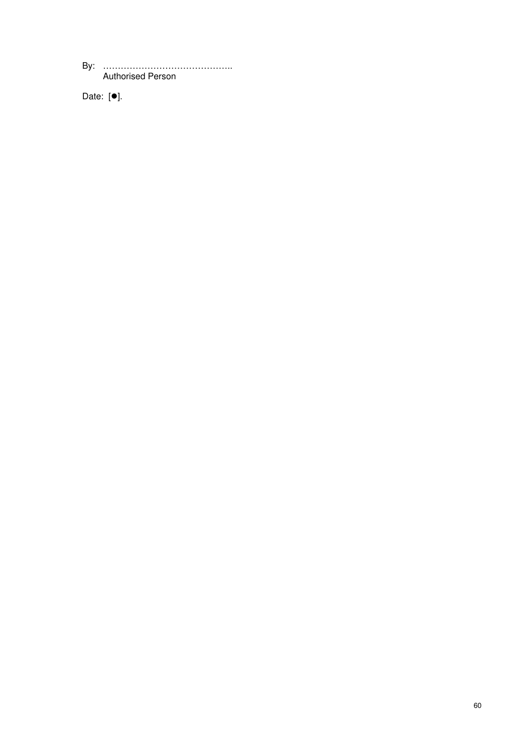By: …………………………………….. Authorised Person

Date:  $[•]$ .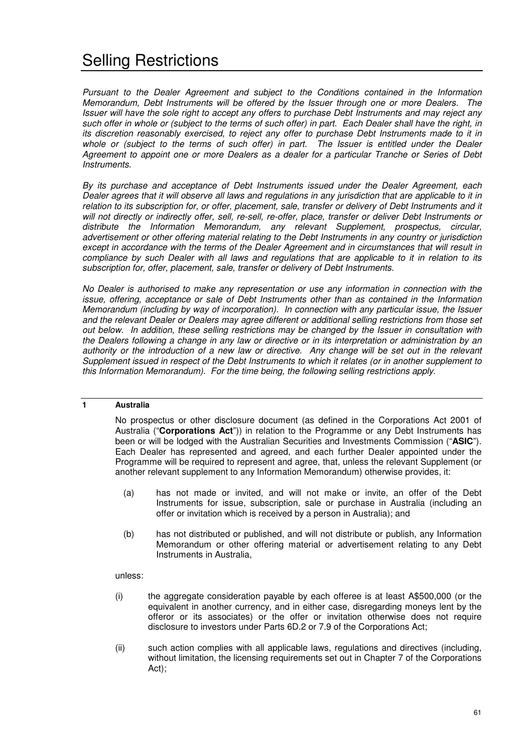*Pursuant to the Dealer Agreement and subject to the Conditions contained in the Information Memorandum, Debt Instruments will be offered by the Issuer through one or more Dealers. The Issuer will have the sole right to accept any offers to purchase Debt Instruments and may reject any such offer in whole or (subject to the terms of such offer) in part. Each Dealer shall have the right, in its discretion reasonably exercised, to reject any offer to purchase Debt Instruments made to it in*  whole or *(subject to the terms of such offer)* in part. The Issuer is entitled under the Dealer *Agreement to appoint one or more Dealers as a dealer for a particular Tranche or Series of Debt Instruments.* 

*By its purchase and acceptance of Debt Instruments issued under the Dealer Agreement, each Dealer agrees that it will observe all laws and regulations in any jurisdiction that are applicable to it in relation to its subscription for, or offer, placement, sale, transfer or delivery of Debt Instruments and it will not directly or indirectly offer, sell, re-sell, re-offer, place, transfer or deliver Debt Instruments or distribute the Information Memorandum, any relevant Supplement, prospectus, circular, advertisement or other offering material relating to the Debt Instruments in any country or jurisdiction except in accordance with the terms of the Dealer Agreement and in circumstances that will result in compliance by such Dealer with all laws and regulations that are applicable to it in relation to its subscription for, offer, placement, sale, transfer or delivery of Debt Instruments.* 

*No Dealer is authorised to make any representation or use any information in connection with the issue, offering, acceptance or sale of Debt Instruments other than as contained in the Information Memorandum (including by way of incorporation). In connection with any particular issue, the Issuer and the relevant Dealer or Dealers may agree different or additional selling restrictions from those set out below. In addition*, *these selling restrictions may be changed by the Issuer in consultation with the Dealers following a change in any law or directive or in its interpretation or administration by an authority or the introduction of a new law or directive. Any change will be set out in the relevant Supplement issued in respect of the Debt Instruments to which it relates (or in another supplement to this Information Memorandum). For the time being, the following selling restrictions apply.* 

## **1 Australia**

No prospectus or other disclosure document (as defined in the Corporations Act 2001 of Australia ("**Corporations Act**")) in relation to the Programme or any Debt Instruments has been or will be lodged with the Australian Securities and Investments Commission ("**ASIC**"). Each Dealer has represented and agreed, and each further Dealer appointed under the Programme will be required to represent and agree, that, unless the relevant Supplement (or another relevant supplement to any Information Memorandum) otherwise provides, it:

- (a) has not made or invited, and will not make or invite, an offer of the Debt Instruments for issue, subscription, sale or purchase in Australia (including an offer or invitation which is received by a person in Australia); and
- (b) has not distributed or published, and will not distribute or publish, any Information Memorandum or other offering material or advertisement relating to any Debt Instruments in Australia,

## unless:

- (i) the aggregate consideration payable by each offeree is at least A\$500,000 (or the equivalent in another currency, and in either case, disregarding moneys lent by the offeror or its associates) or the offer or invitation otherwise does not require disclosure to investors under Parts 6D.2 or 7.9 of the Corporations Act;
- (ii) such action complies with all applicable laws, regulations and directives (including, without limitation, the licensing requirements set out in Chapter 7 of the Corporations Act);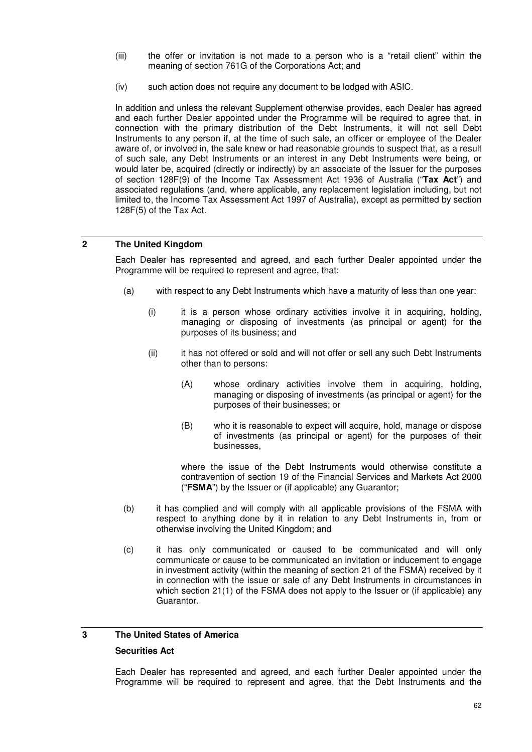- (iii) the offer or invitation is not made to a person who is a "retail client" within the meaning of section 761G of the Corporations Act; and
- (iv) such action does not require any document to be lodged with ASIC.

In addition and unless the relevant Supplement otherwise provides, each Dealer has agreed and each further Dealer appointed under the Programme will be required to agree that, in connection with the primary distribution of the Debt Instruments, it will not sell Debt Instruments to any person if, at the time of such sale, an officer or employee of the Dealer aware of, or involved in, the sale knew or had reasonable grounds to suspect that, as a result of such sale, any Debt Instruments or an interest in any Debt Instruments were being, or would later be, acquired (directly or indirectly) by an associate of the Issuer for the purposes of section 128F(9) of the Income Tax Assessment Act 1936 of Australia ("**Tax Act**") and associated regulations (and, where applicable, any replacement legislation including, but not limited to, the Income Tax Assessment Act 1997 of Australia), except as permitted by section 128F(5) of the Tax Act.

## **2 The United Kingdom**

Each Dealer has represented and agreed, and each further Dealer appointed under the Programme will be required to represent and agree, that:

- (a) with respect to any Debt Instruments which have a maturity of less than one year:
	- (i) it is a person whose ordinary activities involve it in acquiring, holding, managing or disposing of investments (as principal or agent) for the purposes of its business; and
	- (ii) it has not offered or sold and will not offer or sell any such Debt Instruments other than to persons:
		- (A) whose ordinary activities involve them in acquiring, holding, managing or disposing of investments (as principal or agent) for the purposes of their businesses; or
		- (B) who it is reasonable to expect will acquire, hold, manage or dispose of investments (as principal or agent) for the purposes of their businesses,

where the issue of the Debt Instruments would otherwise constitute a contravention of section 19 of the Financial Services and Markets Act 2000 ("**FSMA**") by the Issuer or (if applicable) any Guarantor;

- (b) it has complied and will comply with all applicable provisions of the FSMA with respect to anything done by it in relation to any Debt Instruments in, from or otherwise involving the United Kingdom; and
- (c) it has only communicated or caused to be communicated and will only communicate or cause to be communicated an invitation or inducement to engage in investment activity (within the meaning of section 21 of the FSMA) received by it in connection with the issue or sale of any Debt Instruments in circumstances in which section 21(1) of the FSMA does not apply to the Issuer or (if applicable) any Guarantor.

## **3 The United States of America**

## **Securities Act**

Each Dealer has represented and agreed, and each further Dealer appointed under the Programme will be required to represent and agree, that the Debt Instruments and the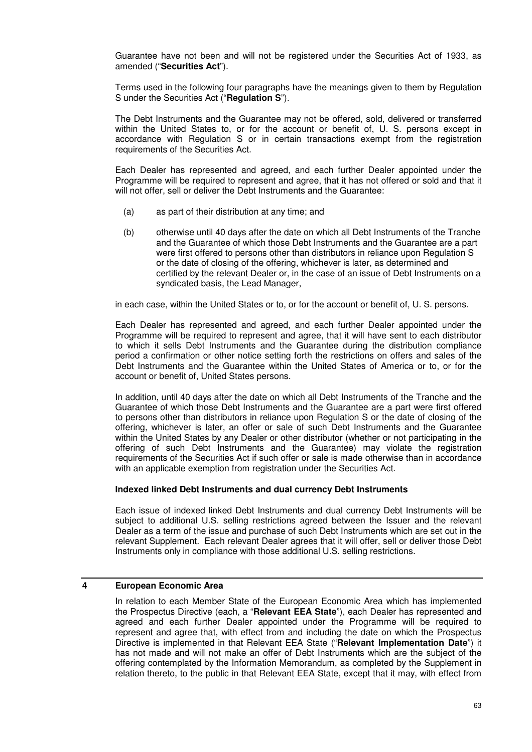Guarantee have not been and will not be registered under the Securities Act of 1933, as amended ("**Securities Act**").

Terms used in the following four paragraphs have the meanings given to them by Regulation S under the Securities Act ("**Regulation S**").

The Debt Instruments and the Guarantee may not be offered, sold, delivered or transferred within the United States to, or for the account or benefit of, U. S. persons except in accordance with Regulation S or in certain transactions exempt from the registration requirements of the Securities Act.

Each Dealer has represented and agreed, and each further Dealer appointed under the Programme will be required to represent and agree, that it has not offered or sold and that it will not offer, sell or deliver the Debt Instruments and the Guarantee:

- (a) as part of their distribution at any time; and
- (b) otherwise until 40 days after the date on which all Debt Instruments of the Tranche and the Guarantee of which those Debt Instruments and the Guarantee are a part were first offered to persons other than distributors in reliance upon Regulation S or the date of closing of the offering, whichever is later, as determined and certified by the relevant Dealer or, in the case of an issue of Debt Instruments on a syndicated basis, the Lead Manager,

in each case, within the United States or to, or for the account or benefit of, U. S. persons.

Each Dealer has represented and agreed, and each further Dealer appointed under the Programme will be required to represent and agree, that it will have sent to each distributor to which it sells Debt Instruments and the Guarantee during the distribution compliance period a confirmation or other notice setting forth the restrictions on offers and sales of the Debt Instruments and the Guarantee within the United States of America or to, or for the account or benefit of, United States persons.

In addition, until 40 days after the date on which all Debt Instruments of the Tranche and the Guarantee of which those Debt Instruments and the Guarantee are a part were first offered to persons other than distributors in reliance upon Regulation S or the date of closing of the offering, whichever is later, an offer or sale of such Debt Instruments and the Guarantee within the United States by any Dealer or other distributor (whether or not participating in the offering of such Debt Instruments and the Guarantee) may violate the registration requirements of the Securities Act if such offer or sale is made otherwise than in accordance with an applicable exemption from registration under the Securities Act.

## **Indexed linked Debt Instruments and dual currency Debt Instruments**

Each issue of indexed linked Debt Instruments and dual currency Debt Instruments will be subject to additional U.S. selling restrictions agreed between the Issuer and the relevant Dealer as a term of the issue and purchase of such Debt Instruments which are set out in the relevant Supplement. Each relevant Dealer agrees that it will offer, sell or deliver those Debt Instruments only in compliance with those additional U.S. selling restrictions.

## **4 European Economic Area**

In relation to each Member State of the European Economic Area which has implemented the Prospectus Directive (each, a "**Relevant EEA State**"), each Dealer has represented and agreed and each further Dealer appointed under the Programme will be required to represent and agree that, with effect from and including the date on which the Prospectus Directive is implemented in that Relevant EEA State ("**Relevant Implementation Date**") it has not made and will not make an offer of Debt Instruments which are the subject of the offering contemplated by the Information Memorandum, as completed by the Supplement in relation thereto, to the public in that Relevant EEA State, except that it may, with effect from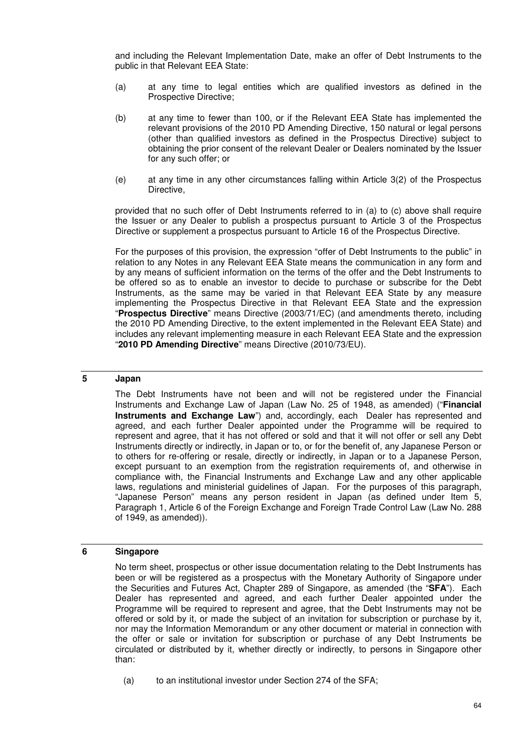and including the Relevant Implementation Date, make an offer of Debt Instruments to the public in that Relevant EEA State:

- (a) at any time to legal entities which are qualified investors as defined in the Prospective Directive;
- (b) at any time to fewer than 100, or if the Relevant EEA State has implemented the relevant provisions of the 2010 PD Amending Directive, 150 natural or legal persons (other than qualified investors as defined in the Prospectus Directive) subject to obtaining the prior consent of the relevant Dealer or Dealers nominated by the Issuer for any such offer; or
- (e) at any time in any other circumstances falling within Article 3(2) of the Prospectus Directive,

provided that no such offer of Debt Instruments referred to in (a) to (c) above shall require the Issuer or any Dealer to publish a prospectus pursuant to Article 3 of the Prospectus Directive or supplement a prospectus pursuant to Article 16 of the Prospectus Directive.

For the purposes of this provision, the expression "offer of Debt Instruments to the public" in relation to any Notes in any Relevant EEA State means the communication in any form and by any means of sufficient information on the terms of the offer and the Debt Instruments to be offered so as to enable an investor to decide to purchase or subscribe for the Debt Instruments, as the same may be varied in that Relevant EEA State by any measure implementing the Prospectus Directive in that Relevant EEA State and the expression "**Prospectus Directive**" means Directive (2003/71/EC) (and amendments thereto, including the 2010 PD Amending Directive, to the extent implemented in the Relevant EEA State) and includes any relevant implementing measure in each Relevant EEA State and the expression "**2010 PD Amending Directive**" means Directive (2010/73/EU).

## **5 Japan**

The Debt Instruments have not been and will not be registered under the Financial Instruments and Exchange Law of Japan (Law No. 25 of 1948, as amended) ("**Financial Instruments and Exchange Law**") and, accordingly, each Dealer has represented and agreed, and each further Dealer appointed under the Programme will be required to represent and agree, that it has not offered or sold and that it will not offer or sell any Debt Instruments directly or indirectly, in Japan or to, or for the benefit of, any Japanese Person or to others for re-offering or resale, directly or indirectly, in Japan or to a Japanese Person, except pursuant to an exemption from the registration requirements of, and otherwise in compliance with, the Financial Instruments and Exchange Law and any other applicable laws, regulations and ministerial guidelines of Japan. For the purposes of this paragraph, "Japanese Person" means any person resident in Japan (as defined under Item 5, Paragraph 1, Article 6 of the Foreign Exchange and Foreign Trade Control Law (Law No. 288 of 1949, as amended)).

## **6 Singapore**

No term sheet, prospectus or other issue documentation relating to the Debt Instruments has been or will be registered as a prospectus with the Monetary Authority of Singapore under the Securities and Futures Act, Chapter 289 of Singapore, as amended (the "**SFA**"). Each Dealer has represented and agreed, and each further Dealer appointed under the Programme will be required to represent and agree, that the Debt Instruments may not be offered or sold by it, or made the subject of an invitation for subscription or purchase by it, nor may the Information Memorandum or any other document or material in connection with the offer or sale or invitation for subscription or purchase of any Debt Instruments be circulated or distributed by it, whether directly or indirectly, to persons in Singapore other than:

(a) to an institutional investor under Section 274 of the SFA;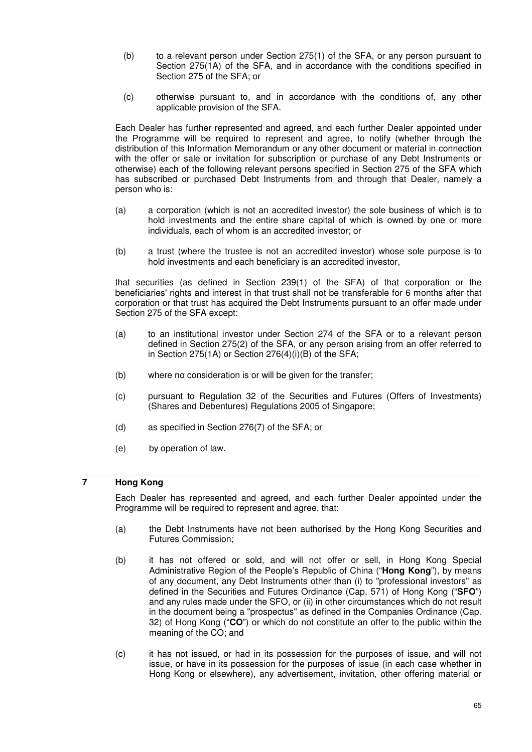- (b) to a relevant person under Section 275(1) of the SFA, or any person pursuant to Section 275(1A) of the SFA, and in accordance with the conditions specified in Section 275 of the SFA; or
- (c) otherwise pursuant to, and in accordance with the conditions of, any other applicable provision of the SFA.

Each Dealer has further represented and agreed, and each further Dealer appointed under the Programme will be required to represent and agree, to notify (whether through the distribution of this Information Memorandum or any other document or material in connection with the offer or sale or invitation for subscription or purchase of any Debt Instruments or otherwise) each of the following relevant persons specified in Section 275 of the SFA which has subscribed or purchased Debt Instruments from and through that Dealer, namely a person who is:

- (a) a corporation (which is not an accredited investor) the sole business of which is to hold investments and the entire share capital of which is owned by one or more individuals, each of whom is an accredited investor; or
- (b) a trust (where the trustee is not an accredited investor) whose sole purpose is to hold investments and each beneficiary is an accredited investor,

that securities (as defined in Section 239(1) of the SFA) of that corporation or the beneficiaries' rights and interest in that trust shall not be transferable for 6 months after that corporation or that trust has acquired the Debt Instruments pursuant to an offer made under Section 275 of the SFA except:

- (a) to an institutional investor under Section 274 of the SFA or to a relevant person defined in Section 275(2) of the SFA, or any person arising from an offer referred to in Section 275(1A) or Section 276(4)(i)(B) of the SFA;
- (b) where no consideration is or will be given for the transfer;
- (c) pursuant to Regulation 32 of the Securities and Futures (Offers of Investments) (Shares and Debentures) Regulations 2005 of Singapore;
- (d) as specified in Section 276(7) of the SFA; or
- (e) by operation of law.

# **7 Hong Kong**

Each Dealer has represented and agreed, and each further Dealer appointed under the Programme will be required to represent and agree, that:

- (a) the Debt Instruments have not been authorised by the Hong Kong Securities and Futures Commission;
- (b) it has not offered or sold, and will not offer or sell, in Hong Kong Special Administrative Region of the People's Republic of China ("**Hong Kong**"), by means of any document, any Debt Instruments other than (i) to "professional investors" as defined in the Securities and Futures Ordinance (Cap. 571) of Hong Kong ("**SFO**") and any rules made under the SFO, or (ii) in other circumstances which do not result in the document being a "prospectus" as defined in the Companies Ordinance (Cap. 32) of Hong Kong ("**CO**") or which do not constitute an offer to the public within the meaning of the CO; and
- (c) it has not issued, or had in its possession for the purposes of issue, and will not issue, or have in its possession for the purposes of issue (in each case whether in Hong Kong or elsewhere), any advertisement, invitation, other offering material or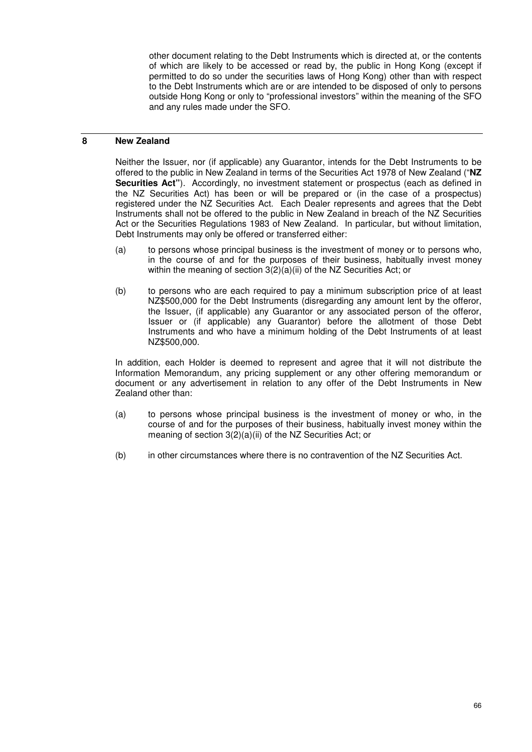other document relating to the Debt Instruments which is directed at, or the contents of which are likely to be accessed or read by, the public in Hong Kong (except if permitted to do so under the securities laws of Hong Kong) other than with respect to the Debt Instruments which are or are intended to be disposed of only to persons outside Hong Kong or only to "professional investors" within the meaning of the SFO and any rules made under the SFO.

## **8 New Zealand**

Neither the Issuer, nor (if applicable) any Guarantor, intends for the Debt Instruments to be offered to the public in New Zealand in terms of the Securities Act 1978 of New Zealand ("**NZ Securities Act"**). Accordingly, no investment statement or prospectus (each as defined in the NZ Securities Act) has been or will be prepared or (in the case of a prospectus) registered under the NZ Securities Act. Each Dealer represents and agrees that the Debt Instruments shall not be offered to the public in New Zealand in breach of the NZ Securities Act or the Securities Regulations 1983 of New Zealand. In particular, but without limitation, Debt Instruments may only be offered or transferred either:

- (a) to persons whose principal business is the investment of money or to persons who, in the course of and for the purposes of their business, habitually invest money within the meaning of section  $3(2)(a)(ii)$  of the NZ Securities Act; or
- (b) to persons who are each required to pay a minimum subscription price of at least NZ\$500,000 for the Debt Instruments (disregarding any amount lent by the offeror, the Issuer, (if applicable) any Guarantor or any associated person of the offeror, Issuer or (if applicable) any Guarantor) before the allotment of those Debt Instruments and who have a minimum holding of the Debt Instruments of at least NZ\$500,000.

In addition, each Holder is deemed to represent and agree that it will not distribute the Information Memorandum, any pricing supplement or any other offering memorandum or document or any advertisement in relation to any offer of the Debt Instruments in New Zealand other than:

- (a) to persons whose principal business is the investment of money or who, in the course of and for the purposes of their business, habitually invest money within the meaning of section 3(2)(a)(ii) of the NZ Securities Act; or
- (b) in other circumstances where there is no contravention of the NZ Securities Act.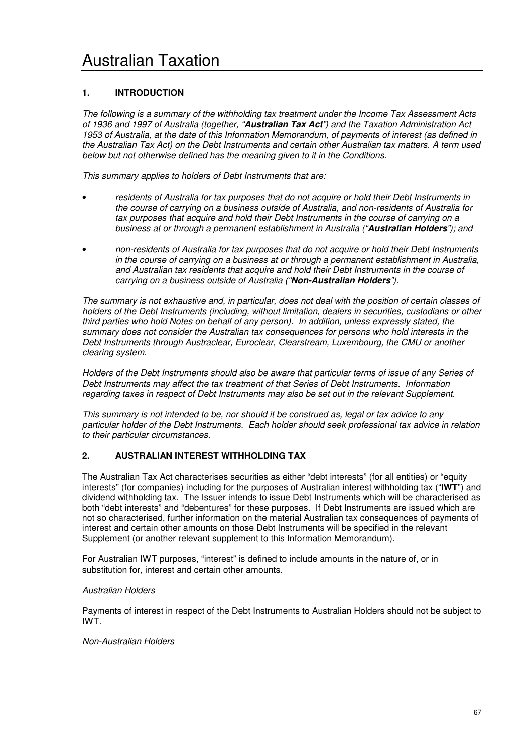# **1. INTRODUCTION**

*The following is a summary of the withholding tax treatment under the Income Tax Assessment Acts of 1936 and 1997 of Australia (together, "***Australian Tax Act***") and the Taxation Administration Act 1953 of Australia, at the date of this Information Memorandum, of payments of interest (as defined in the Australian Tax Act) on the Debt Instruments and certain other Australian tax matters. A term used below but not otherwise defined has the meaning given to it in the Conditions.* 

*This summary applies to holders of Debt Instruments that are:* 

- *residents of Australia for tax purposes that do not acquire or hold their Debt Instruments in the course of carrying on a business outside of Australia, and non-residents of Australia for tax purposes that acquire and hold their Debt Instruments in the course of carrying on a business at or through a permanent establishment in Australia ("***Australian Holders***"); and*
- *non-residents of Australia for tax purposes that do not acquire or hold their Debt Instruments in the course of carrying on a business at or through a permanent establishment in Australia, and Australian tax residents that acquire and hold their Debt Instruments in the course of carrying on a business outside of Australia ("***Non-Australian Holders***").*

*The summary is not exhaustive and, in particular, does not deal with the position of certain classes of holders of the Debt Instruments (including, without limitation, dealers in securities, custodians or other third parties who hold Notes on behalf of any person). In addition, unless expressly stated, the summary does not consider the Australian tax consequences for persons who hold interests in the Debt Instruments through Austraclear, Euroclear, Clearstream, Luxembourg, the CMU or another clearing system.* 

*Holders of the Debt Instruments should also be aware that particular terms of issue of any Series of Debt Instruments may affect the tax treatment of that Series of Debt Instruments. Information regarding taxes in respect of Debt Instruments may also be set out in the relevant Supplement.* 

*This summary is not intended to be, nor should it be construed as, legal or tax advice to any particular holder of the Debt Instruments. Each holder should seek professional tax advice in relation to their particular circumstances.* 

# **2. AUSTRALIAN INTEREST WITHHOLDING TAX**

The Australian Tax Act characterises securities as either "debt interests" (for all entities) or "equity interests" (for companies) including for the purposes of Australian interest withholding tax ("**IWT**") and dividend withholding tax. The Issuer intends to issue Debt Instruments which will be characterised as both "debt interests" and "debentures" for these purposes. If Debt Instruments are issued which are not so characterised, further information on the material Australian tax consequences of payments of interest and certain other amounts on those Debt Instruments will be specified in the relevant Supplement (or another relevant supplement to this Information Memorandum).

For Australian IWT purposes, "interest" is defined to include amounts in the nature of, or in substitution for, interest and certain other amounts.

## *Australian Holders*

Payments of interest in respect of the Debt Instruments to Australian Holders should not be subject to IWT.

*Non-Australian Holders*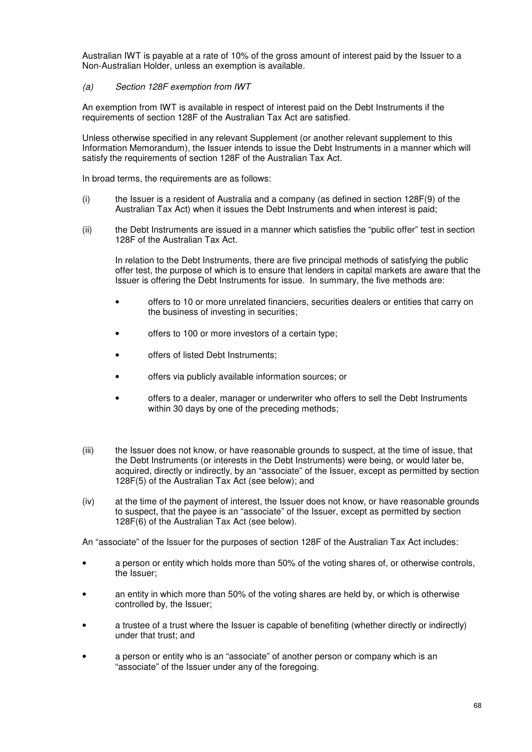Australian IWT is payable at a rate of 10% of the gross amount of interest paid by the Issuer to a Non-Australian Holder, unless an exemption is available.

## *(a) Section 128F exemption from IWT*

An exemption from IWT is available in respect of interest paid on the Debt Instruments if the requirements of section 128F of the Australian Tax Act are satisfied.

Unless otherwise specified in any relevant Supplement (or another relevant supplement to this Information Memorandum), the Issuer intends to issue the Debt Instruments in a manner which will satisfy the requirements of section 128F of the Australian Tax Act.

In broad terms, the requirements are as follows:

- (i) the Issuer is a resident of Australia and a company (as defined in section 128F(9) of the Australian Tax Act) when it issues the Debt Instruments and when interest is paid;
- (ii) the Debt Instruments are issued in a manner which satisfies the "public offer" test in section 128F of the Australian Tax Act.

In relation to the Debt Instruments, there are five principal methods of satisfying the public offer test, the purpose of which is to ensure that lenders in capital markets are aware that the Issuer is offering the Debt Instruments for issue. In summary, the five methods are:

- offers to 10 or more unrelated financiers, securities dealers or entities that carry on the business of investing in securities;
- offers to 100 or more investors of a certain type;
- offers of listed Debt Instruments;
- offers via publicly available information sources; or
- offers to a dealer, manager or underwriter who offers to sell the Debt Instruments within 30 days by one of the preceding methods;
- (iii) the Issuer does not know, or have reasonable grounds to suspect, at the time of issue, that the Debt Instruments (or interests in the Debt Instruments) were being, or would later be, acquired, directly or indirectly, by an "associate" of the Issuer, except as permitted by section 128F(5) of the Australian Tax Act (see below); and
- (iv) at the time of the payment of interest, the Issuer does not know, or have reasonable grounds to suspect, that the payee is an "associate" of the Issuer, except as permitted by section 128F(6) of the Australian Tax Act (see below).

An "associate" of the Issuer for the purposes of section 128F of the Australian Tax Act includes:

- a person or entity which holds more than 50% of the voting shares of, or otherwise controls, the Issuer;
- an entity in which more than 50% of the voting shares are held by, or which is otherwise controlled by, the Issuer;
- a trustee of a trust where the Issuer is capable of benefiting (whether directly or indirectly) under that trust; and
- a person or entity who is an "associate" of another person or company which is an "associate" of the Issuer under any of the foregoing.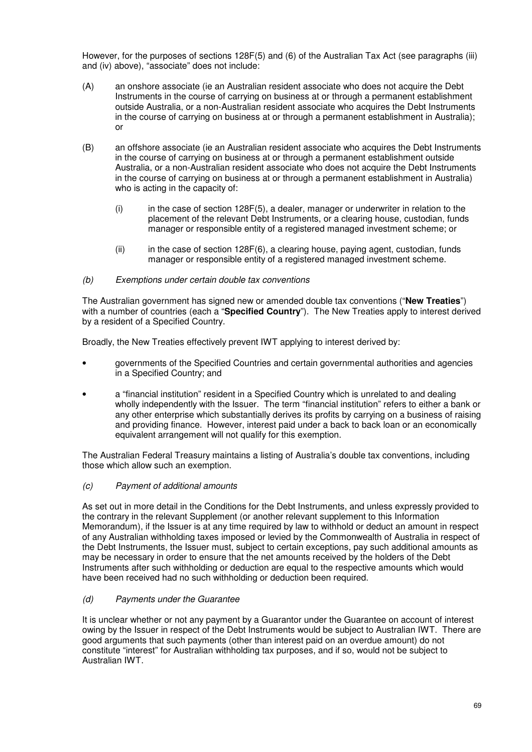However, for the purposes of sections 128F(5) and (6) of the Australian Tax Act (see paragraphs (iii) and (iv) above), "associate" does not include:

- (A) an onshore associate (ie an Australian resident associate who does not acquire the Debt Instruments in the course of carrying on business at or through a permanent establishment outside Australia, or a non-Australian resident associate who acquires the Debt Instruments in the course of carrying on business at or through a permanent establishment in Australia); or
- (B) an offshore associate (ie an Australian resident associate who acquires the Debt Instruments in the course of carrying on business at or through a permanent establishment outside Australia, or a non-Australian resident associate who does not acquire the Debt Instruments in the course of carrying on business at or through a permanent establishment in Australia) who is acting in the capacity of:
	- (i) in the case of section 128F(5), a dealer, manager or underwriter in relation to the placement of the relevant Debt Instruments, or a clearing house, custodian, funds manager or responsible entity of a registered managed investment scheme; or
	- (ii) in the case of section 128F(6), a clearing house, paying agent, custodian, funds manager or responsible entity of a registered managed investment scheme.

## *(b) Exemptions under certain double tax conventions*

The Australian government has signed new or amended double tax conventions ("**New Treaties**") with a number of countries (each a "**Specified Country**"). The New Treaties apply to interest derived by a resident of a Specified Country.

Broadly, the New Treaties effectively prevent IWT applying to interest derived by:

- governments of the Specified Countries and certain governmental authorities and agencies in a Specified Country; and
- a "financial institution" resident in a Specified Country which is unrelated to and dealing wholly independently with the Issuer. The term "financial institution" refers to either a bank or any other enterprise which substantially derives its profits by carrying on a business of raising and providing finance. However, interest paid under a back to back loan or an economically equivalent arrangement will not qualify for this exemption.

The Australian Federal Treasury maintains a listing of Australia's double tax conventions, including those which allow such an exemption.

## *(c) Payment of additional amounts*

As set out in more detail in the Conditions for the Debt Instruments, and unless expressly provided to the contrary in the relevant Supplement (or another relevant supplement to this Information Memorandum), if the Issuer is at any time required by law to withhold or deduct an amount in respect of any Australian withholding taxes imposed or levied by the Commonwealth of Australia in respect of the Debt Instruments, the Issuer must, subject to certain exceptions, pay such additional amounts as may be necessary in order to ensure that the net amounts received by the holders of the Debt Instruments after such withholding or deduction are equal to the respective amounts which would have been received had no such withholding or deduction been required.

## *(d) Payments under the Guarantee*

It is unclear whether or not any payment by a Guarantor under the Guarantee on account of interest owing by the Issuer in respect of the Debt Instruments would be subject to Australian IWT. There are good arguments that such payments (other than interest paid on an overdue amount) do not constitute "interest" for Australian withholding tax purposes, and if so, would not be subject to Australian IWT.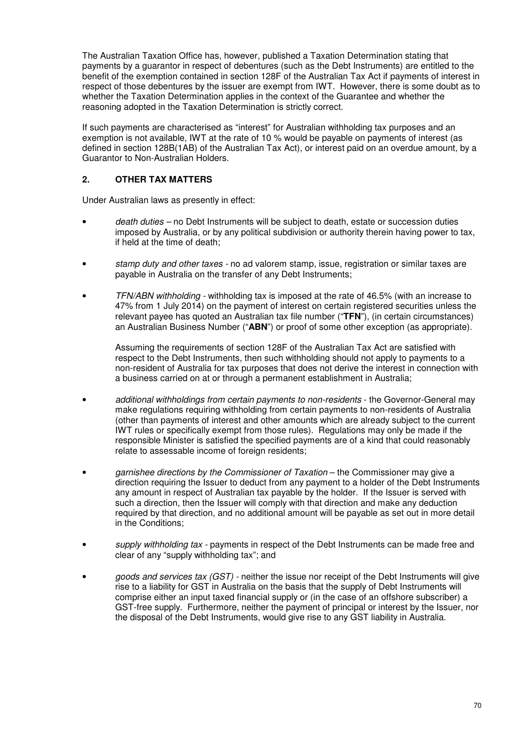The Australian Taxation Office has, however, published a Taxation Determination stating that payments by a guarantor in respect of debentures (such as the Debt Instruments) are entitled to the benefit of the exemption contained in section 128F of the Australian Tax Act if payments of interest in respect of those debentures by the issuer are exempt from IWT. However, there is some doubt as to whether the Taxation Determination applies in the context of the Guarantee and whether the reasoning adopted in the Taxation Determination is strictly correct.

If such payments are characterised as "interest" for Australian withholding tax purposes and an exemption is not available, IWT at the rate of 10 % would be payable on payments of interest (as defined in section 128B(1AB) of the Australian Tax Act), or interest paid on an overdue amount, by a Guarantor to Non-Australian Holders.

## **2. OTHER TAX MATTERS**

Under Australian laws as presently in effect:

- *death duties* no Debt Instruments will be subject to death, estate or succession duties imposed by Australia, or by any political subdivision or authority therein having power to tax, if held at the time of death;
- *stamp duty and other taxes* no ad valorem stamp, issue, registration or similar taxes are payable in Australia on the transfer of any Debt Instruments;
- *TFN/ABN withholding* withholding tax is imposed at the rate of 46.5% (with an increase to 47% from 1 July 2014) on the payment of interest on certain registered securities unless the relevant payee has quoted an Australian tax file number ("**TFN**"), (in certain circumstances) an Australian Business Number ("**ABN**") or proof of some other exception (as appropriate).

Assuming the requirements of section 128F of the Australian Tax Act are satisfied with respect to the Debt Instruments, then such withholding should not apply to payments to a non-resident of Australia for tax purposes that does not derive the interest in connection with a business carried on at or through a permanent establishment in Australia;

- *additional withholdings from certain payments to non-residents* the Governor-General may make regulations requiring withholding from certain payments to non-residents of Australia (other than payments of interest and other amounts which are already subject to the current IWT rules or specifically exempt from those rules). Regulations may only be made if the responsible Minister is satisfied the specified payments are of a kind that could reasonably relate to assessable income of foreign residents;
- garnishee directions by the Commissioner of Taxation the Commissioner may give a direction requiring the Issuer to deduct from any payment to a holder of the Debt Instruments any amount in respect of Australian tax payable by the holder. If the Issuer is served with such a direction, then the Issuer will comply with that direction and make any deduction required by that direction, and no additional amount will be payable as set out in more detail in the Conditions;
- *supply withholding tax* payments in respect of the Debt Instruments can be made free and clear of any "supply withholding tax"; and
- *goods and services tax (GST)* neither the issue nor receipt of the Debt Instruments will give rise to a liability for GST in Australia on the basis that the supply of Debt Instruments will comprise either an input taxed financial supply or (in the case of an offshore subscriber) a GST-free supply. Furthermore, neither the payment of principal or interest by the Issuer, nor the disposal of the Debt Instruments, would give rise to any GST liability in Australia.